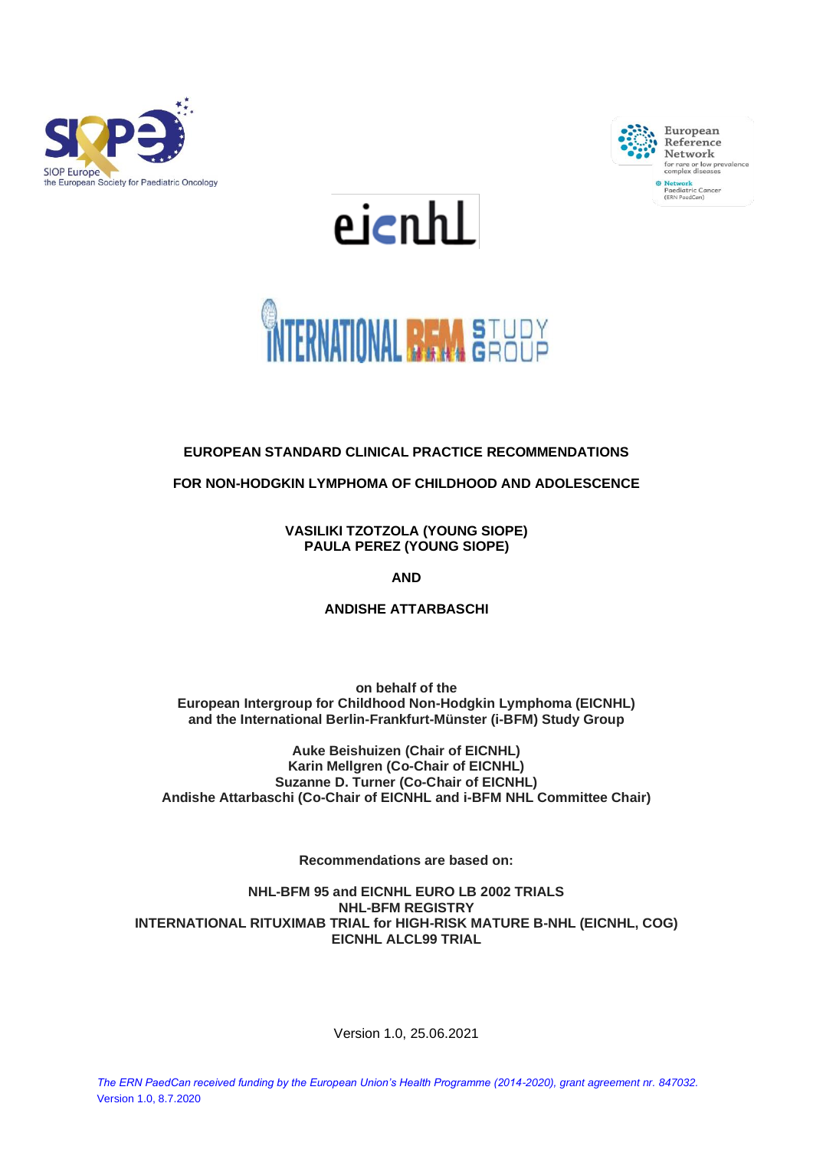







# **EUROPEAN STANDARD CLINICAL PRACTICE RECOMMENDATIONS**

**FOR NON-HODGKIN LYMPHOMA OF CHILDHOOD AND ADOLESCENCE** 

**VASILIKI TZOTZOLA (YOUNG SIOPE) PAULA PEREZ (YOUNG SIOPE)**

**AND**

**ANDISHE ATTARBASCHI**

**on behalf of the European Intergroup for Childhood Non-Hodgkin Lymphoma (EICNHL) and the International Berlin-Frankfurt-Münster (i-BFM) Study Group**

**Auke Beishuizen (Chair of EICNHL) Karin Mellgren (Co-Chair of EICNHL) Suzanne D. Turner (Co-Chair of EICNHL) Andishe Attarbaschi (Co-Chair of EICNHL and i-BFM NHL Committee Chair)**

**Recommendations are based on:**

**NHL-BFM 95 and EICNHL EURO LB 2002 TRIALS NHL-BFM REGISTRY INTERNATIONAL RITUXIMAB TRIAL for HIGH-RISK MATURE B-NHL (EICNHL, COG) EICNHL ALCL99 TRIAL**

Version 1.0, 25.06.2021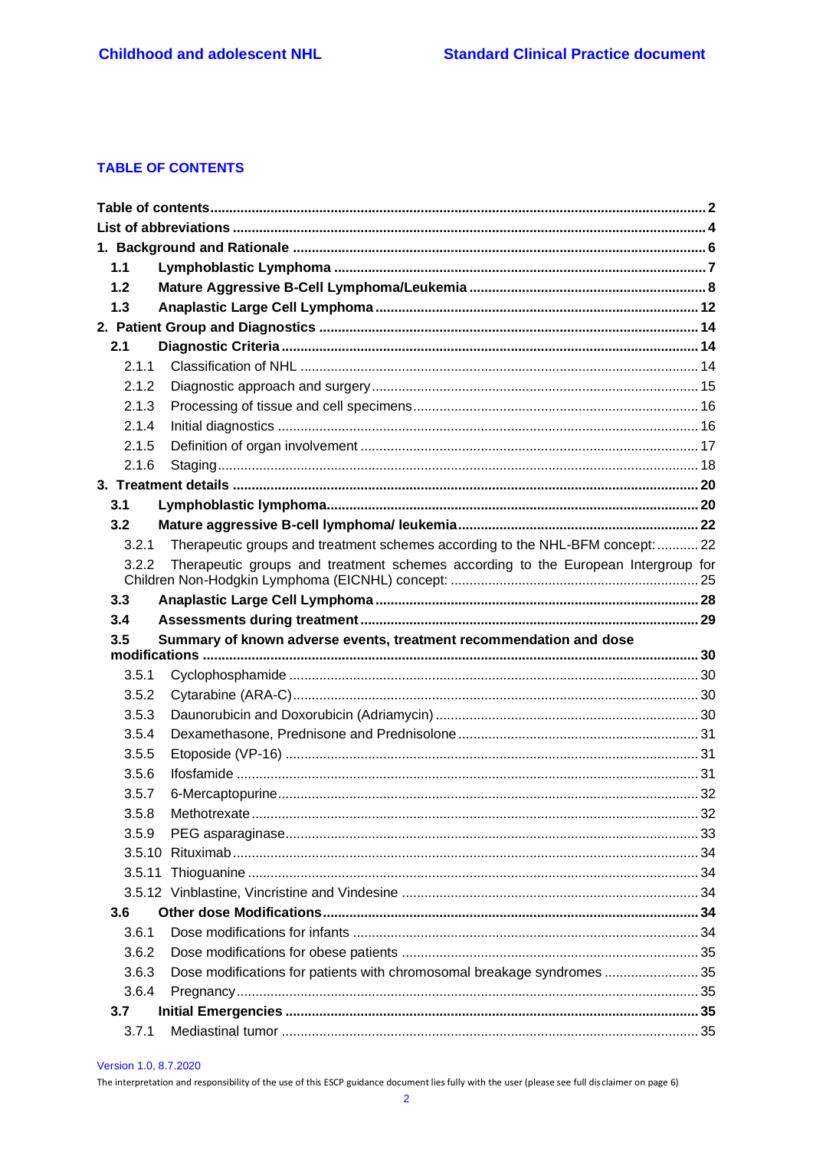# <span id="page-1-0"></span>**TABLE OF CONTENTS**

| 1.1   |                                                                                   |    |
|-------|-----------------------------------------------------------------------------------|----|
| 1.2   |                                                                                   |    |
| 1.3   |                                                                                   |    |
|       |                                                                                   |    |
| 2.1   |                                                                                   |    |
| 2.1.1 |                                                                                   |    |
| 2.1.2 |                                                                                   |    |
| 2.1.3 |                                                                                   |    |
| 2.1.4 |                                                                                   |    |
| 2.1.5 |                                                                                   |    |
| 2.1.6 |                                                                                   |    |
|       |                                                                                   |    |
| 3.1   |                                                                                   |    |
| 3.2   |                                                                                   |    |
| 3.2.1 | Therapeutic groups and treatment schemes according to the NHL-BFM concept:  22    |    |
| 3.2.2 | Therapeutic groups and treatment schemes according to the European Intergroup for |    |
| 3.3   |                                                                                   |    |
| 3.4   |                                                                                   |    |
| 3.5   | Summary of known adverse events, treatment recommendation and dose                |    |
| 3.5.1 |                                                                                   |    |
|       |                                                                                   |    |
| 3.5.2 |                                                                                   |    |
| 3.5.3 |                                                                                   |    |
| 3.5.4 |                                                                                   |    |
| 3.5.5 |                                                                                   |    |
| 3.5.6 |                                                                                   |    |
| 3.5.7 |                                                                                   |    |
| 358   | Methotrexate                                                                      | 32 |
| 3.5.9 |                                                                                   |    |
|       |                                                                                   |    |
|       |                                                                                   |    |
|       |                                                                                   |    |
| 3.6   |                                                                                   |    |
| 3.6.1 |                                                                                   |    |
| 3.6.2 |                                                                                   |    |
| 3.6.3 | Dose modifications for patients with chromosomal breakage syndromes35             |    |
| 3.6.4 |                                                                                   |    |
| 3.7   |                                                                                   |    |

Version 1.0, 8.7.2020

The interpretation and responsibility of the use of this ESCP guidance document lies fully with the user (please see full disclaimer on page 6)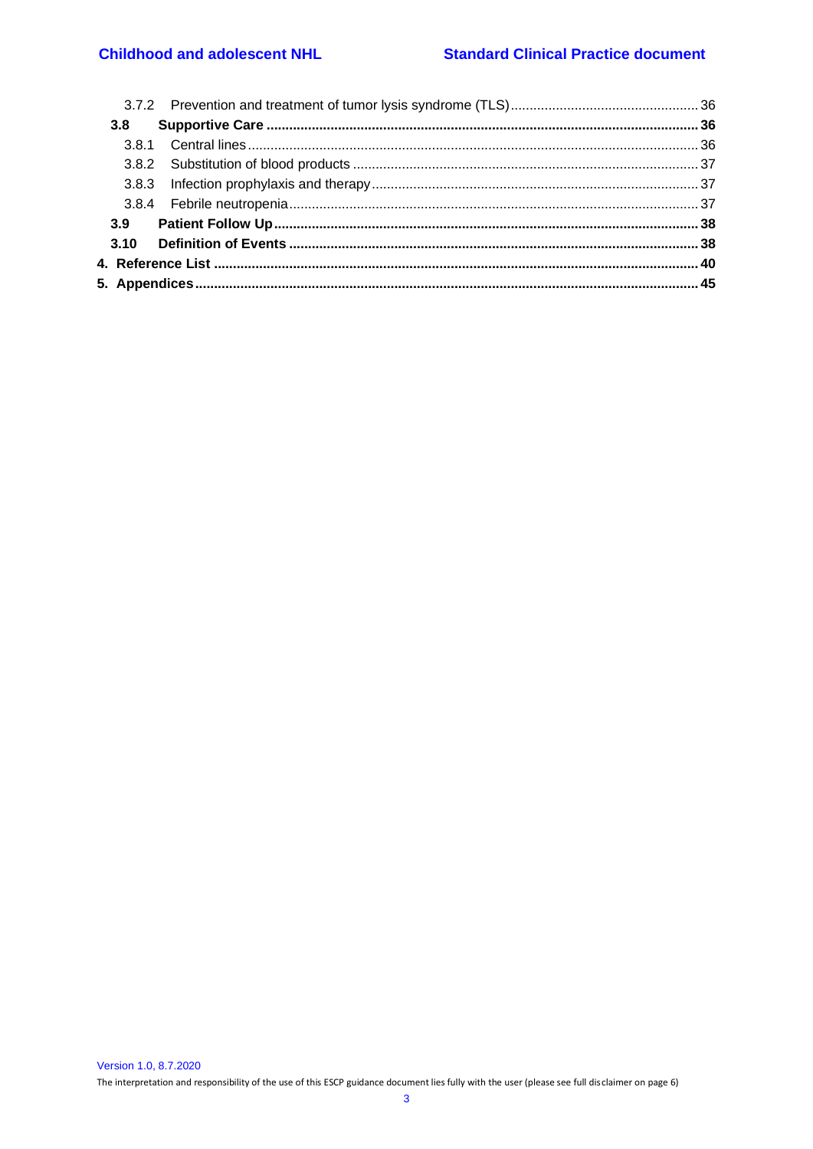# **Childhood and adolescent NHL**

| 3.8 |  |
|-----|--|
|     |  |
|     |  |
|     |  |
|     |  |
|     |  |
|     |  |
|     |  |
|     |  |
|     |  |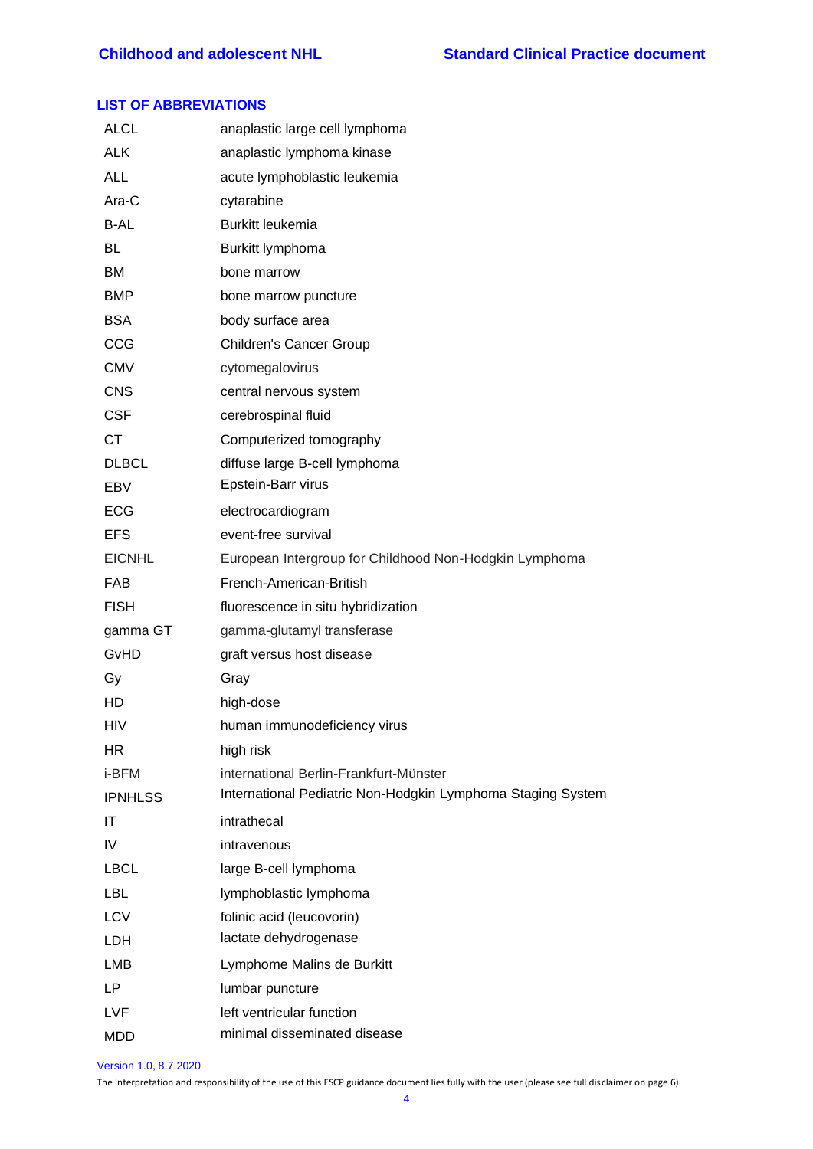## <span id="page-3-0"></span>**LIST OF ABBREVIATIONS**

| <b>ALCL</b>    | anaplastic large cell lymphoma                              |
|----------------|-------------------------------------------------------------|
| <b>ALK</b>     | anaplastic lymphoma kinase                                  |
| <b>ALL</b>     | acute lymphoblastic leukemia                                |
| Ara-C          | cytarabine                                                  |
| B-AL           | Burkitt leukemia                                            |
| BL             | Burkitt lymphoma                                            |
| ВM             | bone marrow                                                 |
| <b>BMP</b>     | bone marrow puncture                                        |
| <b>BSA</b>     | body surface area                                           |
| CCG            | Children's Cancer Group                                     |
| <b>CMV</b>     | cytomegalovirus                                             |
| <b>CNS</b>     | central nervous system                                      |
| <b>CSF</b>     | cerebrospinal fluid                                         |
| <b>CT</b>      | Computerized tomography                                     |
| <b>DLBCL</b>   | diffuse large B-cell lymphoma                               |
| EBV            | Epstein-Barr virus                                          |
| <b>ECG</b>     | electrocardiogram                                           |
| <b>EFS</b>     | event-free survival                                         |
| <b>EICNHL</b>  | European Intergroup for Childhood Non-Hodgkin Lymphoma      |
| <b>FAB</b>     | French-American-British                                     |
| <b>FISH</b>    | fluorescence in situ hybridization                          |
| gamma GT       | gamma-glutamyl transferase                                  |
| GvHD           | graft versus host disease                                   |
| Gy             | Gray                                                        |
| HD             | high-dose                                                   |
| HIV            | human immunodeficiency virus                                |
| HR.            | high risk                                                   |
| i-BFM          | international Berlin-Frankfurt-Münster                      |
| <b>IPNHLSS</b> | International Pediatric Non-Hodgkin Lymphoma Staging System |
| IT             | intrathecal                                                 |
| IV             | intravenous                                                 |
| <b>LBCL</b>    | large B-cell lymphoma                                       |
| <b>LBL</b>     | lymphoblastic lymphoma                                      |
| <b>LCV</b>     | folinic acid (leucovorin)                                   |
| LDH            | lactate dehydrogenase                                       |
| <b>LMB</b>     | Lymphome Malins de Burkitt                                  |
| LP             | lumbar puncture                                             |
| LVF            | left ventricular function                                   |
| <b>MDD</b>     | minimal disseminated disease                                |

Version 1.0, 8.7.2020

The interpretation and responsibility of the use of this ESCP guidance document lies fully with the user (please see full disclaimer on page 6)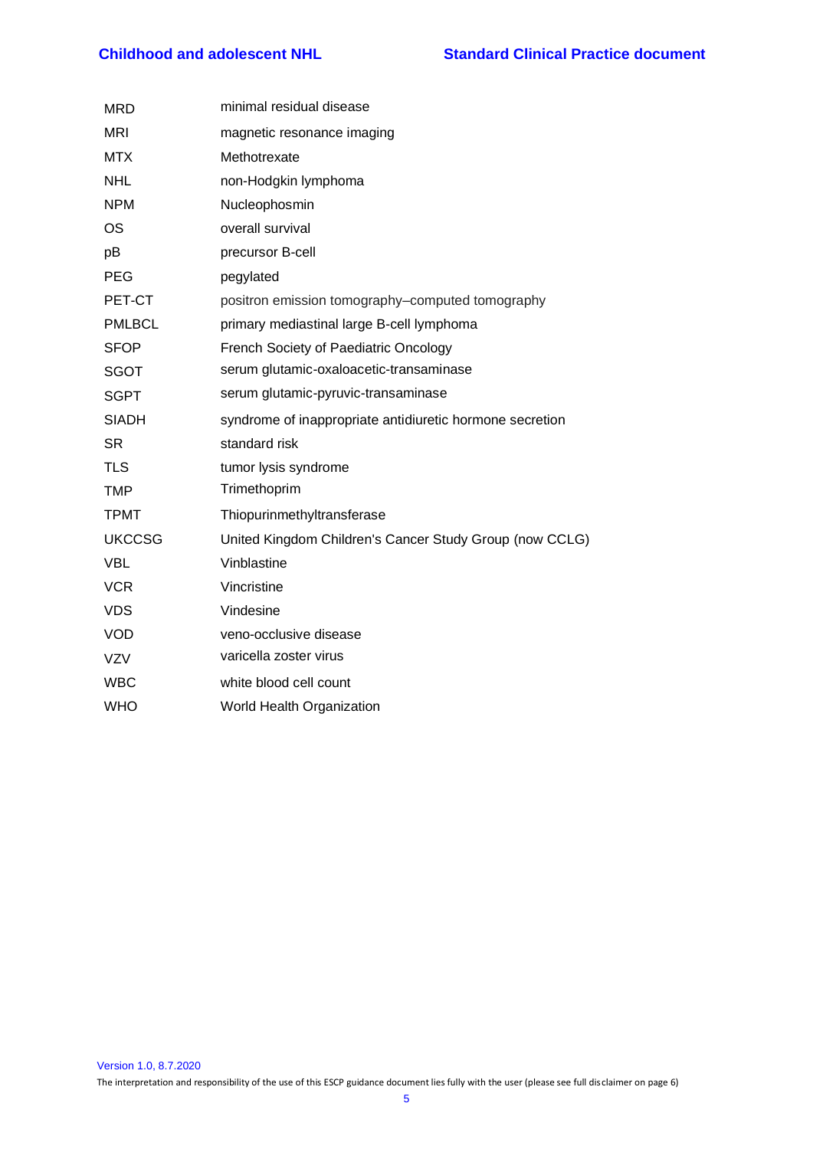| <b>MRD</b>    | minimal residual disease                                 |
|---------------|----------------------------------------------------------|
| <b>MRI</b>    | magnetic resonance imaging                               |
| <b>MTX</b>    | Methotrexate                                             |
| <b>NHL</b>    | non-Hodgkin lymphoma                                     |
| <b>NPM</b>    | Nucleophosmin                                            |
| <b>OS</b>     | overall survival                                         |
| pB            | precursor B-cell                                         |
| <b>PEG</b>    | pegylated                                                |
| PET-CT        | positron emission tomography-computed tomography         |
| <b>PMLBCL</b> | primary mediastinal large B-cell lymphoma                |
| <b>SFOP</b>   | French Society of Paediatric Oncology                    |
| <b>SGOT</b>   | serum glutamic-oxaloacetic-transaminase                  |
| <b>SGPT</b>   | serum glutamic-pyruvic-transaminase                      |
| <b>SIADH</b>  | syndrome of inappropriate antidiuretic hormone secretion |
| <b>SR</b>     | standard risk                                            |
| <b>TLS</b>    | tumor lysis syndrome                                     |
| <b>TMP</b>    | Trimethoprim                                             |
| <b>TPMT</b>   | Thiopurinmethyltransferase                               |
| <b>UKCCSG</b> | United Kingdom Children's Cancer Study Group (now CCLG)  |
| <b>VBL</b>    | Vinblastine                                              |
| <b>VCR</b>    | Vincristine                                              |
| <b>VDS</b>    | Vindesine                                                |
| <b>VOD</b>    | veno-occlusive disease                                   |
| <b>VZV</b>    | varicella zoster virus                                   |
| <b>WBC</b>    | white blood cell count                                   |
| <b>WHO</b>    | World Health Organization                                |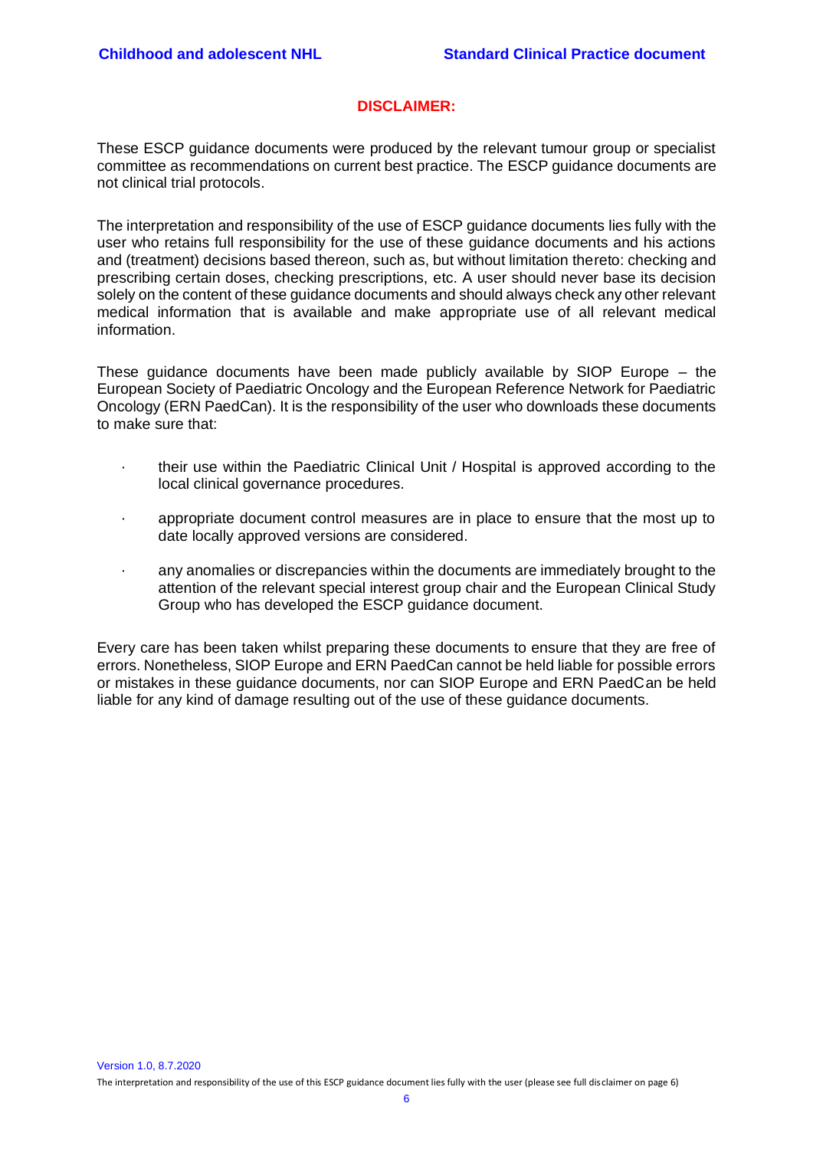# **DISCLAIMER:**

<span id="page-5-0"></span>These ESCP guidance documents were produced by the relevant tumour group or specialist committee as recommendations on current best practice. The ESCP guidance documents are not clinical trial protocols.

The interpretation and responsibility of the use of ESCP guidance documents lies fully with the user who retains full responsibility for the use of these guidance documents and his actions and (treatment) decisions based thereon, such as, but without limitation thereto: checking and prescribing certain doses, checking prescriptions, etc. A user should never base its decision solely on the content of these guidance documents and should always check any other relevant medical information that is available and make appropriate use of all relevant medical information.

These guidance documents have been made publicly available by SIOP Europe – the European Society of Paediatric Oncology and the European Reference Network for Paediatric Oncology (ERN PaedCan). It is the responsibility of the user who downloads these documents to make sure that:

- · their use within the Paediatric Clinical Unit / Hospital is approved according to the local clinical governance procedures.
- · appropriate document control measures are in place to ensure that the most up to date locally approved versions are considered.
- · any anomalies or discrepancies within the documents are immediately brought to the attention of the relevant special interest group chair and the European Clinical Study Group who has developed the ESCP guidance document.

Every care has been taken whilst preparing these documents to ensure that they are free of errors. Nonetheless, SIOP Europe and ERN PaedCan cannot be held liable for possible errors or mistakes in these guidance documents, nor can SIOP Europe and ERN PaedCan be held liable for any kind of damage resulting out of the use of these guidance documents.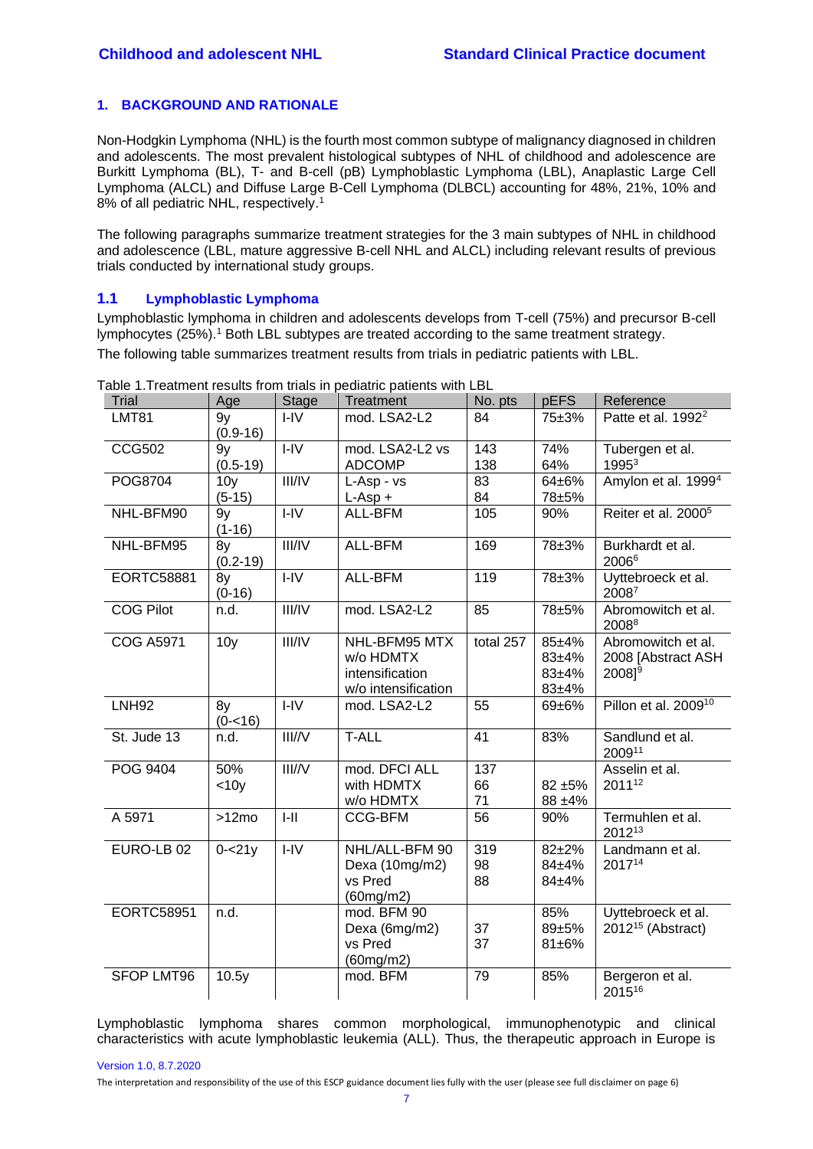## **1. BACKGROUND AND RATIONALE**

Non-Hodgkin Lymphoma (NHL) is the fourth most common subtype of malignancy diagnosed in children and adolescents. The most prevalent histological subtypes of NHL of childhood and adolescence are Burkitt Lymphoma (BL), T- and B-cell (pB) Lymphoblastic Lymphoma (LBL), Anaplastic Large Cell Lymphoma (ALCL) and Diffuse Large B-Cell Lymphoma (DLBCL) accounting for 48%, 21%, 10% and 8% of all pediatric NHL, respectively.<sup>[1](#page-39-1)</sup>

The following paragraphs summarize treatment strategies for the 3 main subtypes of NHL in childhood and adolescence (LBL, mature aggressive B-cell NHL and ALCL) including relevant results of previous trials conducted by international study groups.

# <span id="page-6-0"></span>**1.1 Lymphoblastic Lymphoma**

Lymphoblastic lymphoma in children and adolescents develops from T-cell (75%) and precursor B-cell lymphocytes (25%)[.](#page-39-1)<sup>1</sup> Both LBL subtypes are treated according to the same treatment strategy.

The following table summarizes treatment results from trials in pediatric patients with LBL.

| Trial             | Age                         | <b>Stage</b>   | <b>Treatment</b>                                                     | No. pts         | pEFS                                         | Reference                                                      |
|-------------------|-----------------------------|----------------|----------------------------------------------------------------------|-----------------|----------------------------------------------|----------------------------------------------------------------|
| <b>LMT81</b>      | 9y<br>$(0.9 - 16)$          | $I - IV$       | mod. LSA2-L2                                                         | 84              | 75±3%                                        | Patte et al. 1992 <sup>2</sup>                                 |
| <b>CCG502</b>     | 9y<br>$(0.5-19)$            | $I - IV$       | mod. LSA2-L2 vs<br><b>ADCOMP</b>                                     | 143<br>138      | 74%<br>64%                                   | Tubergen et al.<br>19953                                       |
| POG8704           | 10 <sub>y</sub><br>$(5-15)$ | III/IV         | L-Asp - vs<br>$L$ -Asp +                                             | 83<br>84        | 64±6%<br>78±5%                               | Amylon et al. 1999 <sup>4</sup>                                |
| NHL-BFM90         | 9y<br>$(1-16)$              | $I - IV$       | ALL-BFM                                                              | 105             | 90%                                          | Reiter et al. 2000 <sup>5</sup>                                |
| NHL-BFM95         | 8y<br>$(0.2 - 19)$          | III/IV         | ALL-BFM                                                              | 169             | 78±3%                                        | Burkhardt et al.<br>20066                                      |
| EORTC58881        | 8y<br>$(0-16)$              | H <sub>1</sub> | ALL-BFM                                                              | 119             | 78±3%                                        | Uyttebroeck et al.<br>20087                                    |
| <b>COG Pilot</b>  | n.d.                        | III/IV         | mod. LSA2-L2                                                         | 85              | 78±5%                                        | Abromowitch et al.<br>20088                                    |
| <b>COG A5971</b>  | 10 <sub>y</sub>             | III/IV         | NHL-BFM95 MTX<br>w/o HDMTX<br>intensification<br>w/o intensification | total 257       | 85±4%<br>$83 + 4%$<br>$83 + 4%$<br>$83 + 4%$ | Abromowitch et al.<br>2008 [Abstract ASH<br>2008 <sup>19</sup> |
| <b>LNH92</b>      | 8y<br>$(0 - 16)$            | $I - IV$       | mod. LSA2-L2                                                         | 55              | 69±6%                                        | Pillon et al. 2009 <sup>10</sup>                               |
| St. Jude 13       | n.d.                        | III/N          | <b>T-ALL</b>                                                         | 41              | 83%                                          | Sandlund et al.<br>200911                                      |
| POG 9404          | 50%<br>$<$ 10 $y$           | III/N          | mod. DFCI ALL<br>with HDMTX<br>w/o HDMTX                             | 137<br>66<br>71 | 82 ±5%<br>88 ±4%                             | Asselin et al.<br>201112                                       |
| A 5971            | >12mo                       | $I-II$         | CCG-BFM                                                              | 56              | 90%                                          | Termuhlen et al.<br>201213                                     |
| EURO-LB 02        | $0 - 21y$                   | $I-IV$         | NHL/ALL-BFM 90<br>Dexa (10mg/m2)<br>vs Pred<br>(60mg/m2)             | 319<br>98<br>88 | $82 + 2%$<br>84±4%<br>84±4%                  | Landmann et al.<br>201714                                      |
| EORTC58951        | n.d.                        |                | mod. BFM 90<br>Dexa (6mg/m2)<br>vs Pred<br>(60mg/m2)                 | 37<br>37        | 85%<br>89±5%<br>81±6%                        | Uyttebroeck et al.<br>$2012^{15}$ (Abstract)                   |
| <b>SFOP LMT96</b> | 10.5y                       |                | mod. BFM                                                             | 79              | 85%                                          | Bergeron et al.<br>201516                                      |

Table 1.Treatment results from trials in pediatric patients with LBL

Lymphoblastic lymphoma shares common morphological, immunophenotypic and clinical characteristics with acute lymphoblastic leukemia (ALL). Thus, the therapeutic approach in Europe is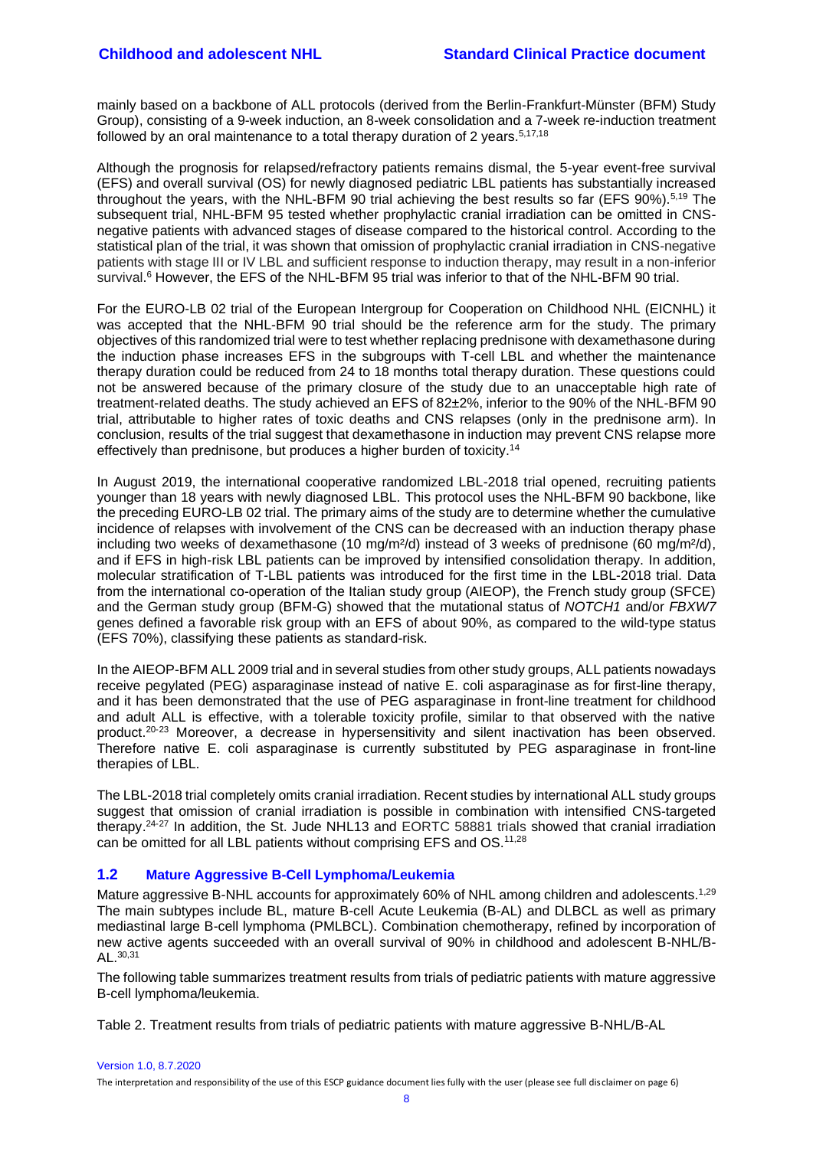mainly based on a backbone of ALL protocols (derived from the Berlin-Frankfurt-Münster (BFM) Study Group), consisting of a 9-week induction, an 8-week consolidation and a 7-week re-induction treatment followed by an oral maintenance to a total therapy duration of 2 years.<sup>[5,](#page-39-5)[17,](#page-40-0)[18](#page-40-1)</sup>

Although the prognosis for relapsed/refractory patients remains dismal, the 5-year event-free survival (EFS) and overall survival (OS) for newly diagnosed pediatric LBL patients has substantially increased throughout the years, with the NHL-BFM 90 trial achieving the best results so far (EFS 90%).<sup>[5,](#page-39-5)[19](#page-40-2)</sup> The subsequent trial, NHL-BFM 95 tested whether prophylactic cranial irradiation can be omitted in CNSnegative patients with advanced stages of disease compared to the historical control. According to the statistical plan of the trial, it was shown that omission of prophylactic cranial irradiation in CNS-negative patients with stage III or IV LBL and sufficient response to induction therapy, may result in a non-inferior survival[.](#page-39-6)<sup>6</sup> However, the EFS of the NHL-BFM 95 trial was inferior to that of the NHL-BFM 90 trial.

For the EURO-LB 02 trial of the European Intergroup for Cooperation on Childhood NHL (EICNHL) it was accepted that the NHL-BFM 90 trial should be the reference arm for the study. The primary objectives of this randomized trial were to test whether replacing prednisone with dexamethasone during the induction phase increases EFS in the subgroups with T-cell LBL and whether the maintenance therapy duration could be reduced from 24 to 18 months total therapy duration. These questions could not be answered because of the primary closure of the study due to an unacceptable high rate of treatment-related deaths. The study achieved an EFS of 82±2%, inferior to the 90% of the NHL-BFM 90 trial, attributable to higher rates of toxic deaths and CNS relapses (only in the prednisone arm). In conclusion, results of the trial suggest that dexamethasone in induction may prevent CNS relapse more effectively than prednisone, but produces a higher burden of toxicity.<sup>[14](#page-39-14)</sup>

In August 2019, the international cooperative randomized LBL-2018 trial opened, recruiting patients younger than 18 years with newly diagnosed LBL. This protocol uses the NHL-BFM 90 backbone, like the preceding EURO-LB 02 trial. The primary aims of the study are to determine whether the cumulative incidence of relapses with involvement of the CNS can be decreased with an induction therapy phase including two weeks of dexamethasone (10 mg/m<sup>2</sup>/d) instead of 3 weeks of prednisone (60 mg/m<sup>2</sup>/d), and if EFS in high-risk LBL patients can be improved by intensified consolidation therapy. In addition, molecular stratification of T-LBL patients was introduced for the first time in the LBL-2018 trial. Data from the international co-operation of the Italian study group (AIEOP), the French study group (SFCE) and the German study group (BFM-G) showed that the mutational status of *NOTCH1* and/or *FBXW7*  genes defined a favorable risk group with an EFS of about 90%, as compared to the wild-type status (EFS 70%), classifying these patients as standard-risk.

In the AIEOP-BFM ALL 2009 trial and in several studies from other study groups, ALL patients nowadays receive pegylated (PEG) asparaginase instead of native E. coli asparaginase as for first-line therapy, and it has been demonstrated that the use of PEG asparaginase in front-line treatment for childhood and adult ALL is effective, with a tolerable toxicity profile, similar to that observed with the native product.[20-23](#page-40-3) Moreover, a decrease in hypersensitivity and silent inactivation has been observed. Therefore native E. coli asparaginase is currently substituted by PEG asparaginase in front-line therapies of LBL.

The LBL-2018 trial completely omits cranial irradiation. Recent studies by international ALL study groups suggest that omission of cranial irradiation is possible in combination with intensified CNS-targeted therapy.<sup>[24-27](#page-40-4)</sup> In addition, the St. Jude NHL13 and EORTC 58881 trials showed that cranial irradiation can be omitted for all LBL patients without comprising EFS and OS.<sup>[11,](#page-39-11)[28](#page-40-5)</sup>

## <span id="page-7-0"></span>**1.2 Mature Aggressive B-Cell Lymphoma/Leukemia**

Mature aggressive B-NHL accounts for approximately 60% of NHL among children and adolescents.<sup>[1,](#page-39-1)[29](#page-40-6)</sup> The main subtypes include BL, mature B-cell Acute Leukemia (B-AL) and DLBCL as well as primary mediastinal large B-cell lymphoma (PMLBCL). Combination chemotherapy, refined by incorporation of new active agents succeeded with an overall survival of 90% in childhood and adolescent B-NHL/B-AL.[30,](#page-40-7)[31](#page-40-8)

The following table summarizes treatment results from trials of pediatric patients with mature aggressive B-cell lymphoma/leukemia.

Table 2. Treatment results from trials of pediatric patients with mature aggressive B-NHL/B-AL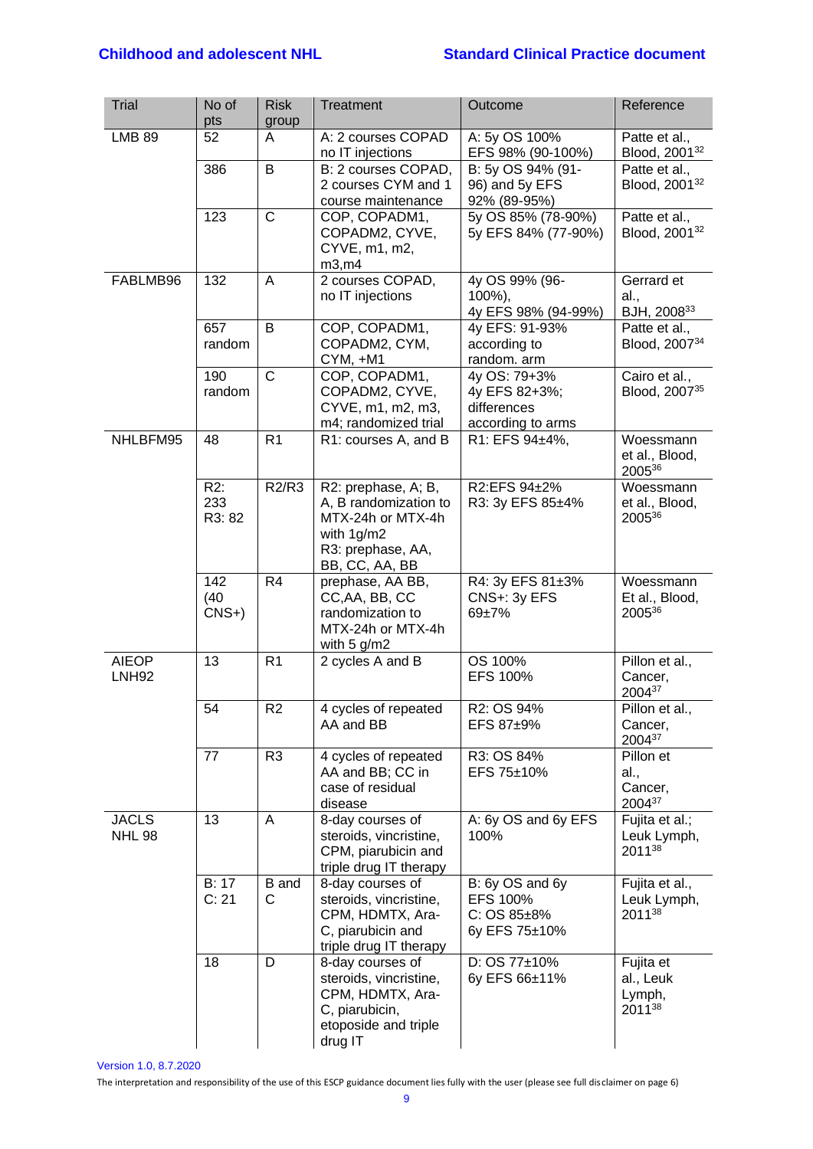# **Childhood and adolescent NHL Standard Clinical Practice document**

| Trial                         | No of<br>pts            | <b>Risk</b><br>group | <b>Treatment</b>                                                                                                       | Outcome                                                           | Reference                                           |
|-------------------------------|-------------------------|----------------------|------------------------------------------------------------------------------------------------------------------------|-------------------------------------------------------------------|-----------------------------------------------------|
| <b>LMB 89</b>                 | 52                      | A                    | A: 2 courses COPAD<br>no IT injections                                                                                 | A: 5y OS 100%<br>EFS 98% (90-100%)                                | Patte et al.,<br>Blood, 2001 <sup>32</sup>          |
|                               | 386                     | В                    | B: 2 courses COPAD,<br>2 courses CYM and 1<br>course maintenance                                                       | B: 5y OS 94% (91-<br>96) and 5y EFS<br>92% (89-95%)               | Patte et al.,<br>Blood, 2001 <sup>32</sup>          |
|                               | 123                     | $\mathsf{C}$         | COP, COPADM1,<br>COPADM2, CYVE,<br>CYVE, m1, m2,<br>m3, m4                                                             | 5y OS 85% (78-90%)<br>5y EFS 84% (77-90%)                         | Patte et al.,<br>Blood, 2001 <sup>32</sup>          |
| FABLMB96                      | 132                     | A                    | 2 courses COPAD,<br>no IT injections                                                                                   | 4y OS 99% (96-<br>100%),<br>4y EFS 98% (94-99%)                   | Gerrard et<br>al.,<br>BJH, 200833                   |
|                               | 657<br>random           | B                    | COP, COPADM1,<br>COPADM2, CYM,<br>CYM, +M1                                                                             | 4y EFS: 91-93%<br>according to<br>random. arm                     | Patte et al.,<br>Blood, 2007 <sup>34</sup>          |
|                               | 190<br>random           | $\mathsf{C}$         | COP, COPADM1,<br>COPADM2, CYVE,<br>CYVE, m1, m2, m3,<br>m4; randomized trial                                           | 4y OS: 79+3%<br>4y EFS 82+3%;<br>differences<br>according to arms | Cairo et al.,<br>Blood, 200735                      |
| NHLBFM95                      | 48                      | R <sub>1</sub>       | R1: courses A, and B                                                                                                   | R1: EFS 94±4%,                                                    | Woessmann<br>et al., Blood,<br>200536               |
|                               | $R2$ :<br>233<br>R3: 82 | <b>R2/R3</b>         | R2: prephase, A; B,<br>A, B randomization to<br>MTX-24h or MTX-4h<br>with 1g/m2<br>R3: prephase, AA,<br>BB, CC, AA, BB | R2:EFS 94±2%<br>R3: 3y EFS 85±4%                                  | Woessmann<br>et al., Blood,<br>200536               |
|                               | 142<br>(40)<br>$CNS+$   | R <sub>4</sub>       | prephase, AA BB,<br>CC, AA, BB, CC<br>randomization to<br>MTX-24h or MTX-4h<br>with $5$ g/m2                           | R4: 3y EFS 81±3%<br>CNS+: 3y EFS<br>69±7%                         | Woessmann<br>Et al., Blood,<br>200536               |
| <b>AIEOP</b><br><b>LNH92</b>  | 13                      | R <sub>1</sub>       | 2 cycles A and B                                                                                                       | OS 100%<br>EFS 100%                                               | Pillon et al.,<br>Cancer,<br>200437                 |
|                               | 54                      | R <sub>2</sub>       | 4 cycles of repeated<br>AA and BB                                                                                      | R2: OS 94%<br>EFS 87±9%                                           | Pillon et al.,<br>Cancer,<br>200437                 |
|                               | 77                      | R <sub>3</sub>       | 4 cycles of repeated<br>AA and BB; CC in<br>case of residual<br>disease                                                | R3: OS 84%<br>EFS 75±10%                                          | Pillon et<br>al.,<br>Cancer,<br>200437              |
| <b>JACLS</b><br><b>NHL 98</b> | 13                      | A                    | 8-day courses of<br>steroids, vincristine,<br>CPM, piarubicin and<br>triple drug IT therapy                            | A: 6y OS and 6y EFS<br>100%                                       | Fujita et al.;<br>Leuk Lymph,<br>2011 <sup>38</sup> |
|                               | B: 17<br>C: 21          | <b>B</b> and<br>С    | 8-day courses of<br>steroids, vincristine,<br>CPM, HDMTX, Ara-<br>C, piarubicin and<br>triple drug IT therapy          | B: 6y OS and 6y<br>EFS 100%<br>C: OS 85±8%<br>6y EFS 75±10%       | Fujita et al.,<br>Leuk Lymph,<br>201138             |
|                               | 18                      | D                    | 8-day courses of<br>steroids, vincristine,<br>CPM, HDMTX, Ara-<br>C, piarubicin,<br>etoposide and triple<br>drug IT    | D: $OS 77±10%$<br>6y EFS 66±11%                                   | Fujita et<br>al., Leuk<br>Lymph,<br>201138          |

Version 1.0, 8.7.2020

The interpretation and responsibility of the use of this ESCP guidance document lies fully with the user (please see full disclaimer on page 6)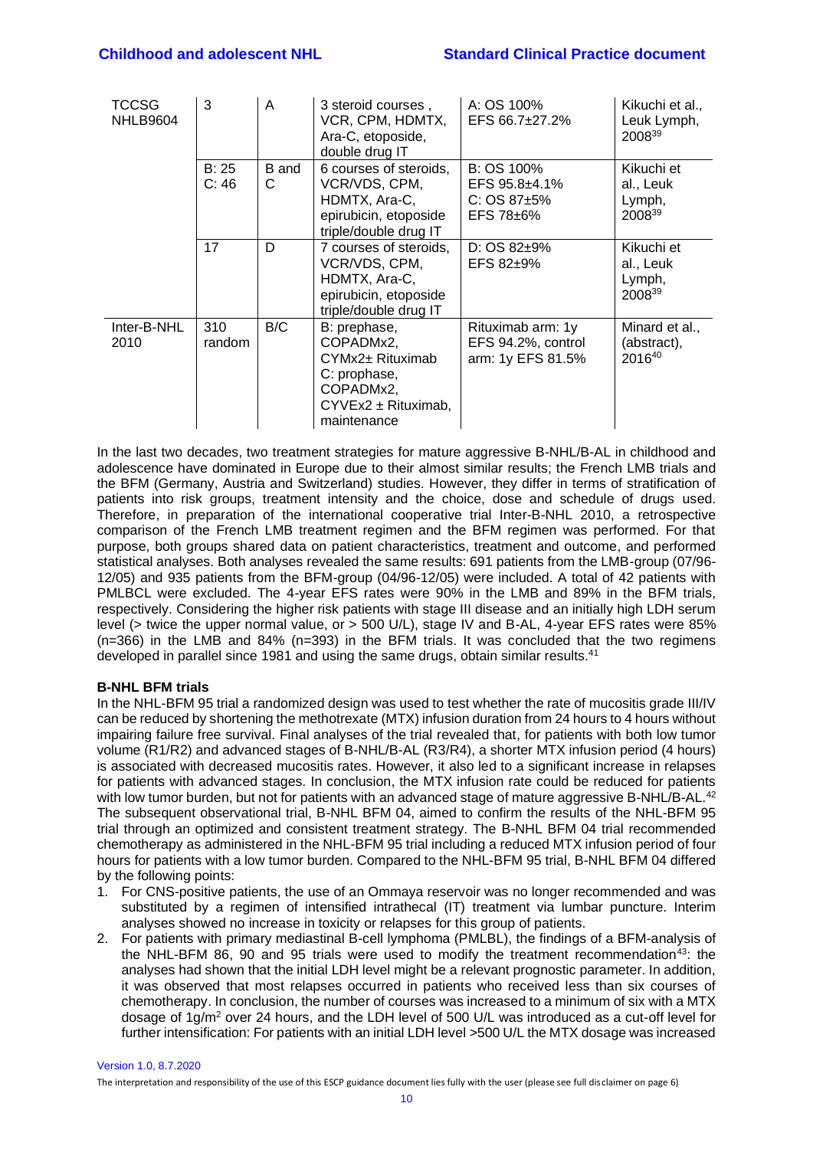| <b>TCCSG</b><br><b>NHLB9604</b> | 3             | A                 | 3 steroid courses,<br>VCR, CPM, HDMTX,<br>Ara-C, etoposide,<br>double drug IT                                         | A: OS 100%<br>EFS 66.7±27.2%                                       | Kikuchi et al.,<br>Leuk Lymph,<br>200839    |
|---------------------------------|---------------|-------------------|-----------------------------------------------------------------------------------------------------------------------|--------------------------------------------------------------------|---------------------------------------------|
|                                 | B: 25<br>C:46 | <b>B</b> and<br>C | 6 courses of steroids,<br>VCR/VDS, CPM,<br>HDMTX, Ara-C,<br>epirubicin, etoposide<br>triple/double drug IT            | B: OS 100%<br>EFS $95.8 + 4.1\%$<br>$C: OS 87+5%$<br>$EFS 78 + 6%$ | Kikuchi et<br>al., Leuk<br>Lymph,<br>200839 |
|                                 | 17            | D                 | 7 courses of steroids,<br>VCR/VDS, CPM,<br>HDMTX, Ara-C,<br>epirubicin, etoposide<br>triple/double drug IT            | $D: OS 82+9%$<br>$EFS 82+9%$                                       | Kikuchi et<br>al., Leuk<br>Lymph,<br>200839 |
| Inter-B-NHL<br>2010             | 310<br>random | B/C               | B: prephase,<br>COPADMx2,<br>CYMx2± Rituximab<br>C: prophase,<br>COPADMx2,<br>$CYVEx2 \pm Rituximab$ ,<br>maintenance | Rituximab arm: 1y<br>EFS 94.2%, control<br>arm: 1y EFS 81.5%       | Minard et al.,<br>(abstract),<br>201640     |

In the last two decades, two treatment strategies for mature aggressive B-NHL/B-AL in childhood and adolescence have dominated in Europe due to their almost similar results; the French LMB trials and the BFM (Germany, Austria and Switzerland) studies. However, they differ in terms of stratification of patients into risk groups, treatment intensity and the choice, dose and schedule of drugs used. Therefore, in preparation of the international cooperative trial Inter-B-NHL 2010, a retrospective comparison of the French LMB treatment regimen and the BFM regimen was performed. For that purpose, both groups shared data on patient characteristics, treatment and outcome, and performed statistical analyses. Both analyses revealed the same results: 691 patients from the LMB-group (07/96- 12/05) and 935 patients from the BFM-group (04/96-12/05) were included. A total of 42 patients with PMLBCL were excluded. The 4-year EFS rates were 90% in the LMB and 89% in the BFM trials, respectively. Considering the higher risk patients with stage III disease and an initially high LDH serum level (> twice the upper normal value, or > 500 U/L), stage IV and B-AL, 4-year EFS rates were 85% (n=366) in the LMB and 84% (n=393) in the BFM trials. It was concluded that the two regimens developed in parallel since 1981 and using the same drugs, obtain similar results.[41](#page-41-6)

## **B-NHL BFM trials**

In the NHL-BFM 95 trial a randomized design was used to test whether the rate of mucositis grade III/IV can be reduced by shortening the methotrexate (MTX) infusion duration from 24 hours to 4 hours without impairing failure free survival. Final analyses of the trial revealed that, for patients with both low tumor volume (R1/R2) and advanced stages of B-NHL/B-AL (R3/R4), a shorter MTX infusion period (4 hours) is associated with decreased mucositis rates. However, it also led to a significant increase in relapses for patients with advanced stages. In conclusion, the MTX infusion rate could be reduced for patients with low tumor burden, but not for patients with an advanced stage of mature aggressive B-NHL/B-AL.<sup>[42](#page-41-7)</sup> The subsequent observational trial, B-NHL BFM 04, aimed to confirm the results of the NHL-BFM 95 trial through an optimized and consistent treatment strategy. The B-NHL BFM 04 trial recommended chemotherapy as administered in the NHL-BFM 95 trial including a reduced MTX infusion period of four hours for patients with a low tumor burden. Compared to the NHL-BFM 95 trial, B-NHL BFM 04 differed by the following points:

- 1. For CNS-positive patients, the use of an Ommaya reservoir was no longer recommended and was substituted by a regimen of intensified intrathecal (IT) treatment via lumbar puncture. Interim analyses showed no increase in toxicity or relapses for this group of patients.
- 2. For patients with primary mediastinal B-cell lymphoma (PMLBL), the findings of a BFM-analysis of the NHL-BFM 86, 90 and 95 trials were used to modify the treatment recommendation<sup>[43](#page-41-8)</sup>: the analyses had shown that the initial LDH level might be a relevant prognostic parameter. In addition, it was observed that most relapses occurred in patients who received less than six courses of chemotherapy. In conclusion, the number of courses was increased to a minimum of six with a MTX dosage of 1g/m<sup>2</sup> over 24 hours, and the LDH level of 500 U/L was introduced as a cut-off level for further intensification: For patients with an initial LDH level >500 U/L the MTX dosage was increased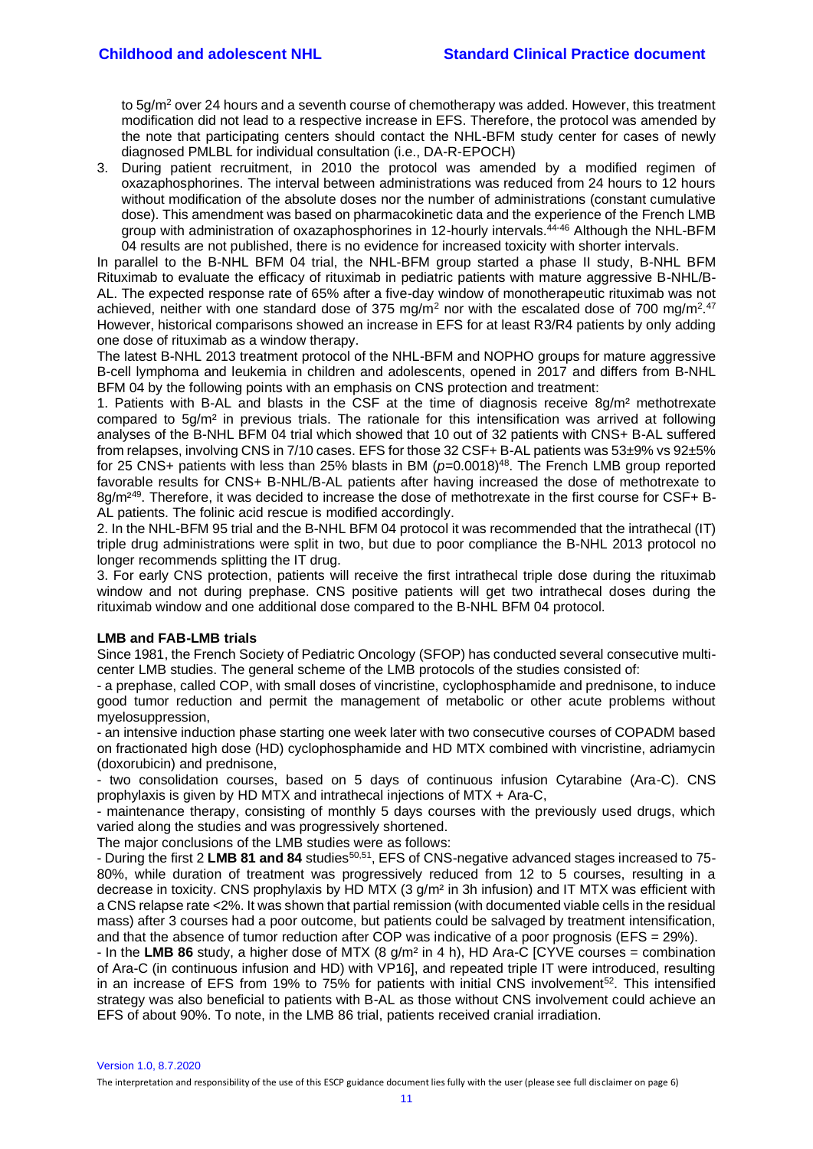to  $5g/m^2$  over 24 hours and a seventh course of chemotherapy was added. However, this treatment modification did not lead to a respective increase in EFS. Therefore, the protocol was amended by the note that participating centers should contact the NHL-BFM study center for cases of newly diagnosed PMLBL for individual consultation (i.e., DA-R-EPOCH)

3. During patient recruitment, in 2010 the protocol was amended by a modified regimen of oxazaphosphorines. The interval between administrations was reduced from 24 hours to 12 hours without modification of the absolute doses nor the number of administrations (constant cumulative dose). This amendment was based on pharmacokinetic data and the experience of the French LMB group with administration of oxazaphosphorines in 12-hourly intervals.<sup>[44-46](#page-41-9)</sup> Although the NHL-BFM 04 results are not published, there is no evidence for increased toxicity with shorter intervals.

In parallel to the B-NHL BFM 04 trial, the NHL-BFM group started a phase II study, B-NHL BFM Rituximab to evaluate the efficacy of rituximab in pediatric patients with mature aggressive B-NHL/B-AL. The expected response rate of 65% after a five-day window of monotherapeutic rituximab was not achieved, neither with one standard dose of 375 mg/m<sup>2</sup> nor with the escalated dose of 700 mg/m<sup>2</sup>.<sup>[47](#page-41-10)</sup> However, historical comparisons showed an increase in EFS for at least R3/R4 patients by only adding one dose of rituximab as a window therapy.

The latest B-NHL 2013 treatment protocol of the NHL-BFM and NOPHO groups for mature aggressive B-cell lymphoma and leukemia in children and adolescents, opened in 2017 and differs from B-NHL BFM 04 by the following points with an emphasis on CNS protection and treatment:

1. Patients with B-AL and blasts in the CSF at the time of diagnosis receive 8g/m² methotrexate compared to 5g/m² in previous trials. The rationale for this intensification was arrived at following analyses of the B-NHL BFM 04 trial which showed that 10 out of 32 patients with CNS+ B-AL suffered from relapses, involving CNS in 7/10 cases. EFS for those 32 CSF+ B-AL patients was 53±9% vs 92±5% for 25 CNS+ patients with less than 25% blasts in BM ( $p=0.0018$ )<sup>[48](#page-41-11)</sup>. The French LMB group reported favorable results for CNS+ B-NHL/B-AL patients after having increased the dose of methotrexate to 8g/m<sup>2[49](#page-41-12)</sup>. Therefore, it was decided to increase the dose of methotrexate in the first course for CSF+ B-AL patients. The folinic acid rescue is modified accordingly.

2. In the NHL-BFM 95 trial and the B-NHL BFM 04 protocol it was recommended that the intrathecal (IT) triple drug administrations were split in two, but due to poor compliance the B-NHL 2013 protocol no longer recommends splitting the IT drug.

3. For early CNS protection, patients will receive the first intrathecal triple dose during the rituximab window and not during prephase. CNS positive patients will get two intrathecal doses during the rituximab window and one additional dose compared to the B-NHL BFM 04 protocol.

#### **LMB and FAB-LMB trials**

Since 1981, the French Society of Pediatric Oncology (SFOP) has conducted several consecutive multicenter LMB studies. The general scheme of the LMB protocols of the studies consisted of:

- a prephase, called COP, with small doses of vincristine, cyclophosphamide and prednisone, to induce good tumor reduction and permit the management of metabolic or other acute problems without myelosuppression,

- an intensive induction phase starting one week later with two consecutive courses of COPADM based on fractionated high dose (HD) cyclophosphamide and HD MTX combined with vincristine, adriamycin (doxorubicin) and prednisone,

- two consolidation courses, based on 5 days of continuous infusion Cytarabine (Ara-C). CNS prophylaxis is given by HD MTX and intrathecal injections of MTX + Ara-C,

- maintenance therapy, consisting of monthly 5 days courses with the previously used drugs, which varied along the studies and was progressively shortened.

The major conclusions of the LMB studies were as follows:

- During the first 2 LMB 81 and 84 studies<sup>[50,](#page-42-0)[51](#page-42-1)</sup>, EFS of CNS-negative advanced stages increased to 75-80%, while duration of treatment was progressively reduced from 12 to 5 courses, resulting in a decrease in toxicity. CNS prophylaxis by HD MTX (3 g/m² in 3h infusion) and IT MTX was efficient with a CNS relapse rate <2%. It was shown that partial remission (with documented viable cells in the residual mass) after 3 courses had a poor outcome, but patients could be salvaged by treatment intensification, and that the absence of tumor reduction after COP was indicative of a poor prognosis (EFS = 29%).

- In the **LMB 86** study, a higher dose of MTX (8 g/m² in 4 h), HD Ara-C [CYVE courses = combination of Ara-C (in continuous infusion and HD) with VP16], and repeated triple IT were introduced, resulting in an increase of EFS from 19% to 75% for patients with initial CNS involvement<sup>[52](#page-42-2)</sup>. This intensified strategy was also beneficial to patients with B-AL as those without CNS involvement could achieve an EFS of about 90%. To note, in the LMB 86 trial, patients received cranial irradiation.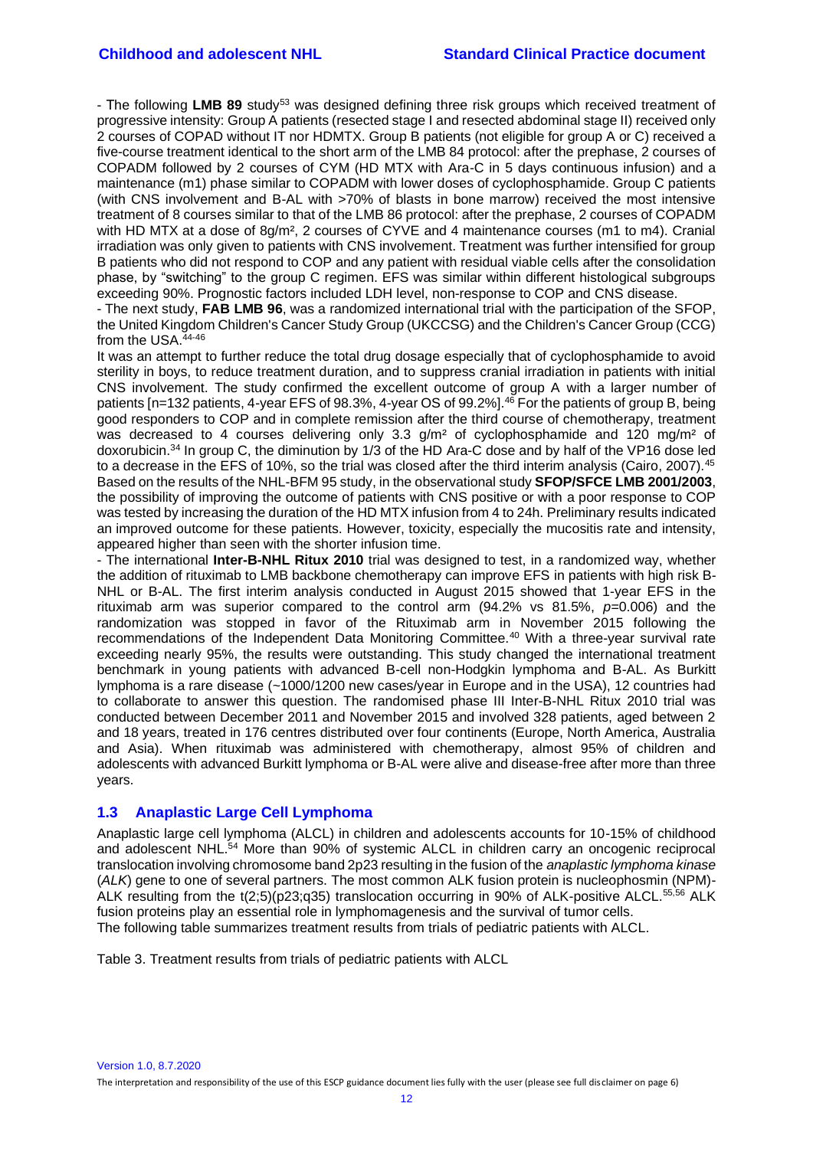- The following LMB 89 study<sup>[53](#page-42-3)</sup> was designed defining three risk groups which received treatment of progressive intensity: Group A patients (resected stage I and resected abdominal stage II) received only 2 courses of COPAD without IT nor HDMTX. Group B patients (not eligible for group A or C) received a five-course treatment identical to the short arm of the LMB 84 protocol: after the prephase, 2 courses of COPADM followed by 2 courses of CYM (HD MTX with Ara-C in 5 days continuous infusion) and a maintenance (m1) phase similar to COPADM with lower doses of cyclophosphamide. Group C patients (with CNS involvement and B-AL with >70% of blasts in bone marrow) received the most intensive treatment of 8 courses similar to that of the LMB 86 protocol: after the prephase, 2 courses of COPADM with HD MTX at a dose of 8g/m², 2 courses of CYVE and 4 maintenance courses (m1 to m4). Cranial irradiation was only given to patients with CNS involvement. Treatment was further intensified for group B patients who did not respond to COP and any patient with residual viable cells after the consolidation phase, by "switching" to the group C regimen. EFS was similar within different histological subgroups exceeding 90%. Prognostic factors included LDH level, non-response to COP and CNS disease.

- The next study, **FAB LMB 96**, was a randomized international trial with the participation of the SFOP, the United Kingdom Children's Cancer Study Group (UKCCSG) and the Children's Cancer Group (CCG) from the USA.<sup>[44-46](#page-41-9)</sup>

It was an attempt to further reduce the total drug dosage especially that of cyclophosphamide to avoid sterility in boys, to reduce treatment duration, and to suppress cranial irradiation in patients with initial CNS involvement. The study confirmed the excellent outcome of group A with a larger number of patients [n=132 patients, 4-year EFS of 98.3%, 4-year OS of 99.2%].<sup>[46](#page-41-13)</sup> For the patients of group B, being good responders to COP and in complete remission after the third course of chemotherapy, treatment was decreased to 4 courses delivering only 3.3 g/m<sup>2</sup> of cyclophosphamide and 120 mg/m<sup>2</sup> of doxorubicin.[34](#page-40-11) In group C, the diminution by 1/3 of the HD Ara-C dose and by half of the VP16 dose led to a decrease in the EFS of 10%, so the trial was closed after the third interim analysis (Cairo, 2007).<sup>[45](#page-41-14)</sup> Based on the results of the NHL-BFM 95 study, in the observational study **SFOP/SFCE LMB 2001/2003**, the possibility of improving the outcome of patients with CNS positive or with a poor response to COP was tested by increasing the duration of the HD MTX infusion from 4 to 24h. Preliminary results indicated an improved outcome for these patients. However, toxicity, especially the mucositis rate and intensity, appeared higher than seen with the shorter infusion time.

- The international **Inter-B-NHL Ritux 2010** trial was designed to test, in a randomized way, whether the addition of rituximab to LMB backbone chemotherapy can improve EFS in patients with high risk B-NHL or B-AL. The first interim analysis conducted in August 2015 showed that 1-year EFS in the rituximab arm was superior compared to the control arm (94.2% vs 81.5%, *p*=0.006) and the randomization was stopped in favor of the Rituximab arm in November 2015 following the recommendations of the Independent Data Monitoring Committee.<sup>[40](#page-41-5)</sup> With a three-year survival rate exceeding nearly 95%, the results were outstanding. This study changed the international treatment benchmark in young patients with advanced B-cell non-Hodgkin lymphoma and B-AL. As Burkitt lymphoma is a rare disease (~1000/1200 new cases/year in Europe and in the USA), 12 countries had to collaborate to answer this question. The randomised phase III Inter-B-NHL Ritux 2010 trial was conducted between December 2011 and November 2015 and involved 328 patients, aged between 2 and 18 years, treated in 176 centres distributed over four continents (Europe, North America, Australia and Asia). When rituximab was administered with chemotherapy, almost 95% of children and adolescents with advanced Burkitt lymphoma or B-AL were alive and disease-free after more than three years.

## <span id="page-11-0"></span>**1.3 Anaplastic Large Cell Lymphoma**

Anaplastic large cell lymphoma (ALCL) in children and adolescents accounts for 10-15% of childhood and adolescent NHL.<sup>[54](#page-42-4)</sup> More than 90% of systemic ALCL in children carry an oncogenic reciprocal translocation involving chromosome band 2p23 resulting in the fusion of the *anaplastic lymphoma kinase* (*ALK*) gene to one of several partners. The most common ALK fusion protein is nucleophosmin (NPM)- ALK resulting from the t(2;5)(p23;q35) translocation occurring in 90% of ALK-positive ALCL.<sup>[55,](#page-42-5)[56](#page-42-6)</sup> ALK fusion proteins play an essential role in lymphomagenesis and the survival of tumor cells. The following table summarizes treatment results from trials of pediatric patients with ALCL.

Table 3. Treatment results from trials of pediatric patients with ALCL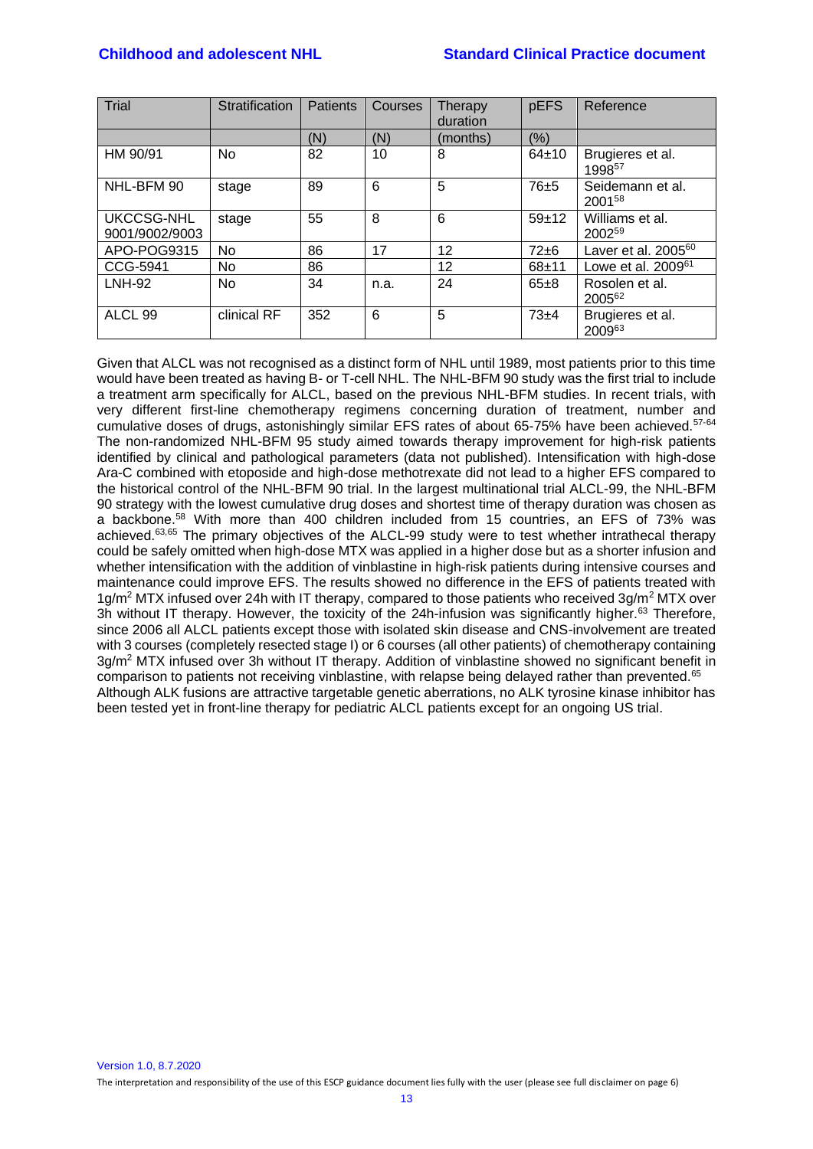#### **Childhood and adolescent NHL Standard Clinical Practice document**

| Trial                        | Stratification | <b>Patients</b> | Courses | Therapy<br>duration | pEFS      | Reference                              |
|------------------------------|----------------|-----------------|---------|---------------------|-----------|----------------------------------------|
|                              |                | (N)             | (N)     | (months)            | (%)       |                                        |
| HM 90/91                     | <b>No</b>      | 82              | 10      | 8                   | 64±10     | Brugieres et al.<br>1998 <sup>57</sup> |
| NHL-BFM 90                   | stage          | 89              | 6       | 5                   | 76±5      | Seidemann et al.<br>2001 <sup>58</sup> |
| UKCCSG-NHL<br>9001/9002/9003 | stage          | 55              | 8       | 6                   | $59+12$   | Williams et al.<br>2002 <sup>59</sup>  |
| APO-POG9315                  | No             | 86              | 17      | 12                  | $72\pm 6$ | Laver et al. 2005 <sup>60</sup>        |
| CCG-5941                     | <b>No</b>      | 86              |         | 12                  | $68 + 11$ | Lowe et al. $2009^{61}$                |
| $LNH-92$                     | <b>No</b>      | 34              | n.a.    | 24                  | $65 + 8$  | Rosolen et al.<br>2005 <sup>62</sup>   |
| ALCL <sub>99</sub>           | clinical RF    | 352             | 6       | 5                   | $73+4$    | Brugieres et al.<br>200963             |

<span id="page-12-0"></span>Given that ALCL was not recognised as a distinct form of NHL until 1989, most patients prior to this time would have been treated as having B- or T-cell NHL. The NHL-BFM 90 study was the first trial to include a treatment arm specifically for ALCL, based on the previous NHL-BFM studies. In recent trials, with very different first-line chemotherapy regimens concerning duration of treatment, number and cumulative doses of drugs, astonishingly similar EFS rates of about 65-75% have been achieved.<sup>[57-64](#page-42-7)</sup> The non-randomized NHL-BFM 95 study aimed towards therapy improvement for high-risk patients identified by clinical and pathological parameters (data not published). Intensification with high-dose Ara-C combined with etoposide and high-dose methotrexate did not lead to a higher EFS compared to the historical control of the NHL-BFM 90 trial. In the largest multinational trial ALCL-99, the NHL-BFM 90 strategy with the lowest cumulative drug doses and shortest time of therapy duration was chosen as a backbone.[58](#page-42-8) With more than 400 children included from 15 countries, an EFS of 73% was achieved.<sup>[63,](#page-42-13)[65](#page-42-14)</sup> The primary objectives of the ALCL-99 study were to test whether intrathecal therapy could be safely omitted when high-dose MTX was applied in a higher dose but as a shorter infusion and whether intensification with the addition of vinblastine in high-risk patients during intensive courses and maintenance could improve EFS. The results showed no difference in the EFS of patients treated with  $1g/m^2$  MTX infused over 24h with IT therapy, compared to those patients who received  $3g/m^2$  MTX over 3h without IT therapy. However, the toxicity of the 24h-infusion was significantly higher.<sup>[63](#page-42-13)</sup> Therefore, since 2006 all ALCL patients except those with isolated skin disease and CNS-involvement are treated with 3 courses (completely resected stage I) or 6 courses (all other patients) of chemotherapy containing 3g/m<sup>2</sup> MTX infused over 3h without IT therapy. Addition of vinblastine showed no significant benefit in comparison to patients not receiving vinblastine, with relapse being delayed rather than prevented.<sup>[65](#page-42-14)</sup> Although ALK fusions are attractive targetable genetic aberrations, no ALK tyrosine kinase inhibitor has been tested yet in front-line therapy for pediatric ALCL patients except for an ongoing US trial.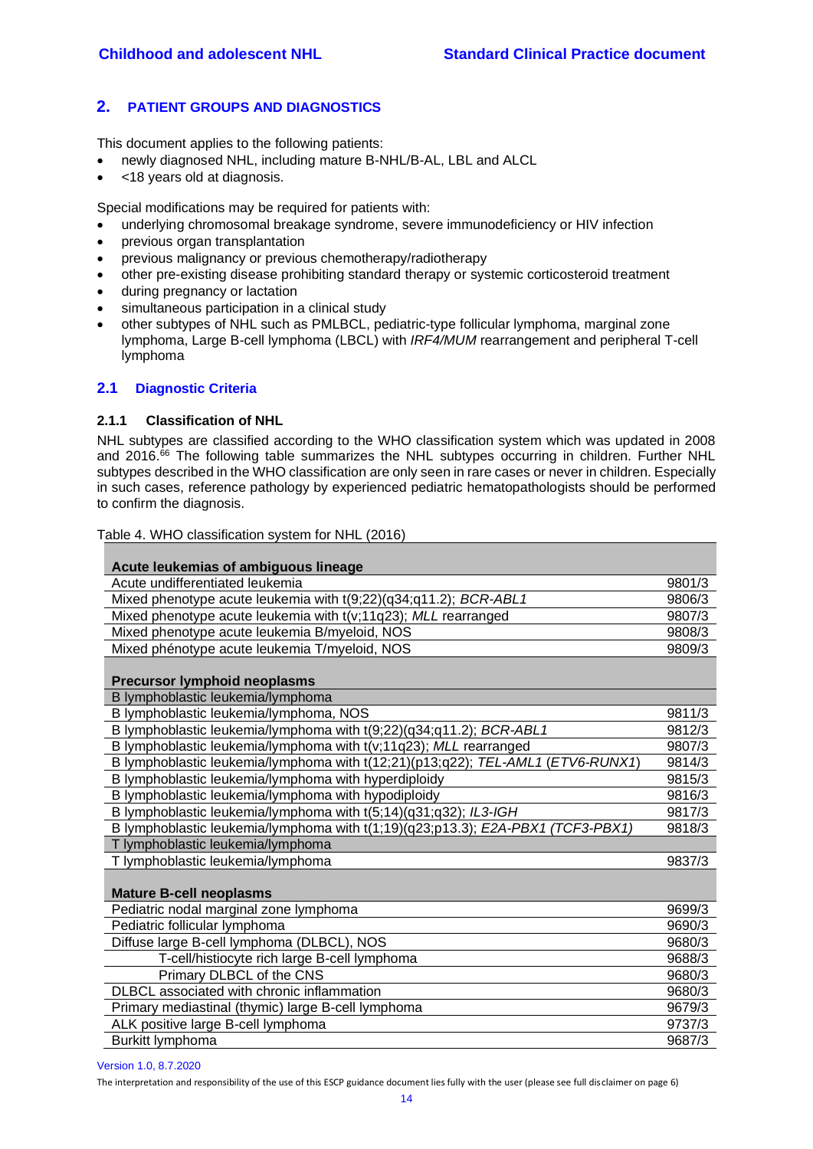# **2. PATIENT GROUPS AND DIAGNOSTICS**

This document applies to the following patients:

- newly diagnosed NHL, including mature B-NHL/B-AL, LBL and ALCL
- <18 years old at diagnosis.

Special modifications may be required for patients with:

- underlying chromosomal breakage syndrome, severe immunodeficiency or HIV infection
- previous organ transplantation
- previous malignancy or previous chemotherapy/radiotherapy
- other pre-existing disease prohibiting standard therapy or systemic corticosteroid treatment
- during pregnancy or lactation
- simultaneous participation in a clinical study
- other subtypes of NHL such as PMLBCL, pediatric-type follicular lymphoma, marginal zone lymphoma, Large B-cell lymphoma (LBCL) with *IRF4/MUM* rearrangement and peripheral T-cell lymphoma

# <span id="page-13-1"></span><span id="page-13-0"></span>**2.1 Diagnostic Criteria**

#### **2.1.1 Classification of NHL**

NHL subtypes are classified according to the WHO classification system which was updated in 2008 and 2016.<sup>[66](#page-43-0)</sup> The following table summarizes the NHL subtypes occurring in children. Further NHL subtypes described in the WHO classification are only seen in rare cases or never in children. Especially in such cases, reference pathology by experienced pediatric hematopathologists should be performed to confirm the diagnosis.

Table 4. WHO classification system for NHL (2016)

| Acute leukemias of ambiguous lineage                                            |        |  |
|---------------------------------------------------------------------------------|--------|--|
| Acute undifferentiated leukemia                                                 | 9801/3 |  |
| Mixed phenotype acute leukemia with t(9;22)(q34;q11.2); BCR-ABL1                | 9806/3 |  |
| Mixed phenotype acute leukemia with t(v;11q23); MLL rearranged                  |        |  |
| Mixed phenotype acute leukemia B/myeloid, NOS                                   |        |  |
| Mixed phénotype acute leukemia T/myeloid, NOS                                   | 9809/3 |  |
| <b>Precursor lymphoid neoplasms</b>                                             |        |  |
| B lymphoblastic leukemia/lymphoma                                               |        |  |
| B lymphoblastic leukemia/lymphoma, NOS                                          | 9811/3 |  |
| B lymphoblastic leukemia/lymphoma with t(9;22)(q34;q11.2); BCR-ABL1             | 9812/3 |  |
| B lymphoblastic leukemia/lymphoma with t(v;11q23); MLL rearranged               | 9807/3 |  |
| B lymphoblastic leukemia/lymphoma with t(12;21)(p13;q22); TEL-AML1 (ETV6-RUNX1) | 9814/3 |  |
| B lymphoblastic leukemia/lymphoma with hyperdiploidy                            | 9815/3 |  |
| B lymphoblastic leukemia/lymphoma with hypodiploidy                             | 9816/3 |  |
| B lymphoblastic leukemia/lymphoma with t(5;14)(q31;q32); IL3-IGH                | 9817/3 |  |
| B lymphoblastic leukemia/lymphoma with t(1;19)(q23;p13.3); E2A-PBX1 (TCF3-PBX1) | 9818/3 |  |
| T lymphoblastic leukemia/lymphoma                                               |        |  |
| T lymphoblastic leukemia/lymphoma                                               | 9837/3 |  |
| <b>Mature B-cell neoplasms</b>                                                  |        |  |
| Pediatric nodal marginal zone lymphoma                                          | 9699/3 |  |
| Pediatric follicular lymphoma                                                   | 9690/3 |  |
| Diffuse large B-cell lymphoma (DLBCL), NOS                                      | 9680/3 |  |
| T-cell/histiocyte rich large B-cell lymphoma                                    | 9688/3 |  |
| Primary DLBCL of the CNS                                                        | 9680/3 |  |
| DLBCL associated with chronic inflammation                                      | 9680/3 |  |
| Primary mediastinal (thymic) large B-cell lymphoma                              | 9679/3 |  |
| ALK positive large B-cell lymphoma                                              | 9737/3 |  |
| Burkitt lymphoma                                                                | 9687/3 |  |

Version 1.0, 8.7.2020

The interpretation and responsibility of the use of this ESCP guidance document lies fully with the user (please see full disclaimer on page 6)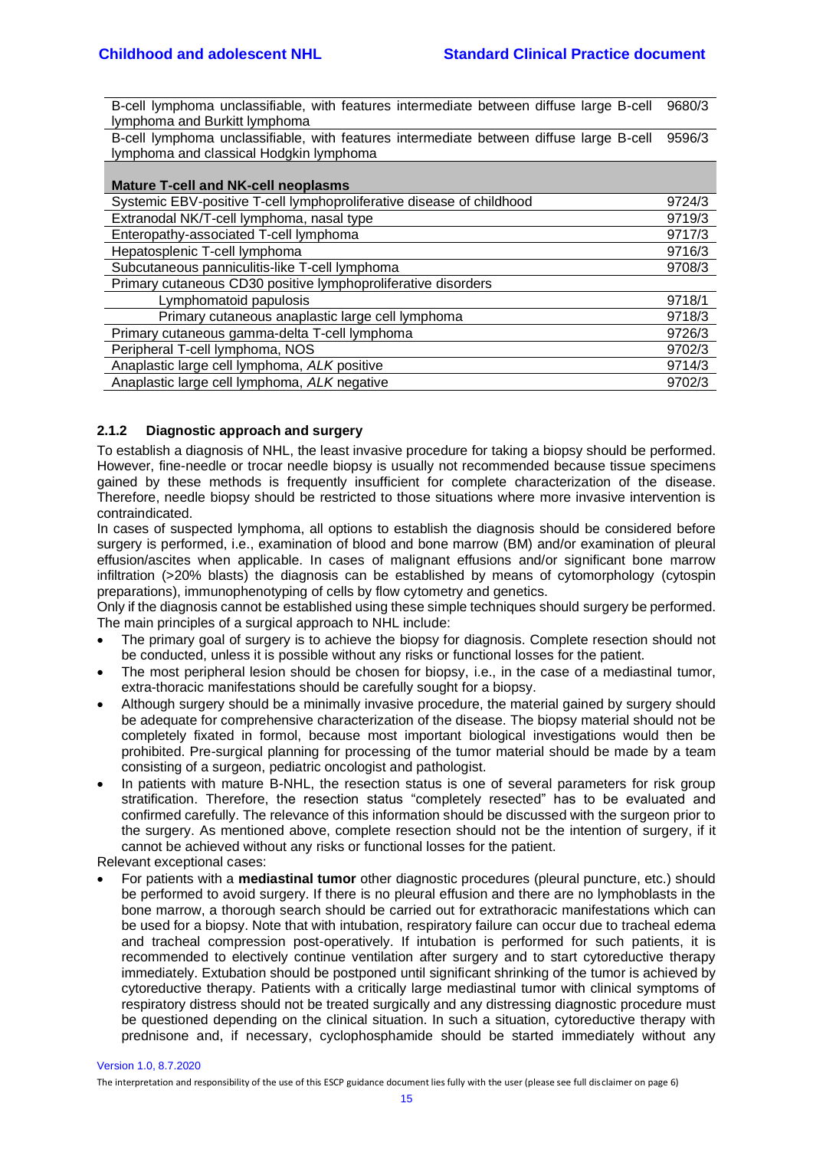B-cell lymphoma unclassifiable, with features intermediate between diffuse large B-cell lymphoma and Burkitt lymphoma 9680/3

B-cell lymphoma unclassifiable, with features intermediate between diffuse large B-cell lymphoma and classical Hodgkin lymphoma 9596/3

| <b>Mature T-cell and NK-cell neoplasms</b>                            |        |  |  |
|-----------------------------------------------------------------------|--------|--|--|
| Systemic EBV-positive T-cell lymphoproliferative disease of childhood | 9724/3 |  |  |
| Extranodal NK/T-cell lymphoma, nasal type                             | 9719/3 |  |  |
| Enteropathy-associated T-cell lymphoma                                | 9717/3 |  |  |
| Hepatosplenic T-cell lymphoma                                         | 9716/3 |  |  |
| Subcutaneous panniculitis-like T-cell lymphoma                        | 9708/3 |  |  |
| Primary cutaneous CD30 positive lymphoproliferative disorders         |        |  |  |
| Lymphomatoid papulosis                                                | 9718/1 |  |  |
| Primary cutaneous anaplastic large cell lymphoma                      | 9718/3 |  |  |
| Primary cutaneous gamma-delta T-cell lymphoma                         | 9726/3 |  |  |
| Peripheral T-cell lymphoma, NOS                                       | 9702/3 |  |  |
| Anaplastic large cell lymphoma, ALK positive                          | 9714/3 |  |  |
| Anaplastic large cell lymphoma, ALK negative                          | 9702/3 |  |  |

## <span id="page-14-0"></span>**2.1.2 Diagnostic approach and surgery**

To establish a diagnosis of NHL, the least invasive procedure for taking a biopsy should be performed. However, fine-needle or trocar needle biopsy is usually not recommended because tissue specimens gained by these methods is frequently insufficient for complete characterization of the disease. Therefore, needle biopsy should be restricted to those situations where more invasive intervention is contraindicated.

In cases of suspected lymphoma, all options to establish the diagnosis should be considered before surgery is performed, i.e., examination of blood and bone marrow (BM) and/or examination of pleural effusion/ascites when applicable. In cases of malignant effusions and/or significant bone marrow infiltration (>20% blasts) the diagnosis can be established by means of cytomorphology (cytospin preparations), immunophenotyping of cells by flow cytometry and genetics.

Only if the diagnosis cannot be established using these simple techniques should surgery be performed. The main principles of a surgical approach to NHL include:

- The primary goal of surgery is to achieve the biopsy for diagnosis. Complete resection should not be conducted, unless it is possible without any risks or functional losses for the patient.
- The most peripheral lesion should be chosen for biopsy, i.e., in the case of a mediastinal tumor, extra-thoracic manifestations should be carefully sought for a biopsy.
- Although surgery should be a minimally invasive procedure, the material gained by surgery should be adequate for comprehensive characterization of the disease. The biopsy material should not be completely fixated in formol, because most important biological investigations would then be prohibited. Pre-surgical planning for processing of the tumor material should be made by a team consisting of a surgeon, pediatric oncologist and pathologist.
- In patients with mature B-NHL, the resection status is one of several parameters for risk group stratification. Therefore, the resection status "completely resected" has to be evaluated and confirmed carefully. The relevance of this information should be discussed with the surgeon prior to the surgery. As mentioned above, complete resection should not be the intention of surgery, if it cannot be achieved without any risks or functional losses for the patient.

Relevant exceptional cases:

• For patients with a **mediastinal tumor** other diagnostic procedures (pleural puncture, etc.) should be performed to avoid surgery. If there is no pleural effusion and there are no lymphoblasts in the bone marrow, a thorough search should be carried out for extrathoracic manifestations which can be used for a biopsy. Note that with intubation, respiratory failure can occur due to tracheal edema and tracheal compression post-operatively. If intubation is performed for such patients, it is recommended to electively continue ventilation after surgery and to start cytoreductive therapy immediately. Extubation should be postponed until significant shrinking of the tumor is achieved by cytoreductive therapy. Patients with a critically large mediastinal tumor with clinical symptoms of respiratory distress should not be treated surgically and any distressing diagnostic procedure must be questioned depending on the clinical situation. In such a situation, cytoreductive therapy with prednisone and, if necessary, cyclophosphamide should be started immediately without any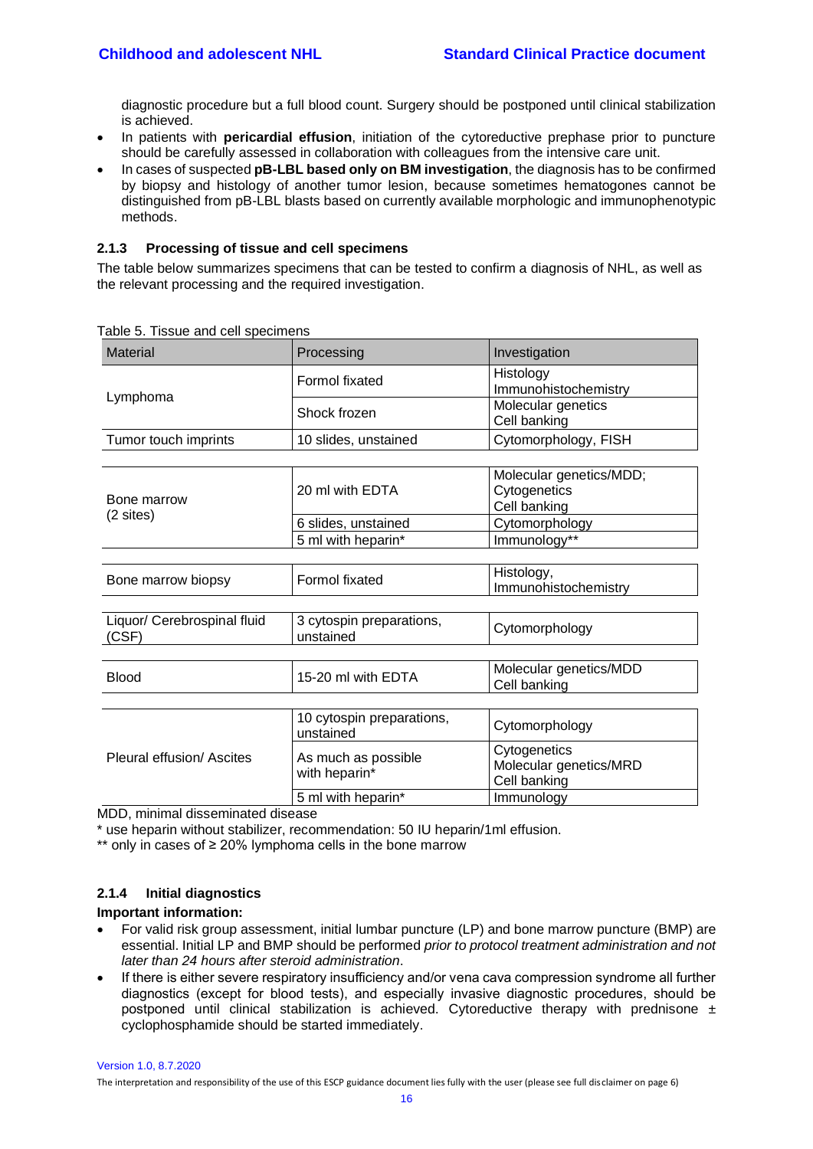diagnostic procedure but a full blood count. Surgery should be postponed until clinical stabilization is achieved.

- In patients with **pericardial effusion**, initiation of the cytoreductive prephase prior to puncture should be carefully assessed in collaboration with colleagues from the intensive care unit.
- In cases of suspected **pB-LBL based only on BM investigation**, the diagnosis has to be confirmed by biopsy and histology of another tumor lesion, because sometimes hematogones cannot be distinguished from pB-LBL blasts based on currently available morphologic and immunophenotypic methods.

## <span id="page-15-0"></span>**2.1.3 Processing of tissue and cell specimens**

The table below summarizes specimens that can be tested to confirm a diagnosis of NHL, as well as the relevant processing and the required investigation.

| <b>Material</b>                      | Processing                             | Investigation                                           |
|--------------------------------------|----------------------------------------|---------------------------------------------------------|
|                                      | Formol fixated                         | Histology<br>Immunohistochemistry                       |
| Lymphoma                             | Shock frozen                           | Molecular genetics<br>Cell banking                      |
| Tumor touch imprints                 | 10 slides, unstained                   | Cytomorphology, FISH                                    |
|                                      |                                        |                                                         |
| Bone marrow                          | 20 ml with EDTA                        | Molecular genetics/MDD;<br>Cytogenetics<br>Cell banking |
| (2 sites)                            | 6 slides, unstained                    | Cytomorphology                                          |
|                                      | 5 ml with heparin*                     | Immunology**                                            |
|                                      |                                        |                                                         |
| Bone marrow biopsy                   | Formol fixated                         | Histology,<br>Immunohistochemistry                      |
|                                      |                                        |                                                         |
| Liquor/ Cerebrospinal fluid<br>(CSF) | 3 cytospin preparations,<br>unstained  | Cytomorphology                                          |
|                                      |                                        |                                                         |
| <b>Blood</b>                         | 15-20 ml with EDTA                     | Molecular genetics/MDD<br>Cell banking                  |
|                                      |                                        |                                                         |
|                                      | 10 cytospin preparations,<br>unstained | Cytomorphology                                          |
| Pleural effusion/ Ascites            | As much as possible<br>with heparin*   | Cytogenetics<br>Molecular genetics/MRD<br>Cell banking  |
|                                      | 5 ml with heparin*                     | Immunology                                              |
| MDD, minimal diccominated dicease    |                                        |                                                         |

Table 5. Tissue and cell specimens

MDD, minimal disseminated disease

\* use heparin without stabilizer, recommendation: 50 IU heparin/1ml effusion.

\*\* only in cases of ≥ 20% lymphoma cells in the bone marrow

## <span id="page-15-1"></span>**2.1.4 Initial diagnostics**

## **Important information:**

- For valid risk group assessment, initial lumbar puncture (LP) and bone marrow puncture (BMP) are essential. Initial LP and BMP should be performed *prior to protocol treatment administration and not later than 24 hours after steroid administration*.
- If there is either severe respiratory insufficiency and/or vena cava compression syndrome all further diagnostics (except for blood tests), and especially invasive diagnostic procedures, should be postponed until clinical stabilization is achieved. Cytoreductive therapy with prednisone  $\pm$ cyclophosphamide should be started immediately.

Version 1.0, 8.7.2020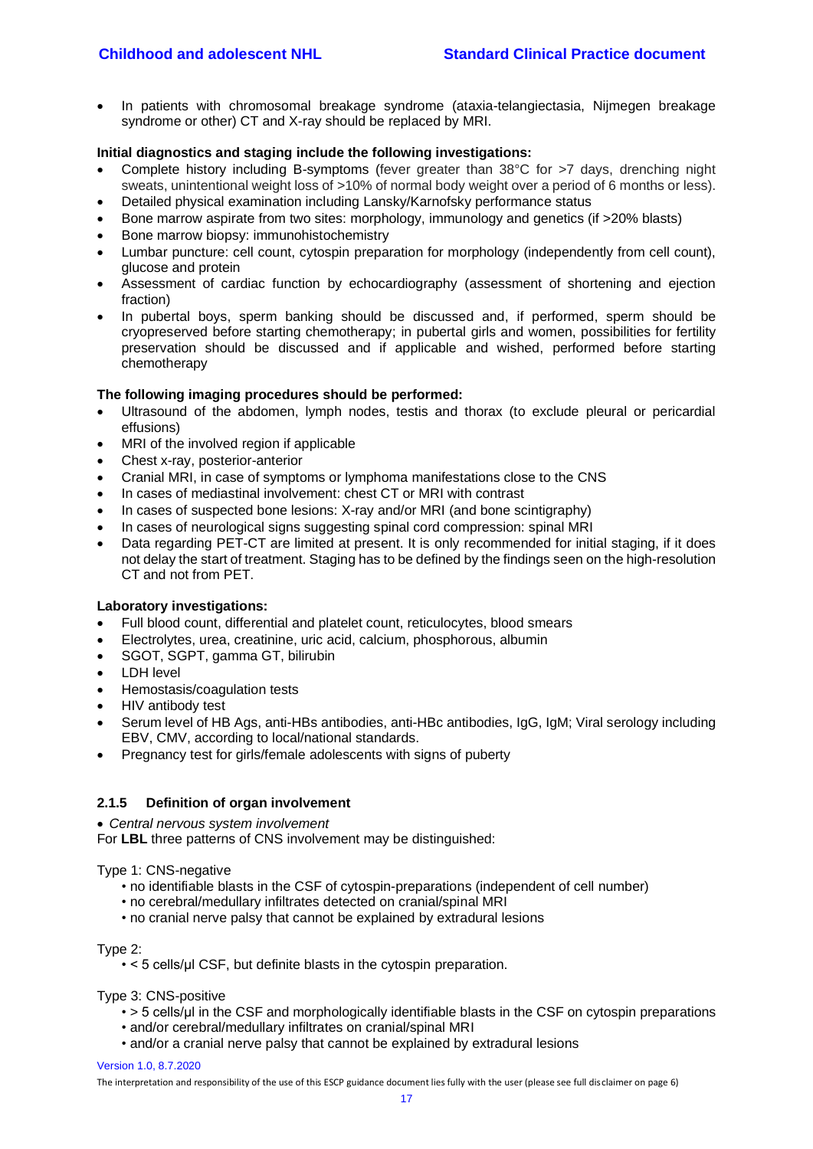• In patients with chromosomal breakage syndrome (ataxia-telangiectasia, Nijmegen breakage syndrome or other) CT and X-ray should be replaced by MRI.

#### **Initial diagnostics and staging include the following investigations:**

- Complete history including B-symptoms (fever greater than 38°C for >7 days, drenching night sweats, unintentional weight loss of >10% of normal body weight over a period of 6 months or less).
- Detailed physical examination including Lansky/Karnofsky performance status
- Bone marrow aspirate from two sites: morphology, immunology and genetics (if >20% blasts)
- Bone marrow biopsy: immunohistochemistry
- Lumbar puncture: cell count, cytospin preparation for morphology (independently from cell count), glucose and protein
- Assessment of cardiac function by echocardiography (assessment of shortening and ejection fraction)
- In pubertal boys, sperm banking should be discussed and, if performed, sperm should be cryopreserved before starting chemotherapy; in pubertal girls and women, possibilities for fertility preservation should be discussed and if applicable and wished, performed before starting chemotherapy

# **The following imaging procedures should be performed:**

- Ultrasound of the abdomen, lymph nodes, testis and thorax (to exclude pleural or pericardial effusions)
- MRI of the involved region if applicable
- Chest x-ray, posterior-anterior
- Cranial MRI, in case of symptoms or lymphoma manifestations close to the CNS
- In cases of mediastinal involvement: chest CT or MRI with contrast
- In cases of suspected bone lesions: X-ray and/or MRI (and bone scintigraphy)
- In cases of neurological signs suggesting spinal cord compression: spinal MRI
- Data regarding PET-CT are limited at present. It is only recommended for initial staging, if it does not delay the start of treatment. Staging has to be defined by the findings seen on the high-resolution CT and not from PET.

#### **Laboratory investigations:**

- Full blood count, differential and platelet count, reticulocytes, blood smears
- Electrolytes, urea, creatinine, uric acid, calcium, phosphorous, albumin
- SGOT, SGPT, gamma GT, bilirubin
- LDH level
- Hemostasis/coagulation tests
- HIV antibody test
- Serum level of HB Ags, anti-HBs antibodies, anti-HBc antibodies, IgG, IgM; Viral serology including EBV, CMV, according to local/national standards.
- Pregnancy test for girls/female adolescents with signs of puberty

## <span id="page-16-0"></span>**2.1.5 Definition of organ involvement**

#### • *Central nervous system involvement*

For **LBL** three patterns of CNS involvement may be distinguished:

#### Type 1: CNS-negative

- no identifiable blasts in the CSF of cytospin-preparations (independent of cell number)
- no cerebral/medullary infiltrates detected on cranial/spinal MRI
- no cranial nerve palsy that cannot be explained by extradural lesions

Type 2:

• < 5 cells/μl CSF, but definite blasts in the cytospin preparation.

Type 3: CNS-positive

- > 5 cells/ul in the CSF and morphologically identifiable blasts in the CSF on cytospin preparations
- and/or cerebral/medullary infiltrates on cranial/spinal MRI
- and/or a cranial nerve palsy that cannot be explained by extradural lesions

#### Version 1.0, 8.7.2020

The interpretation and responsibility of the use of this ESCP guidance document lies fully with the user (please see full disclaimer on page 6)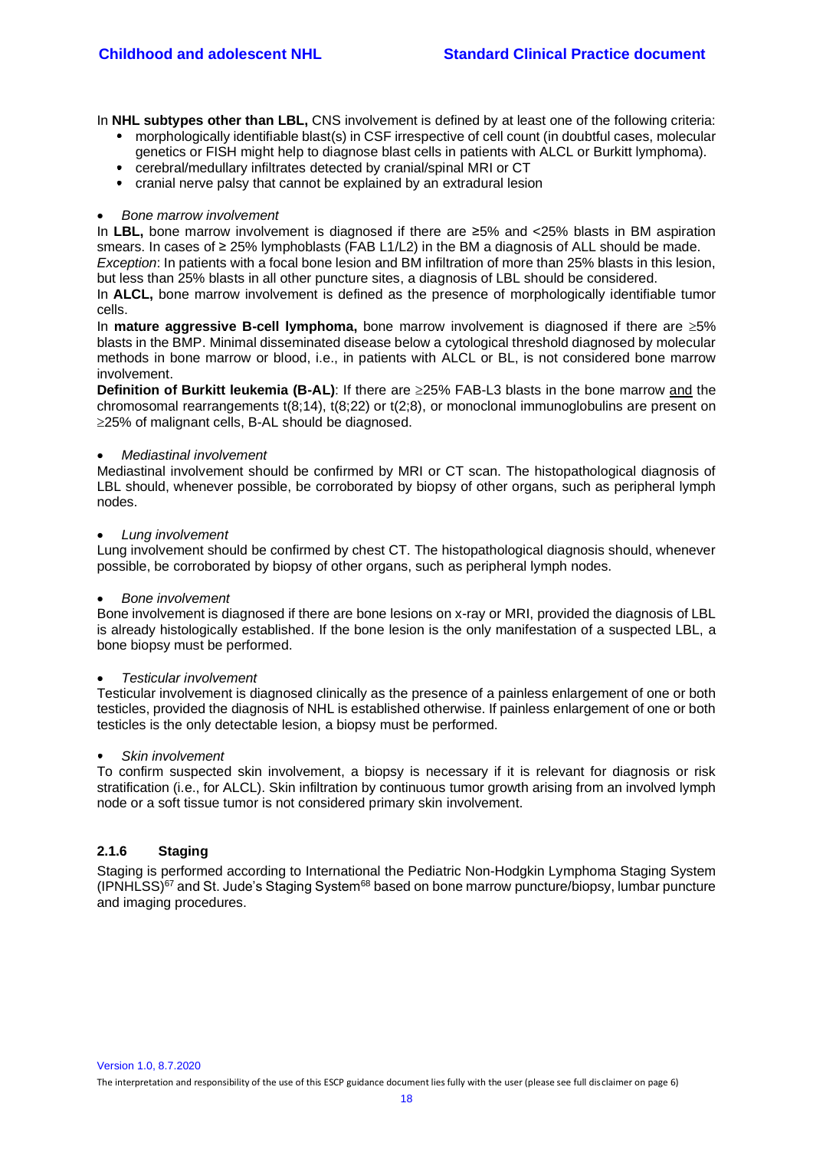In **NHL subtypes other than LBL,** CNS involvement is defined by at least one of the following criteria:

- morphologically identifiable blast(s) in CSF irrespective of cell count (in doubtful cases, molecular genetics or FISH might help to diagnose blast cells in patients with ALCL or Burkitt lymphoma).
- cerebral/medullary infiltrates detected by cranial/spinal MRI or CT
- cranial nerve palsy that cannot be explained by an extradural lesion

#### • *Bone marrow involvement*

In **LBL,** bone marrow involvement is diagnosed if there are ≥5% and <25% blasts in BM aspiration smears. In cases of ≥ 25% lymphoblasts (FAB L1/L2) in the BM a diagnosis of ALL should be made.

*Exception*: In patients with a focal bone lesion and BM infiltration of more than 25% blasts in this lesion, but less than 25% blasts in all other puncture sites, a diagnosis of LBL should be considered.

In **ALCL,** bone marrow involvement is defined as the presence of morphologically identifiable tumor cells.

In **mature aggressive B-cell lymphoma**, bone marrow involvement is diagnosed if there are  $\geq 5\%$ blasts in the BMP. Minimal disseminated disease below a cytological threshold diagnosed by molecular methods in bone marrow or blood, i.e., in patients with ALCL or BL, is not considered bone marrow involvement.

**Definition of Burkitt leukemia (B-AL)**: If there are  $\geq$ 25% FAB-L3 blasts in the bone marrow and the chromosomal rearrangements  $t(8;14)$ ,  $t(8;22)$  or  $t(2;8)$ , or monoclonal immunoglobulins are present on 25% of malignant cells, B-AL should be diagnosed.

#### • *Mediastinal involvement*

Mediastinal involvement should be confirmed by MRI or CT scan. The histopathological diagnosis of LBL should, whenever possible, be corroborated by biopsy of other organs, such as peripheral lymph nodes.

#### • *Lung involvement*

Lung involvement should be confirmed by chest CT. The histopathological diagnosis should, whenever possible, be corroborated by biopsy of other organs, such as peripheral lymph nodes.

#### • *Bone involvement*

Bone involvement is diagnosed if there are bone lesions on x-ray or MRI, provided the diagnosis of LBL is already histologically established. If the bone lesion is the only manifestation of a suspected LBL, a bone biopsy must be performed.

#### • *Testicular involvement*

Testicular involvement is diagnosed clinically as the presence of a painless enlargement of one or both testicles, provided the diagnosis of NHL is established otherwise. If painless enlargement of one or both testicles is the only detectable lesion, a biopsy must be performed.

#### *Skin involvement*

To confirm suspected skin involvement, a biopsy is necessary if it is relevant for diagnosis or risk stratification (i.e., for ALCL). Skin infiltration by continuous tumor growth arising from an involved lymph node or a soft tissue tumor is not considered primary skin involvement.

#### <span id="page-17-0"></span>**2.1.6 Staging**

Staging is performed according to International the Pediatric Non-Hodgkin Lymphoma Staging System  $(IPNHLSS)^{67}$  $(IPNHLSS)^{67}$  $(IPNHLSS)^{67}$  and St. Jude's Staging System<sup>[68](#page-43-2)</sup> based on bone marrow puncture/biopsy, lumbar puncture and imaging procedures.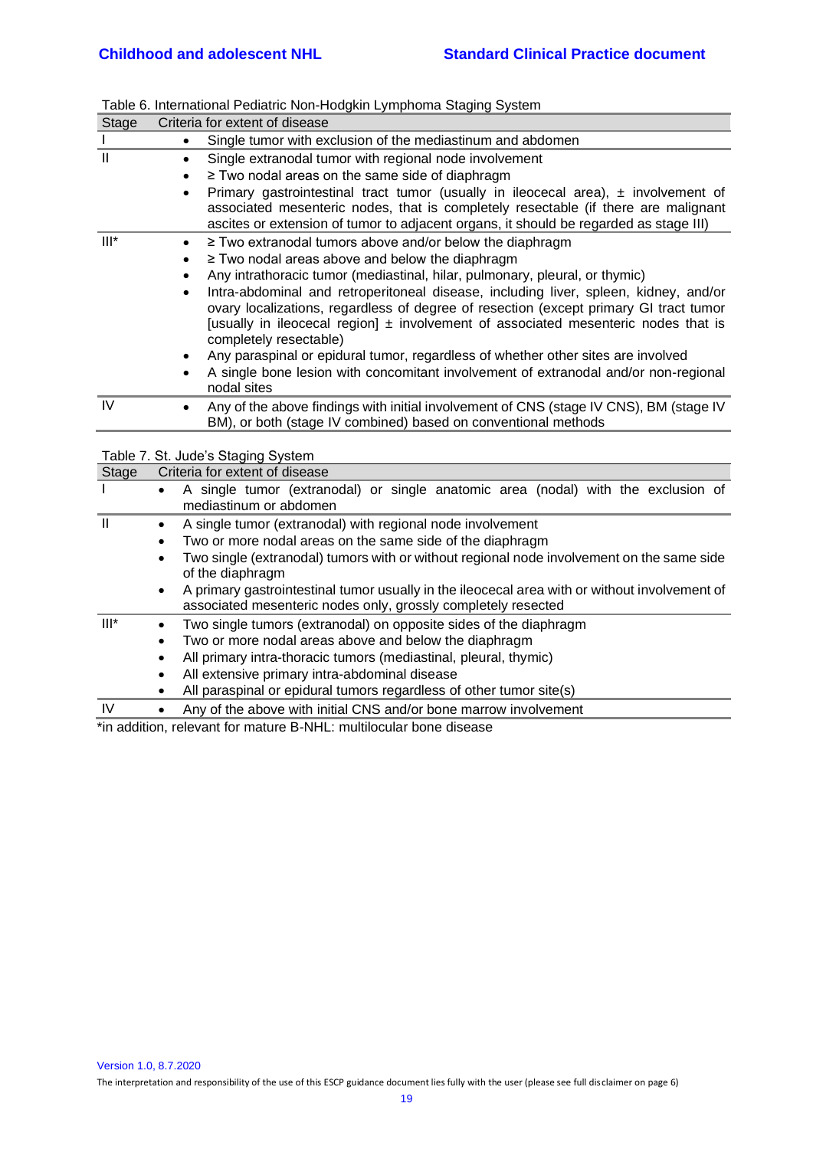| <b>Stage</b> |           | Criteria for extent of disease                                                                                                                                                |
|--------------|-----------|-------------------------------------------------------------------------------------------------------------------------------------------------------------------------------|
| $\mathbf{I}$ |           | Single tumor with exclusion of the mediastinum and abdomen                                                                                                                    |
| $\mathbf{I}$ | $\bullet$ | Single extranodal tumor with regional node involvement                                                                                                                        |
|              | $\bullet$ | ≥ Two nodal areas on the same side of diaphragm                                                                                                                               |
|              | $\bullet$ | Primary gastrointestinal tract tumor (usually in ileocecal area), $\pm$ involvement of                                                                                        |
|              |           | associated mesenteric nodes, that is completely resectable (if there are malignant                                                                                            |
|              |           | ascites or extension of tumor to adjacent organs, it should be regarded as stage III)                                                                                         |
| $III^*$      | $\bullet$ | ≥ Two extranodal tumors above and/or below the diaphragm                                                                                                                      |
|              |           | ≥ Two nodal areas above and below the diaphragm                                                                                                                               |
|              | $\bullet$ | Any intrathoracic tumor (mediastinal, hilar, pulmonary, pleural, or thymic)                                                                                                   |
|              | $\bullet$ | Intra-abdominal and retroperitoneal disease, including liver, spleen, kidney, and/or<br>ovary localizations, regardless of degree of resection (except primary GI tract tumor |
|              |           | [usually in ileocecal region] $\pm$ involvement of associated mesenteric nodes that is                                                                                        |
|              |           | completely resectable)                                                                                                                                                        |
|              | $\bullet$ | Any paraspinal or epidural tumor, regardless of whether other sites are involved                                                                                              |
|              |           | A single bone lesion with concomitant involvement of extranodal and/or non-regional                                                                                           |
|              |           | nodal sites                                                                                                                                                                   |
| IV           |           | Any of the above findings with initial involvement of CNS (stage IV CNS), BM (stage IV                                                                                        |
|              |           | BM), or both (stage IV combined) based on conventional methods                                                                                                                |
|              |           | Table 7. St. Jude's Staging System                                                                                                                                            |
| <b>Stage</b> |           | Criteria for extent of disease                                                                                                                                                |
| $\mathsf{I}$ | $\bullet$ | A single tumor (extranodal) or single anatomic area (nodal) with the exclusion of                                                                                             |
|              |           | mediastinum or abdomen                                                                                                                                                        |
| $\mathbf{I}$ | $\bullet$ | A single tumor (extranodal) with regional node involvement                                                                                                                    |
|              | $\bullet$ | Two or more nodal areas on the same side of the diaphragm                                                                                                                     |
|              | $\bullet$ | Two single (extranodal) tumors with or without regional node involvement on the same side                                                                                     |
|              |           | of the diaphragm                                                                                                                                                              |
|              | $\bullet$ | A primary gastrointestinal tumor usually in the ileocecal area with or without involvement of                                                                                 |
|              |           | associated mesenteric nodes only, grossly completely resected                                                                                                                 |
| $III^*$      | $\bullet$ | Two single tumors (extranodal) on opposite sides of the diaphragm                                                                                                             |
|              | $\bullet$ | Two or more nodal areas above and below the diaphragm                                                                                                                         |
|              | $\bullet$ | All primary intra-thoracic tumors (mediastinal, pleural, thymic)                                                                                                              |
|              |           | All extensive primary intra-abdominal disease                                                                                                                                 |
|              |           | All paraspinal or epidural tumors regardless of other tumor site(s)                                                                                                           |
| IV           | $\bullet$ | Any of the above with initial CNS and/or bone marrow involvement                                                                                                              |

|  |  | Table 6. International Pediatric Non-Hodgkin Lymphoma Staging System |
|--|--|----------------------------------------------------------------------|
|  |  |                                                                      |

<span id="page-18-0"></span>\*in addition, relevant for mature B-NHL: multilocular bone disease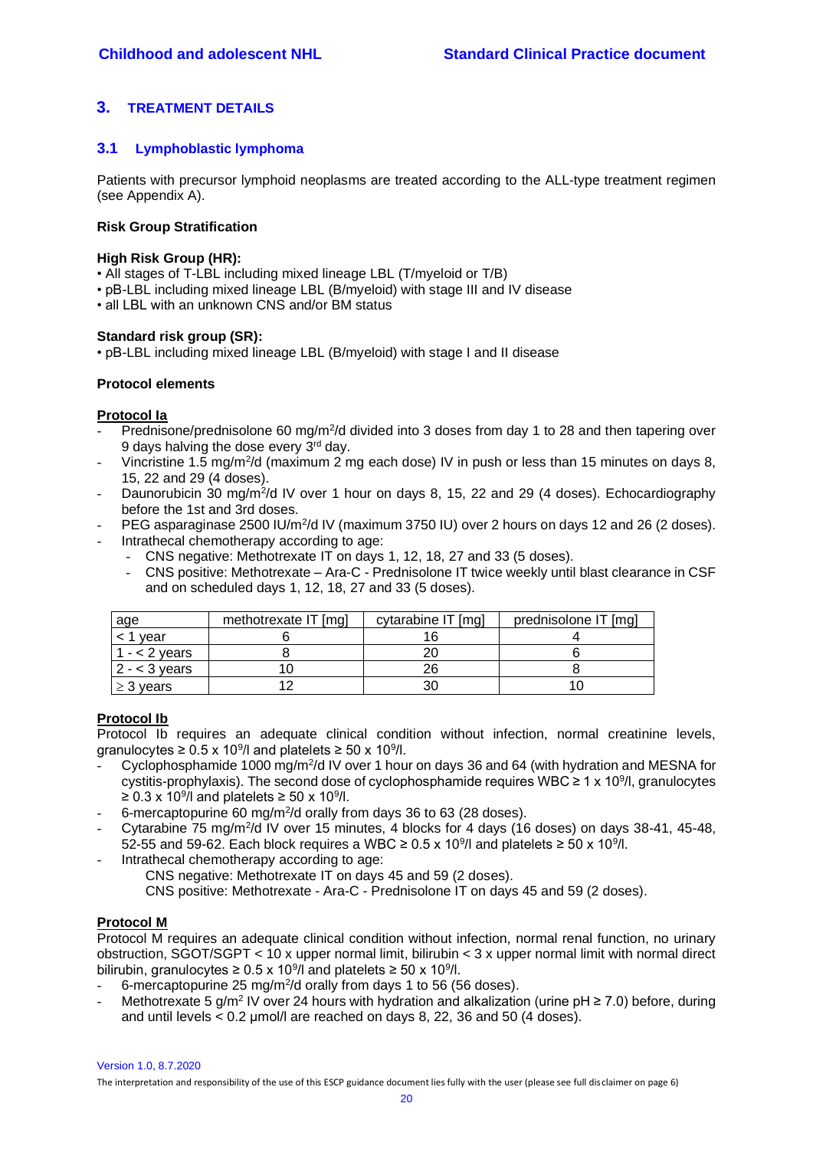# **3. TREATMENT DETAILS**

## <span id="page-19-0"></span>**3.1 Lymphoblastic lymphoma**

Patients with precursor lymphoid neoplasms are treated according to the ALL-type treatment regimen (see Appendix A).

#### **Risk Group Stratification**

#### **High Risk Group (HR):**

- All stages of T-LBL including mixed lineage LBL (T/myeloid or T/B)
- pB-LBL including mixed lineage LBL (B/myeloid) with stage III and IV disease
- all LBL with an unknown CNS and/or BM status

#### **Standard risk group (SR):**

• pB-LBL including mixed lineage LBL (B/myeloid) with stage I and II disease

#### **Protocol elements**

## **Protocol Ia**

- Prednisone/prednisolone 60 mg/m<sup>2</sup>/d divided into 3 doses from day 1 to 28 and then tapering over 9 days halving the dose every 3rd day.
- Vincristine 1.5 mg/m<sup>2</sup>/d (maximum 2 mg each dose) IV in push or less than 15 minutes on days 8, 15, 22 and 29 (4 doses).
- Daunorubicin 30 mg/m<sup>2</sup>/d IV over 1 hour on days 8, 15, 22 and 29 (4 doses). Echocardiography before the 1st and 3rd doses.
- PEG asparaginase 2500 IU/m<sup>2</sup>/d IV (maximum 3750 IU) over 2 hours on days 12 and 26 (2 doses).
- Intrathecal chemotherapy according to age:
	- CNS negative: Methotrexate IT on days 1, 12, 18, 27 and 33 (5 doses).
	- CNS positive: Methotrexate Ara-C Prednisolone IT twice weekly until blast clearance in CSF and on scheduled days 1, 12, 18, 27 and 33 (5 doses).

| age             | methotrexate IT [mg] | cytarabine IT [mg] | prednisolone IT [mg] |
|-----------------|----------------------|--------------------|----------------------|
| < 1 vear        |                      |                    |                      |
| $1 - 2$ years   |                      |                    |                      |
| $2 - < 3$ years |                      | 26                 |                      |
| $\geq$ 3 years  |                      | 30                 |                      |

## **Protocol Ib**

Protocol Ib requires an adequate clinical condition without infection, normal creatinine levels, granulocytes ≥ 0.5 x 10<sup>9</sup>/l and platelets ≥ 50 x 10<sup>9</sup>/l.

- Cyclophosphamide 1000 mg/m<sup>2</sup>/d IV over 1 hour on days 36 and 64 (with hydration and MESNA for cystitis-prophylaxis). The second dose of cyclophosphamide requires WBC  $\geq 1 \times 10^{9}$ /l, granulocytes ≥ 0.3 x 10<sup>9</sup>/l and platelets ≥ 50 x 10<sup>9</sup>/l.
- 6-mercaptopurine 60 mg/m<sup>2</sup>/d orally from days 36 to 63 (28 doses).
- Cytarabine 75 mg/m<sup>2</sup>/d IV over 15 minutes, 4 blocks for 4 days (16 doses) on days 38-41, 45-48, 52-55 and 59-62. Each block requires a WBC ≥ 0.5 x 10<sup>9</sup>/l and platelets ≥ 50 x 10<sup>9</sup>/l.
- Intrathecal chemotherapy according to age:
	- CNS negative: Methotrexate IT on days 45 and 59 (2 doses).
	- CNS positive: Methotrexate Ara-C Prednisolone IT on days 45 and 59 (2 doses).

## **Protocol M**

Protocol M requires an adequate clinical condition without infection, normal renal function, no urinary obstruction, SGOT/SGPT < 10 x upper normal limit, bilirubin < 3 x upper normal limit with normal direct bilirubin, granulocytes ≥ 0.5 x 10<sup>9</sup>/l and platelets ≥ 50 x 10<sup>9</sup>/l.

- 6-mercaptopurine 25 mg/m<sup>2</sup>/d orally from days 1 to 56 (56 doses).
- Methotrexate 5 g/m<sup>2</sup> IV over 24 hours with hydration and alkalization (urine pH ≥ 7.0) before, during and until levels < 0.2 μmol/l are reached on days 8, 22, 36 and 50 (4 doses).

Version 1.0, 8.7.2020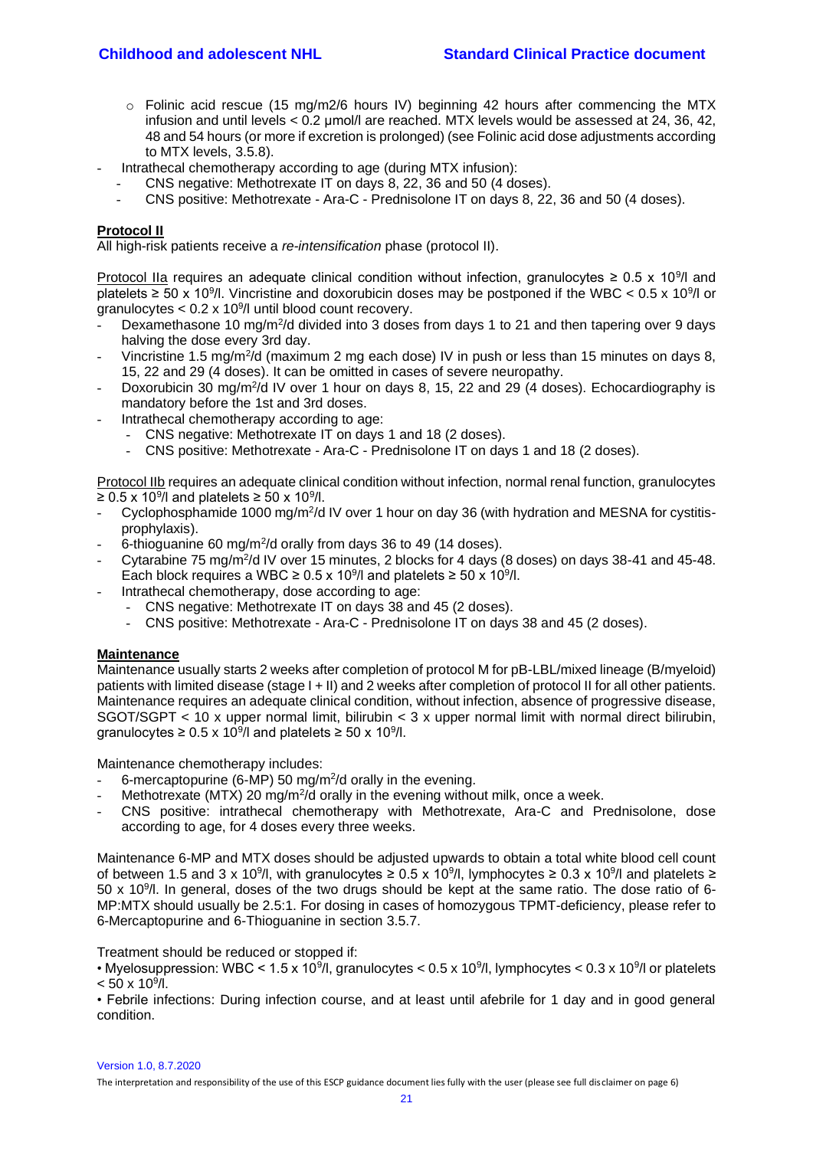- o Folinic acid rescue (15 mg/m2/6 hours IV) beginning 42 hours after commencing the MTX infusion and until levels < 0.2 μmol/l are reached. MTX levels would be assessed at 24, 36, 42, 48 and 54 hours (or more if excretion is prolonged) (see Folinic acid dose adjustments according to MTX levels, 3.5.8).
- Intrathecal chemotherapy according to age (during MTX infusion):
	- CNS negative: Methotrexate IT on days 8, 22, 36 and 50 (4 doses).
	- CNS positive: Methotrexate Ara-C Prednisolone IT on days 8, 22, 36 and 50 (4 doses).

#### **Protocol II**

All high-risk patients receive a *re-intensification* phase (protocol II).

Protocol IIa requires an adequate clinical condition without infection, granulocytes  $\geq 0.5 \times 10^{9}$ / and platelets  $\geq$  50 x 10<sup>9</sup>/l. Vincristine and doxorubicin doses may be postponed if the WBC < 0.5 x 10<sup>9</sup>/l or granulocytes  $< 0.2 \times 10<sup>9</sup>/l$  until blood count recovery.

- Dexamethasone 10 mg/m<sup>2</sup>/d divided into 3 doses from days 1 to 21 and then tapering over 9 days halving the dose every 3rd day.
- Vincristine 1.5 mg/m<sup>2</sup>/d (maximum 2 mg each dose) IV in push or less than 15 minutes on days 8, 15, 22 and 29 (4 doses). It can be omitted in cases of severe neuropathy.
- Doxorubicin 30 mg/m<sup>2</sup>/d IV over 1 hour on days 8, 15, 22 and 29 (4 doses). Echocardiography is mandatory before the 1st and 3rd doses.
- Intrathecal chemotherapy according to age:
	- CNS negative: Methotrexate IT on days 1 and 18 (2 doses).
	- CNS positive: Methotrexate Ara-C Prednisolone IT on days 1 and 18 (2 doses).

Protocol IIb requires an adequate clinical condition without infection, normal renal function, granulocytes ≥ 0.5 x 10<sup>9</sup>/l and platelets ≥ 50 x 10<sup>9</sup>/l.

- Cyclophosphamide 1000 mg/m<sup>2</sup>/d IV over 1 hour on day 36 (with hydration and MESNA for cystitisprophylaxis).
- 6-thioguanine 60 mg/m<sup>2</sup>/d orally from days 36 to 49 (14 doses).
- Cytarabine 75 mg/m<sup>2</sup>/d IV over 15 minutes, 2 blocks for 4 days (8 doses) on days 38-41 and 45-48. Each block requires a WBC  $\geq 0.5 \times 10^9$ /l and platelets  $\geq 50 \times 10^9$ /l.
- Intrathecal chemotherapy, dose according to age:
	- CNS negative: Methotrexate IT on days 38 and 45 (2 doses).
	- CNS positive: Methotrexate Ara-C Prednisolone IT on days 38 and 45 (2 doses).

#### **Maintenance**

Maintenance usually starts 2 weeks after completion of protocol M for pB-LBL/mixed lineage (B/myeloid) patients with limited disease (stage I + II) and 2 weeks after completion of protocol II for all other patients. Maintenance requires an adequate clinical condition, without infection, absence of progressive disease, SGOT/SGPT < 10 x upper normal limit, bilirubin < 3 x upper normal limit with normal direct bilirubin, granulocytes ≥ 0.5 x 10<sup>9</sup>/l and platelets ≥ 50 x 10<sup>9</sup>/l.

Maintenance chemotherapy includes:

- 6-mercaptopurine (6-MP) 50 mg/m<sup>2</sup>/d orally in the evening.
- Methotrexate (MTX) 20 mg/m<sup>2</sup>/d orally in the evening without milk, once a week.
- CNS positive: intrathecal chemotherapy with Methotrexate, Ara-C and Prednisolone, dose according to age, for 4 doses every three weeks.

Maintenance 6-MP and MTX doses should be adjusted upwards to obtain a total white blood cell count of between 1.5 and 3 x 10<sup>9</sup>/l, with granulocytes  $\geq 0.5$  x 10<sup>9</sup>/l, lymphocytes  $\geq 0.3$  x 10<sup>9</sup>/l and platelets  $\geq$ 50 x 10<sup>9</sup>/l. In general, doses of the two drugs should be kept at the same ratio. The dose ratio of 6-MP:MTX should usually be 2.5:1. For dosing in cases of homozygous TPMT-deficiency, please refer to 6-Mercaptopurine and 6-Thioguanine in section 3.5.7.

Treatment should be reduced or stopped if:

• Myelosuppression: WBC <  $1.5 \times 10^9$ /l, granulocytes <  $0.5 \times 10^9$ /l, lymphocytes <  $0.3 \times 10^9$ /l or platelets  $< 50 \times 10^9$ /l.

• Febrile infections: During infection course, and at least until afebrile for 1 day and in good general condition.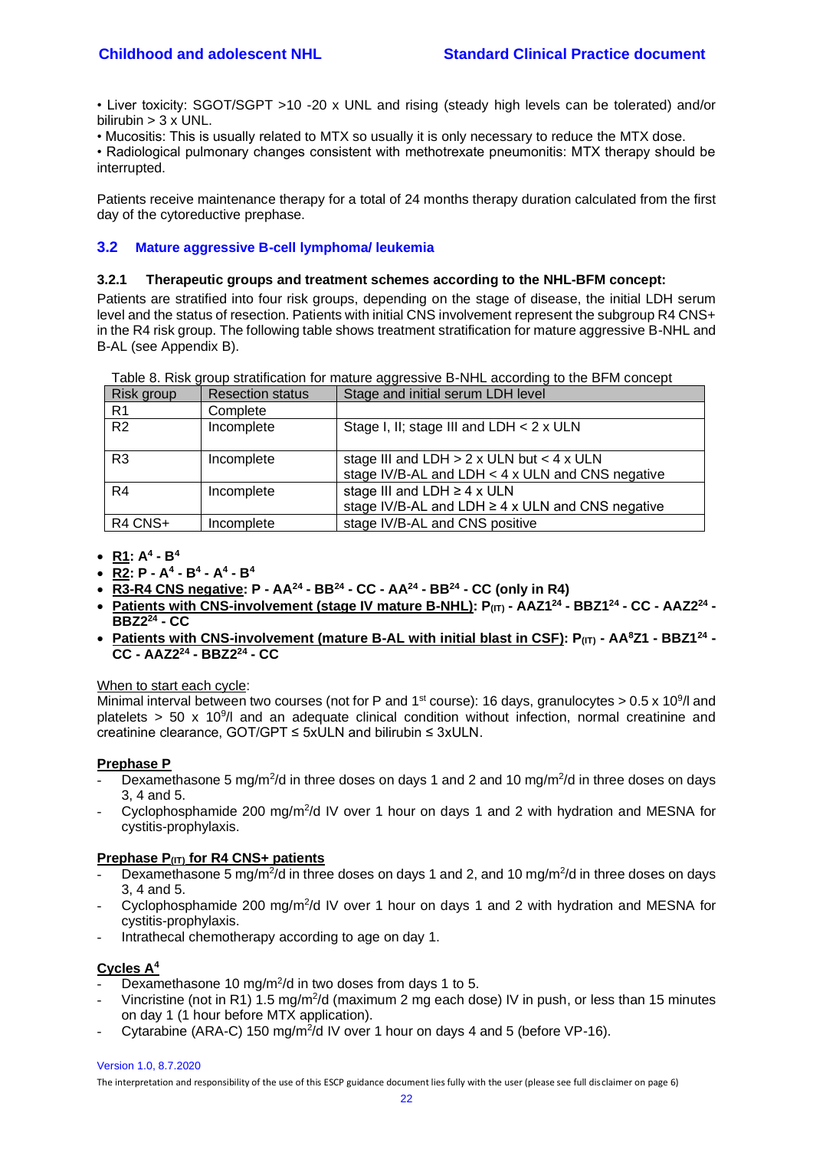• Liver toxicity: SGOT/SGPT >10 -20 x UNL and rising (steady high levels can be tolerated) and/or bilirubin  $> 3 \times UNL$ .

• Mucositis: This is usually related to MTX so usually it is only necessary to reduce the MTX dose.

• Radiological pulmonary changes consistent with methotrexate pneumonitis: MTX therapy should be interrupted.

Patients receive maintenance therapy for a total of 24 months therapy duration calculated from the first day of the cytoreductive prephase.

## <span id="page-21-1"></span><span id="page-21-0"></span>**3.2 Mature aggressive B-cell lymphoma/ leukemia**

#### **3.2.1 Therapeutic groups and treatment schemes according to the NHL-BFM concept:**

Patients are stratified into four risk groups, depending on the stage of disease, the initial LDH serum level and the status of resection. Patients with initial CNS involvement represent the subgroup R4 CNS+ in the R4 risk group. The following table shows treatment stratification for mature aggressive B-NHL and B-AL (see Appendix B).

| Table 8. Risk group stratification for mature aggressive B-NHL according to the BFM concept |                         |                                                                                                             |  |
|---------------------------------------------------------------------------------------------|-------------------------|-------------------------------------------------------------------------------------------------------------|--|
| Risk group                                                                                  | <b>Resection status</b> | Stage and initial serum LDH level                                                                           |  |
| R <sub>1</sub>                                                                              | Complete                |                                                                                                             |  |
| R <sub>2</sub>                                                                              | Incomplete              | Stage I, II; stage III and LDH < 2 x ULN                                                                    |  |
| R <sub>3</sub>                                                                              | Incomplete              | stage III and LDH $> 2 \times$ ULN but $< 4 \times$ ULN<br>stage IV/B-AL and LDH < 4 x ULN and CNS negative |  |
| R <sub>4</sub>                                                                              | Incomplete              | stage III and LDH $\geq$ 4 x ULN                                                                            |  |
|                                                                                             |                         | stage IV/B-AL and LDH $\geq$ 4 x ULN and CNS negative                                                       |  |
| R4 CNS+                                                                                     | Incomplete              | stage IV/B-AL and CNS positive                                                                              |  |

- **R1: A<sup>4</sup> - B<sup>4</sup>**
- **R2: P - A<sup>4</sup> - B<sup>4</sup> - A<sup>4</sup> - B<sup>4</sup>**
- **R3-R4 CNS negative: P - AA<sup>24</sup> - BB<sup>24</sup> - CC - AA<sup>24</sup> - BB<sup>24</sup> - CC (only in R4)**
- **Patients with CNS-involvement (stage IV mature B-NHL): P(IT) - AAZ1<sup>24</sup> - BBZ1<sup>24</sup> - CC - AAZ2<sup>24</sup> - BBZ2<sup>24</sup> - CC**
- **Patients with CNS-involvement (mature B-AL with initial blast in CSF): P(IT) - AA<sup>8</sup>Z1 - BBZ1<sup>24</sup> - CC - AAZ2<sup>24</sup> - BBZ2<sup>24</sup> - CC**

#### When to start each cycle:

Minimal interval between two courses (not for P and 1<sup>st</sup> course): 16 days, granulocytes > 0.5 x 10<sup>9</sup>/l and platelets  $>$  50 x 10<sup>9</sup>/l and an adequate clinical condition without infection, normal creatinine and creatinine clearance, GOT/GPT ≤ 5xULN and bilirubin ≤ 3xULN.

#### **Prephase P**

- Dexamethasone 5 mg/m<sup>2</sup>/d in three doses on days 1 and 2 and 10 mg/m<sup>2</sup>/d in three doses on days 3, 4 and 5.
- Cyclophosphamide 200 mg/m<sup>2</sup>/d IV over 1 hour on days 1 and 2 with hydration and MESNA for cystitis-prophylaxis.

#### **Prephase P(IT) for R4 CNS+ patients**

- Dexamethasone 5 mg/m<sup>2</sup>/d in three doses on days 1 and 2, and 10 mg/m<sup>2</sup>/d in three doses on days 3, 4 and 5.
- Cyclophosphamide 200 mg/m<sup>2</sup>/d IV over 1 hour on days 1 and 2 with hydration and MESNA for cystitis-prophylaxis.
- Intrathecal chemotherapy according to age on day 1.

#### **Cycles A<sup>4</sup>**

- Dexamethasone 10 mg/m<sup>2</sup>/d in two doses from days 1 to 5.
- Vincristine (not in R1) 1.5 mg/m<sup>2</sup>/d (maximum 2 mg each dose) IV in push, or less than 15 minutes on day 1 (1 hour before MTX application).
- Cytarabine (ARA-C) 150 mg/m<sup>2</sup>/d IV over 1 hour on days 4 and 5 (before VP-16).

Version 1.0, 8.7.2020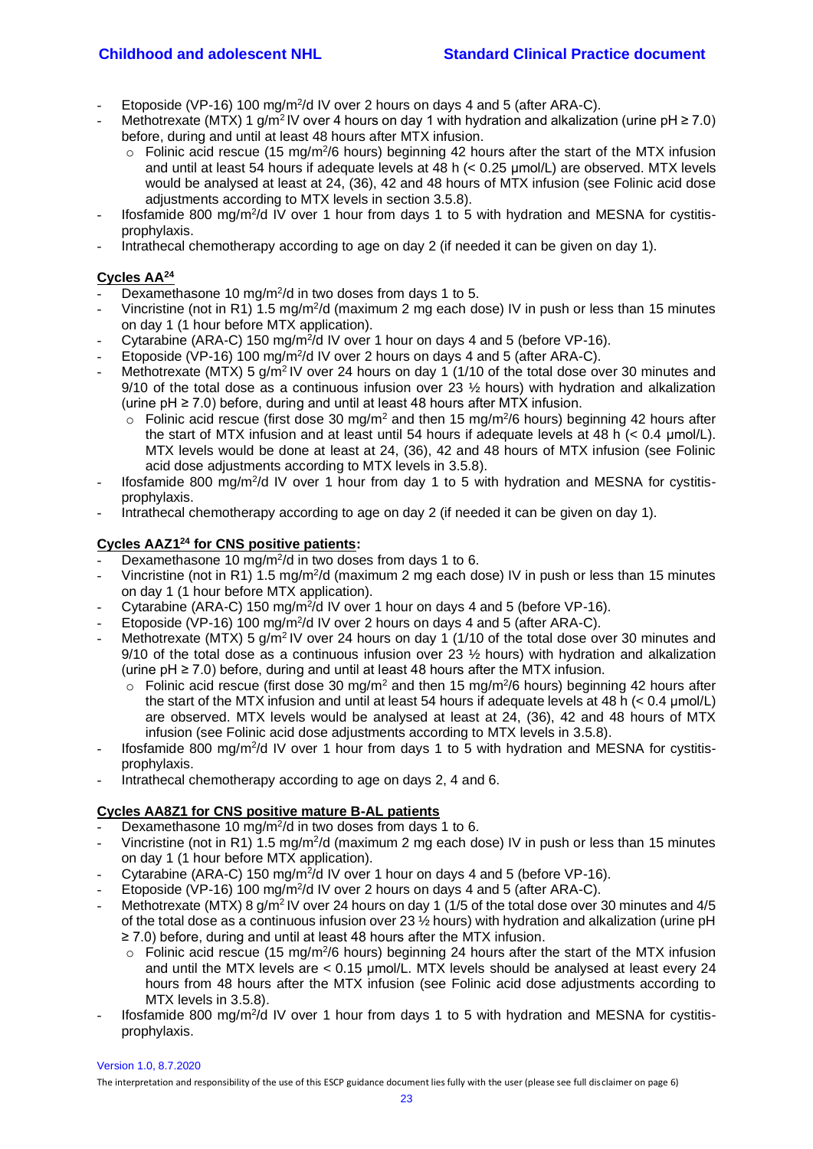- Etoposide (VP-16) 100 mg/m<sup>2</sup>/d IV over 2 hours on days 4 and 5 (after ARA-C).
- Methotrexate (MTX) 1 g/m<sup>2</sup>IV over 4 hours on day 1 with hydration and alkalization (urine pH  $\geq$  7.0) before, during and until at least 48 hours after MTX infusion.
	- $\circ$  Folinic acid rescue (15 mg/m<sup>2</sup>/6 hours) beginning 42 hours after the start of the MTX infusion and until at least 54 hours if adequate levels at 48 h (< 0.25 μmol/L) are observed. MTX levels would be analysed at least at 24, (36), 42 and 48 hours of MTX infusion (see Folinic acid dose adjustments according to MTX levels in section 3.5.8).
- Ifosfamide 800 mg/m<sup>2</sup>/d IV over 1 hour from days 1 to 5 with hydration and MESNA for cystitisprophylaxis.
- Intrathecal chemotherapy according to age on day 2 (if needed it can be given on day 1).

# **Cycles AA<sup>24</sup>**

- Dexamethasone 10 mg/m<sup>2</sup>/d in two doses from days 1 to 5.
- Vincristine (not in R1) 1.5 mg/m<sup>2</sup>/d (maximum 2 mg each dose) IV in push or less than 15 minutes on day 1 (1 hour before MTX application).
- Cytarabine (ARA-C) 150 mg/m<sup>2</sup>/d IV over 1 hour on days 4 and 5 (before VP-16).
- Etoposide (VP-16) 100 mg/m<sup>2</sup>/d IV over 2 hours on days 4 and 5 (after ARA-C).
- Methotrexate (MTX) 5  $g/m^2$  IV over 24 hours on day 1 (1/10 of the total dose over 30 minutes and 9/10 of the total dose as a continuous infusion over 23 ½ hours) with hydration and alkalization (urine pH ≥ 7.0) before, during and until at least 48 hours after MTX infusion.
	- $\circ$  Folinic acid rescue (first dose 30 mg/m<sup>2</sup> and then 15 mg/m<sup>2</sup>/6 hours) beginning 42 hours after the start of MTX infusion and at least until 54 hours if adequate levels at 48 h ( $< 0.4$  µmol/L). MTX levels would be done at least at 24, (36), 42 and 48 hours of MTX infusion (see Folinic acid dose adjustments according to MTX levels in 3.5.8).
- Ifosfamide 800 mg/m<sup>2</sup>/d IV over 1 hour from day 1 to 5 with hydration and MESNA for cystitisprophylaxis.
- Intrathecal chemotherapy according to age on day 2 (if needed it can be given on day 1).

## **Cycles AAZ1<sup>24</sup> for CNS positive patients:**

- Dexamethasone 10 mg/m<sup>2</sup>/d in two doses from days 1 to 6.
- Vincristine (not in R1) 1.5 mg/m<sup>2</sup>/d (maximum 2 mg each dose) IV in push or less than 15 minutes on day 1 (1 hour before MTX application).
- Cytarabine (ARA-C) 150 mg/m<sup>2</sup>/d IV over 1 hour on days 4 and 5 (before VP-16).
- Etoposide (VP-16) 100 mg/m<sup>2</sup>/d IV over 2 hours on days 4 and 5 (after ARA-C).
- Methotrexate (MTX) 5 g/m<sup>2</sup> IV over 24 hours on day 1 (1/10 of the total dose over 30 minutes and 9/10 of the total dose as a continuous infusion over 23  $\frac{1}{2}$  hours) with hydration and alkalization (urine  $pH \ge 7.0$ ) before, during and until at least 48 hours after the MTX infusion.
	- $\circ$  Folinic acid rescue (first dose 30 mg/m<sup>2</sup> and then 15 mg/m<sup>2</sup>/6 hours) beginning 42 hours after the start of the MTX infusion and until at least 54 hours if adequate levels at 48 h (< 0.4 μmol/L) are observed. MTX levels would be analysed at least at 24, (36), 42 and 48 hours of MTX infusion (see Folinic acid dose adjustments according to MTX levels in 3.5.8).
- Ifosfamide 800 mg/m<sup>2</sup>/d IV over 1 hour from days 1 to 5 with hydration and MESNA for cystitisprophylaxis.
- Intrathecal chemotherapy according to age on days 2, 4 and 6.

#### **Cycles AA8Z1 for CNS positive mature B-AL patients**

- Dexamethasone 10 mg/m<sup>2</sup>/d in two doses from days 1 to 6.
- Vincristine (not in R1) 1.5 mg/m<sup>2</sup>/d (maximum 2 mg each dose) IV in push or less than 15 minutes on day 1 (1 hour before MTX application).
- Cytarabine (ARA-C) 150 mg/m<sup>2</sup>/d IV over 1 hour on days 4 and 5 (before VP-16).
- Etoposide (VP-16) 100 mg/m<sup>2</sup>/d IV over 2 hours on days 4 and 5 (after ARA-C).
- Methotrexate (MTX) 8 g/m<sup>2</sup> IV over 24 hours on day 1 (1/5 of the total dose over 30 minutes and 4/5 of the total dose as a continuous infusion over 23 ½ hours) with hydration and alkalization (urine pH ≥ 7.0) before, during and until at least 48 hours after the MTX infusion.
	- $\circ$  Folinic acid rescue (15 mg/m<sup>2</sup>/6 hours) beginning 24 hours after the start of the MTX infusion and until the MTX levels are  $< 0.15$  µmol/L. MTX levels should be analysed at least every 24 hours from 48 hours after the MTX infusion (see Folinic acid dose adjustments according to MTX levels in 3.5.8).
- Ifosfamide 800 mg/m<sup>2</sup>/d IV over 1 hour from days 1 to 5 with hydration and MESNA for cystitisprophylaxis.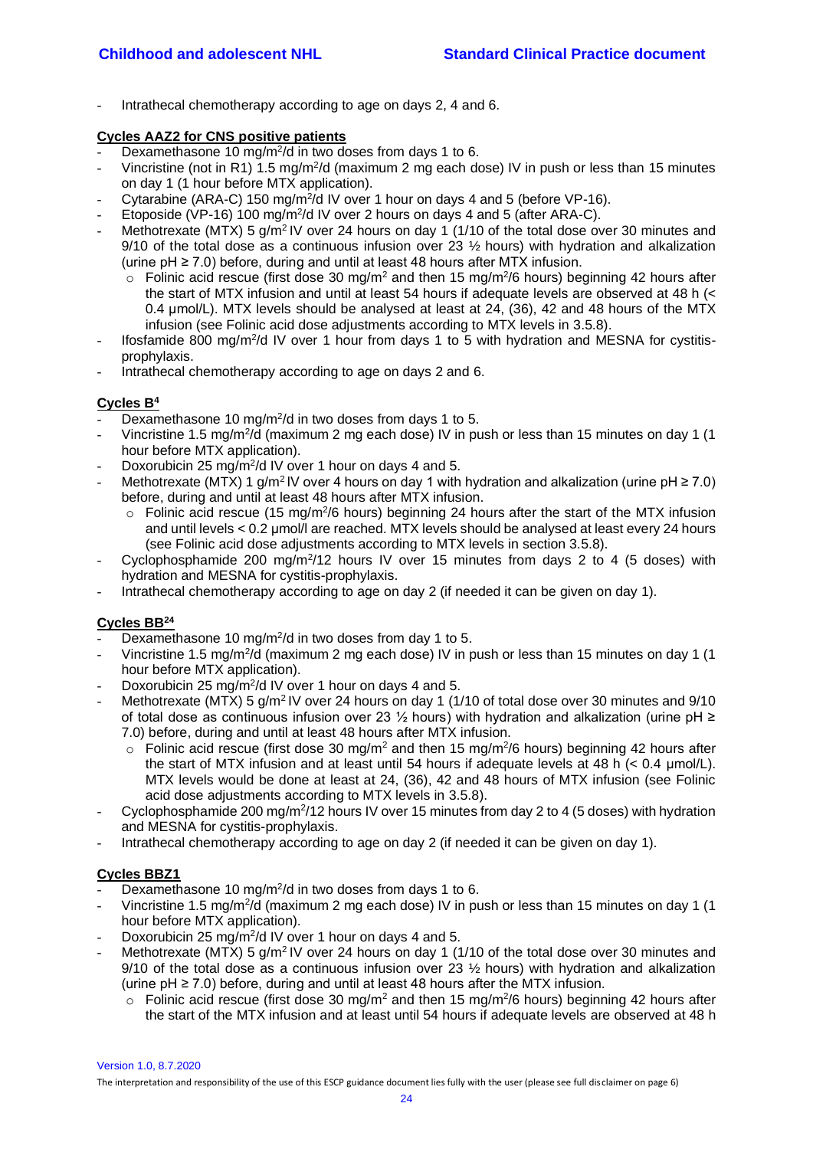Intrathecal chemotherapy according to age on days 2, 4 and 6.

#### **Cycles AAZ2 for CNS positive patients**

- Dexamethasone 10 mg/m<sup>2</sup>/d in two doses from days 1 to 6.
- Vincristine (not in R1) 1.5 mg/m<sup>2</sup>/d (maximum 2 mg each dose) IV in push or less than 15 minutes on day 1 (1 hour before MTX application).
- Cytarabine (ARA-C) 150 mg/m<sup>2</sup>/d IV over 1 hour on days 4 and 5 (before VP-16).
- Etoposide (VP-16) 100 mg/m<sup>2</sup>/d IV over 2 hours on days 4 and 5 (after ARA-C).
- Methotrexate (MTX) 5 g/m<sup>2</sup> IV over 24 hours on day 1 (1/10 of the total dose over 30 minutes and 9/10 of the total dose as a continuous infusion over 23  $\frac{1}{2}$  hours) with hydration and alkalization (urine  $pH ≥ 7.0$ ) before, during and until at least 48 hours after MTX infusion.
	- $\circ$  Folinic acid rescue (first dose 30 mg/m<sup>2</sup> and then 15 mg/m<sup>2</sup>/6 hours) beginning 42 hours after the start of MTX infusion and until at least 54 hours if adequate levels are observed at 48 h (< 0.4 μmol/L). MTX levels should be analysed at least at 24, (36), 42 and 48 hours of the MTX infusion (see Folinic acid dose adjustments according to MTX levels in 3.5.8).
- Ifosfamide 800 mg/m<sup>2</sup>/d IV over 1 hour from days 1 to 5 with hydration and MESNA for cystitisprophylaxis.
- Intrathecal chemotherapy according to age on days 2 and 6.

# **Cycles B<sup>4</sup>**

- Dexamethasone 10 mg/m<sup>2</sup>/d in two doses from days 1 to 5.
- Vincristine 1.5 mg/m<sup>2</sup>/d (maximum 2 mg each dose) IV in push or less than 15 minutes on day 1 (1 hour before MTX application).
- Doxorubicin 25 mg/m<sup>2</sup>/d IV over 1 hour on days 4 and 5.
- Methotrexate (MTX) 1 g/m<sup>2</sup>IV over 4 hours on day 1 with hydration and alkalization (urine pH  $\geq$  7.0) before, during and until at least 48 hours after MTX infusion.
	- $\circ$  Folinic acid rescue (15 mg/m<sup>2</sup>/6 hours) beginning 24 hours after the start of the MTX infusion and until levels < 0.2 μmol/l are reached. MTX levels should be analysed at least every 24 hours (see Folinic acid dose adjustments according to MTX levels in section 3.5.8).
- Cyclophosphamide 200 mg/m<sup>2</sup>/12 hours IV over 15 minutes from days 2 to 4 (5 doses) with hydration and MESNA for cystitis-prophylaxis.
- Intrathecal chemotherapy according to age on day 2 (if needed it can be given on day 1).

## **Cycles BB<sup>24</sup>**

- Dexamethasone 10 mg/m<sup>2</sup>/d in two doses from day 1 to 5.
- Vincristine 1.5 mg/m<sup>2</sup>/d (maximum 2 mg each dose) IV in push or less than 15 minutes on day 1 (1 hour before MTX application).
- Doxorubicin 25 mg/m<sup>2</sup>/d IV over 1 hour on days 4 and 5.
- Methotrexate (MTX) 5 g/m<sup>2</sup> IV over 24 hours on day 1 (1/10 of total dose over 30 minutes and 9/10 of total dose as continuous infusion over 23  $\frac{1}{2}$  hours) with hydration and alkalization (urine pH ≥ 7.0) before, during and until at least 48 hours after MTX infusion.
	- $\circ$  Folinic acid rescue (first dose 30 mg/m<sup>2</sup> and then 15 mg/m<sup>2</sup>/6 hours) beginning 42 hours after the start of MTX infusion and at least until 54 hours if adequate levels at 48 h  $(< 0.4$  µmol/L). MTX levels would be done at least at 24, (36), 42 and 48 hours of MTX infusion (see Folinic acid dose adjustments according to MTX levels in 3.5.8).
- Cyclophosphamide 200 mg/m<sup>2</sup>/12 hours IV over 15 minutes from day 2 to 4 (5 doses) with hydration and MESNA for cystitis-prophylaxis.
- Intrathecal chemotherapy according to age on day 2 (if needed it can be given on day 1).

## **Cycles BBZ1**

- Dexamethasone 10 mg/m<sup>2</sup>/d in two doses from days 1 to 6.
- Vincristine 1.5 mg/m<sup>2</sup>/d (maximum 2 mg each dose) IV in push or less than 15 minutes on day 1 (1 hour before MTX application).
- Doxorubicin 25 mg/m<sup>2</sup>/d IV over 1 hour on days 4 and 5.
- Methotrexate (MTX) 5  $g/m^2$  IV over 24 hours on day 1 (1/10 of the total dose over 30 minutes and 9/10 of the total dose as a continuous infusion over 23  $\frac{1}{2}$  hours) with hydration and alkalization (urine  $pH \ge 7.0$ ) before, during and until at least 48 hours after the MTX infusion.
	- $\circ$  Folinic acid rescue (first dose 30 mg/m<sup>2</sup> and then 15 mg/m<sup>2</sup>/6 hours) beginning 42 hours after the start of the MTX infusion and at least until 54 hours if adequate levels are observed at 48 h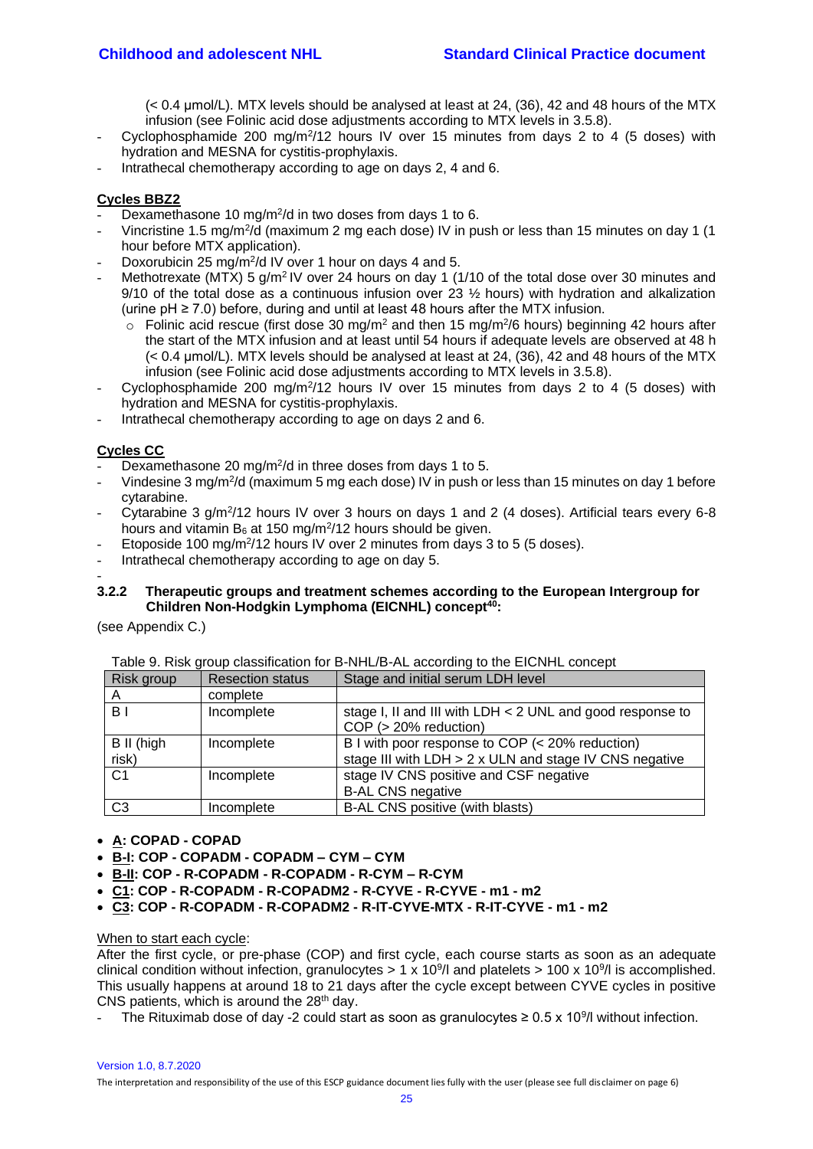(< 0.4 μmol/L). MTX levels should be analysed at least at 24, (36), 42 and 48 hours of the MTX infusion (see Folinic acid dose adjustments according to MTX levels in 3.5.8).

- Cyclophosphamide 200 mg/m<sup>2</sup>/12 hours IV over 15 minutes from days 2 to 4 (5 doses) with hydration and MESNA for cystitis-prophylaxis.
- Intrathecal chemotherapy according to age on days 2, 4 and 6.

## **Cycles BBZ2**

- Dexamethasone 10 mg/m<sup>2</sup>/d in two doses from days 1 to 6.
- Vincristine 1.5 mg/m<sup>2</sup>/d (maximum 2 mg each dose) IV in push or less than 15 minutes on day 1 (1 hour before MTX application).
- Doxorubicin 25 mg/m<sup>2</sup>/d IV over 1 hour on days 4 and 5.
- Methotrexate (MTX) 5  $q/m^2$  IV over 24 hours on day 1 (1/10 of the total dose over 30 minutes and 9/10 of the total dose as a continuous infusion over 23 ½ hours) with hydration and alkalization (urine pH ≥ 7.0) before, during and until at least 48 hours after the MTX infusion.
	- $\circ$  Folinic acid rescue (first dose 30 mg/m<sup>2</sup> and then 15 mg/m<sup>2</sup>/6 hours) beginning 42 hours after the start of the MTX infusion and at least until 54 hours if adequate levels are observed at 48 h (< 0.4 μmol/L). MTX levels should be analysed at least at 24, (36), 42 and 48 hours of the MTX infusion (see Folinic acid dose adjustments according to MTX levels in 3.5.8).
- Cyclophosphamide 200 mg/m<sup>2</sup>/12 hours IV over 15 minutes from days 2 to 4 (5 doses) with hydration and MESNA for cystitis-prophylaxis.
- Intrathecal chemotherapy according to age on days 2 and 6.

## **Cycles CC**

- Dexamethasone 20 mg/m<sup>2</sup>/d in three doses from days 1 to 5.
- Vindesine 3 mg/m<sup>2</sup>/d (maximum 5 mg each dose) IV in push or less than 15 minutes on day 1 before cytarabine.
- Cytarabine 3 g/m<sup>2</sup>/12 hours IV over 3 hours on days 1 and 2 (4 doses). Artificial tears every 6-8 hours and vitamin  $B_6$  at 150 mg/m<sup>2</sup>/12 hours should be given.
- Etoposide 100 mg/m<sup>2</sup>/12 hours IV over 2 minutes from days 3 to 5 (5 doses).
- Intrathecal chemotherapy according to age on day 5.

#### <span id="page-24-0"></span>- **3.2.2 Therapeutic groups and treatment schemes according to the European Intergroup for Children Non-Hodgkin Lymphoma (EICNHL) concept<sup>40</sup>:**

(see Appendix C.)

| Risk group     | <b>Resection status</b> | Stage and initial serum LDH level                                                       |
|----------------|-------------------------|-----------------------------------------------------------------------------------------|
| A              | complete                |                                                                                         |
| BΙ             | Incomplete              | stage I, II and III with LDH < 2 UNL and good response to<br>$COP$ ( $>$ 20% reduction) |
|                |                         |                                                                                         |
| B II (high     | Incomplete              | B I with poor response to COP (< 20% reduction)                                         |
| risk)          |                         | stage III with LDH > 2 x ULN and stage IV CNS negative                                  |
| C <sub>1</sub> | Incomplete              | stage IV CNS positive and CSF negative                                                  |
|                |                         | <b>B-AL CNS negative</b>                                                                |
| C <sub>3</sub> | Incomplete              | B-AL CNS positive (with blasts)                                                         |

#### Table 9. Risk group classification for B-NHL/B-AL according to the EICNHL concept

- **A: COPAD - COPAD**
- **B-I: COP - COPADM - COPADM – CYM – CYM**
- **B-II: COP - R-COPADM - R-COPADM - R-CYM – R-CYM**
- **C1: COP - R-COPADM - R-COPADM2 - R-CYVE - R-CYVE - m1 - m2**
- **C3: COP - R-COPADM - R-COPADM2 - R-IT-CYVE-MTX - R-IT-CYVE - m1 - m2**

When to start each cycle:

After the first cycle, or pre-phase (COP) and first cycle, each course starts as soon as an adequate clinical condition without infection, granulocytes > 1 x 10<sup>9</sup>/I and platelets > 100 x 10<sup>9</sup>/I is accomplished. This usually happens at around 18 to 21 days after the cycle except between CYVE cycles in positive CNS patients, which is around the 28<sup>th</sup> day.

- The Rituximab dose of day -2 could start as soon as granulocytes ≥ 0.5 x 10<sup>9</sup>/l without infection.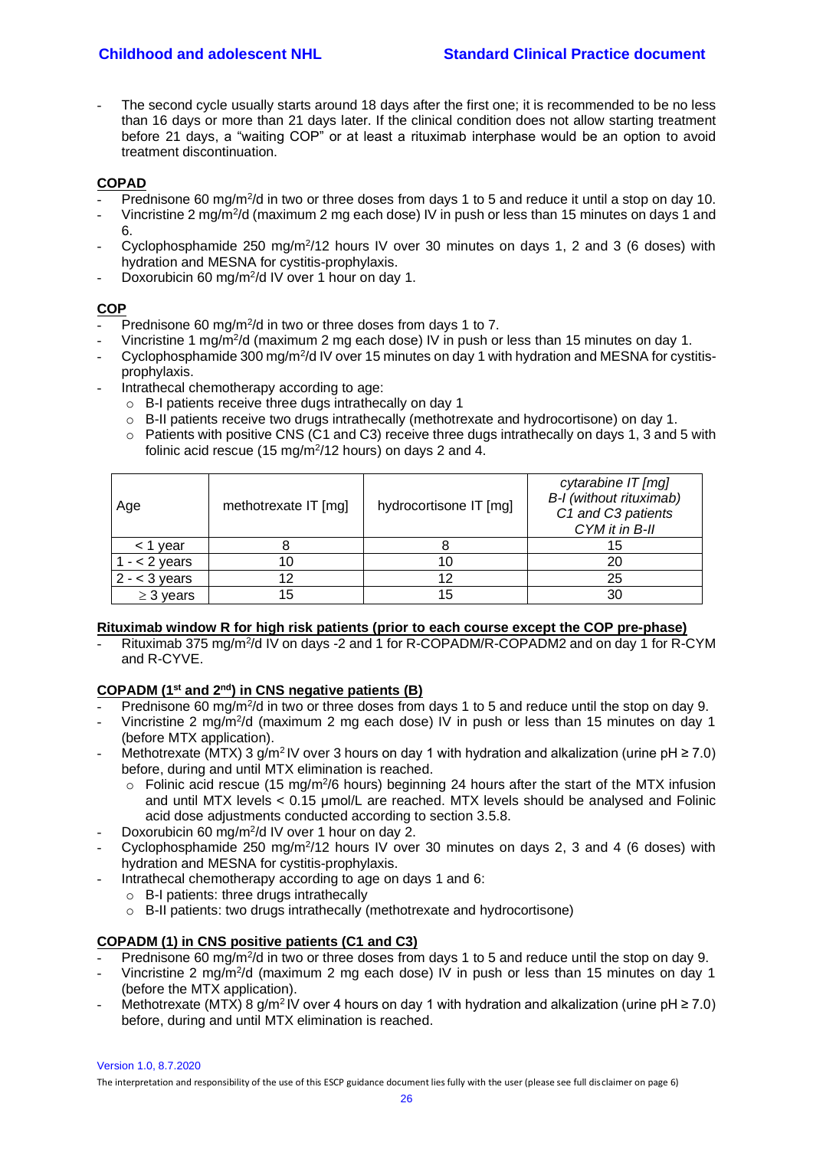The second cycle usually starts around 18 days after the first one; it is recommended to be no less than 16 days or more than 21 days later. If the clinical condition does not allow starting treatment before 21 days, a "waiting COP" or at least a rituximab interphase would be an option to avoid treatment discontinuation.

## **COPAD**

- Prednisone 60 mg/m<sup>2</sup>/d in two or three doses from days 1 to 5 and reduce it until a stop on day 10.
- Vincristine 2 mg/m<sup>2</sup>/d (maximum 2 mg each dose) IV in push or less than 15 minutes on days 1 and 6.
- Cyclophosphamide 250 mg/m<sup>2</sup>/12 hours IV over 30 minutes on days 1, 2 and 3 (6 doses) with hydration and MESNA for cystitis-prophylaxis.
- Doxorubicin 60 mg/m<sup>2</sup>/d IV over 1 hour on day 1.

## **COP**

- Prednisone 60 mg/m<sup>2</sup>/d in two or three doses from days 1 to 7.
- Vincristine 1 mg/m<sup>2</sup>/d (maximum 2 mg each dose) IV in push or less than 15 minutes on day 1.
- Cyclophosphamide 300 mg/m<sup>2</sup>/d IV over 15 minutes on day 1 with hydration and MESNA for cystitisprophylaxis.
- Intrathecal chemotherapy according to age:
	- o B-I patients receive three dugs intrathecally on day 1
	- o B-II patients receive two drugs intrathecally (methotrexate and hydrocortisone) on day 1.
	- $\circ$  Patients with positive CNS (C1 and C3) receive three dugs intrathecally on days 1, 3 and 5 with folinic acid rescue (15 mg/m<sup>2</sup>/12 hours) on days 2 and 4.

| Age             | methotrexate IT [mg] | hydrocortisone IT [mg] | cytarabine IT [mg]<br>B-I (without rituximab)<br>C1 and C3 patients<br>CYM it in B-II |
|-----------------|----------------------|------------------------|---------------------------------------------------------------------------------------|
| $<$ 1 year      |                      |                        | 15                                                                                    |
| $1 - 2$ years   | 10                   | 10                     |                                                                                       |
| $2 - < 3$ years | 12                   | 12                     | 25                                                                                    |
| $\geq$ 3 years  | 15                   | 15                     |                                                                                       |

#### **Rituximab window R for high risk patients (prior to each course except the COP pre-phase)**

- Rituximab 375 mg/m<sup>2</sup>/d IV on days -2 and 1 for R-COPADM/R-COPADM2 and on day 1 for R-CYM and R-CYVE.

## **COPADM (1st and 2nd) in CNS negative patients (B)**

- Prednisone 60 mg/m<sup>2</sup>/d in two or three doses from days 1 to 5 and reduce until the stop on day 9.
- Vincristine 2 mg/m<sup>2</sup>/d (maximum 2 mg each dose) IV in push or less than 15 minutes on day 1 (before MTX application).
- Methotrexate (MTX) 3 g/m<sup>2</sup>IV over 3 hours on day 1 with hydration and alkalization (urine pH  $\geq$  7.0) before, during and until MTX elimination is reached.
	- $\circ$  Folinic acid rescue (15 mg/m<sup>2</sup>/6 hours) beginning 24 hours after the start of the MTX infusion and until MTX levels  $< 0.15$  umol/L are reached. MTX levels should be analysed and Folinic acid dose adjustments conducted according to section 3.5.8.
- Doxorubicin 60 mg/m<sup>2</sup>/d IV over 1 hour on day 2.
- Cyclophosphamide 250 mg/m<sup>2</sup>/12 hours IV over 30 minutes on days 2, 3 and 4 (6 doses) with hydration and MESNA for cystitis-prophylaxis.
- Intrathecal chemotherapy according to age on days 1 and 6:
	- o B-I patients: three drugs intrathecally
	- o B-II patients: two drugs intrathecally (methotrexate and hydrocortisone)

## **COPADM (1) in CNS positive patients (C1 and C3)**

- Prednisone 60 mg/m<sup>2</sup>/d in two or three doses from days 1 to 5 and reduce until the stop on day 9.
- Vincristine 2 mg/m<sup>2</sup>/d (maximum 2 mg each dose) IV in push or less than 15 minutes on day 1 (before the MTX application).
- Methotrexate (MTX) 8 g/m<sup>2</sup> IV over 4 hours on day 1 with hydration and alkalization (urine pH  $\geq$  7.0) before, during and until MTX elimination is reached.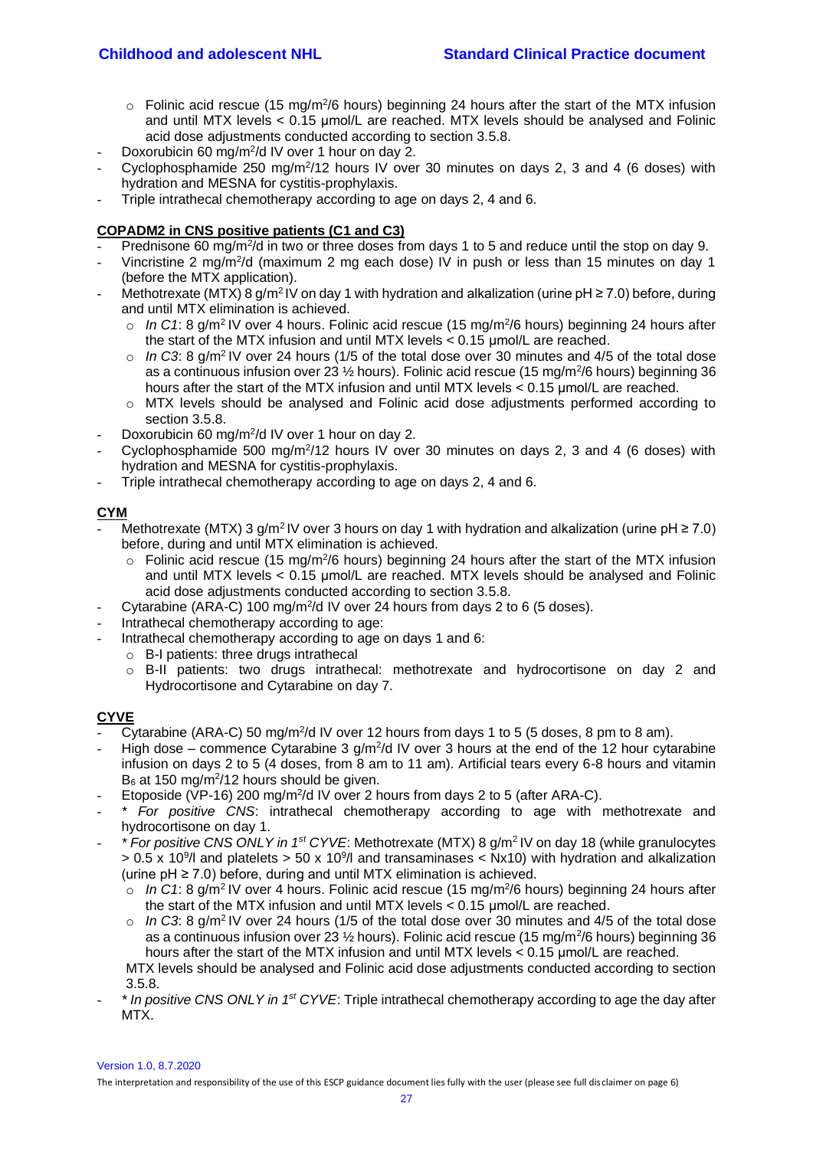- $\circ$  Folinic acid rescue (15 mg/m<sup>2</sup>/6 hours) beginning 24 hours after the start of the MTX infusion and until MTX levels < 0.15 μmol/L are reached. MTX levels should be analysed and Folinic acid dose adjustments conducted according to section 3.5.8.
- Doxorubicin 60 mg/m<sup>2</sup>/d IV over 1 hour on day 2.
- Cyclophosphamide 250 mg/m<sup>2</sup>/12 hours IV over 30 minutes on days 2, 3 and 4 (6 doses) with hydration and MESNA for cystitis-prophylaxis.
- Triple intrathecal chemotherapy according to age on days 2, 4 and 6.

#### **COPADM2 in CNS positive patients (C1 and C3)**

- Prednisone 60 mg/m<sup>2</sup>/d in two or three doses from days 1 to 5 and reduce until the stop on day 9.
- Vincristine 2 mg/m<sup>2</sup>/d (maximum 2 mg each dose) IV in push or less than 15 minutes on day 1 (before the MTX application).
- Methotrexate (MTX) 8 g/m<sup>2</sup> IV on day 1 with hydration and alkalization (urine  $pH \ge 7.0$ ) before, during and until MTX elimination is achieved.
	- $\circ$  In C1: 8 g/m<sup>2</sup> IV over 4 hours. Folinic acid rescue (15 mg/m<sup>2</sup>/6 hours) beginning 24 hours after the start of the MTX infusion and until MTX levels < 0.15 μmol/L are reached.
	- $\circ$  *In C3*: 8 g/m<sup>2</sup> IV over 24 hours (1/5 of the total dose over 30 minutes and 4/5 of the total dose as a continuous infusion over 23  $\frac{1}{2}$  hours). Folinic acid rescue (15 mg/m<sup>2</sup>/6 hours) beginning 36 hours after the start of the MTX infusion and until MTX levels < 0.15 μmol/L are reached.
	- o MTX levels should be analysed and Folinic acid dose adjustments performed according to section 3.5.8.
- Doxorubicin 60 mg/m<sup>2</sup>/d IV over 1 hour on day 2.
- Cyclophosphamide 500 mg/m<sup>2</sup>/12 hours IV over 30 minutes on days 2, 3 and 4 (6 doses) with hydration and MESNA for cystitis-prophylaxis.
- Triple intrathecal chemotherapy according to age on days 2, 4 and 6.

# **CYM**

- Methotrexate (MTX) 3 g/m<sup>2</sup>IV over 3 hours on day 1 with hydration and alkalization (urine pH  $\geq$  7.0) before, during and until MTX elimination is achieved.
	- $\circ$  Folinic acid rescue (15 mg/m<sup>2</sup>/6 hours) beginning 24 hours after the start of the MTX infusion and until MTX levels < 0.15 μmol/L are reached. MTX levels should be analysed and Folinic acid dose adjustments conducted according to section 3.5.8.
- Cytarabine (ARA-C) 100 mg/m<sup>2</sup>/d IV over 24 hours from days 2 to 6 (5 doses).
- Intrathecal chemotherapy according to age:
- Intrathecal chemotherapy according to age on days 1 and 6:
	- o B-I patients: three drugs intrathecal
		- o B-II patients: two drugs intrathecal: methotrexate and hydrocortisone on day 2 and Hydrocortisone and Cytarabine on day 7.

## **CYVE**

- Cytarabine (ARA-C) 50 mg/m<sup>2</sup>/d IV over 12 hours from days 1 to 5 (5 doses, 8 pm to 8 am).
- High dose commence Cytarabine 3  $g/m^2/d$  IV over 3 hours at the end of the 12 hour cytarabine infusion on days 2 to 5 (4 doses, from 8 am to 11 am). Artificial tears every 6-8 hours and vitamin  $B_6$  at 150 mg/m<sup>2</sup>/12 hours should be given.
- Etoposide (VP-16) 200 mg/m<sup>2</sup>/d IV over 2 hours from days 2 to 5 (after ARA-C).
- *\* For positive CNS*: intrathecal chemotherapy according to age with methotrexate and hydrocortisone on day 1.
- *\* For positive CNS ONLY in 1st CYVE*: Methotrexate (MTX) 8 g/m<sup>2</sup>IV on day 18 (while granulocytes  $> 0.5$  x 10<sup>9</sup>/l and platelets  $> 50$  x 10<sup>9</sup>/l and transaminases < Nx10) with hydration and alkalization (urine pH ≥ 7.0) before, during and until MTX elimination is achieved.
	- $\circ$  In C1: 8 g/m<sup>2</sup> IV over 4 hours. Folinic acid rescue (15 mg/m<sup>2</sup>/6 hours) beginning 24 hours after the start of the MTX infusion and until MTX levels < 0.15 μmol/L are reached.
	- $\circ$  *In C3*: 8 g/m<sup>2</sup> IV over 24 hours (1/5 of the total dose over 30 minutes and 4/5 of the total dose as a continuous infusion over 23  $\frac{1}{2}$  hours). Folinic acid rescue (15 mg/m<sup>2</sup>/6 hours) beginning 36 hours after the start of the MTX infusion and until MTX levels < 0.15 μmol/L are reached.

MTX levels should be analysed and Folinic acid dose adjustments conducted according to section 3.5.8.

- *\* In positive CNS ONLY in 1st CYVE*: Triple intrathecal chemotherapy according to age the day after MTX.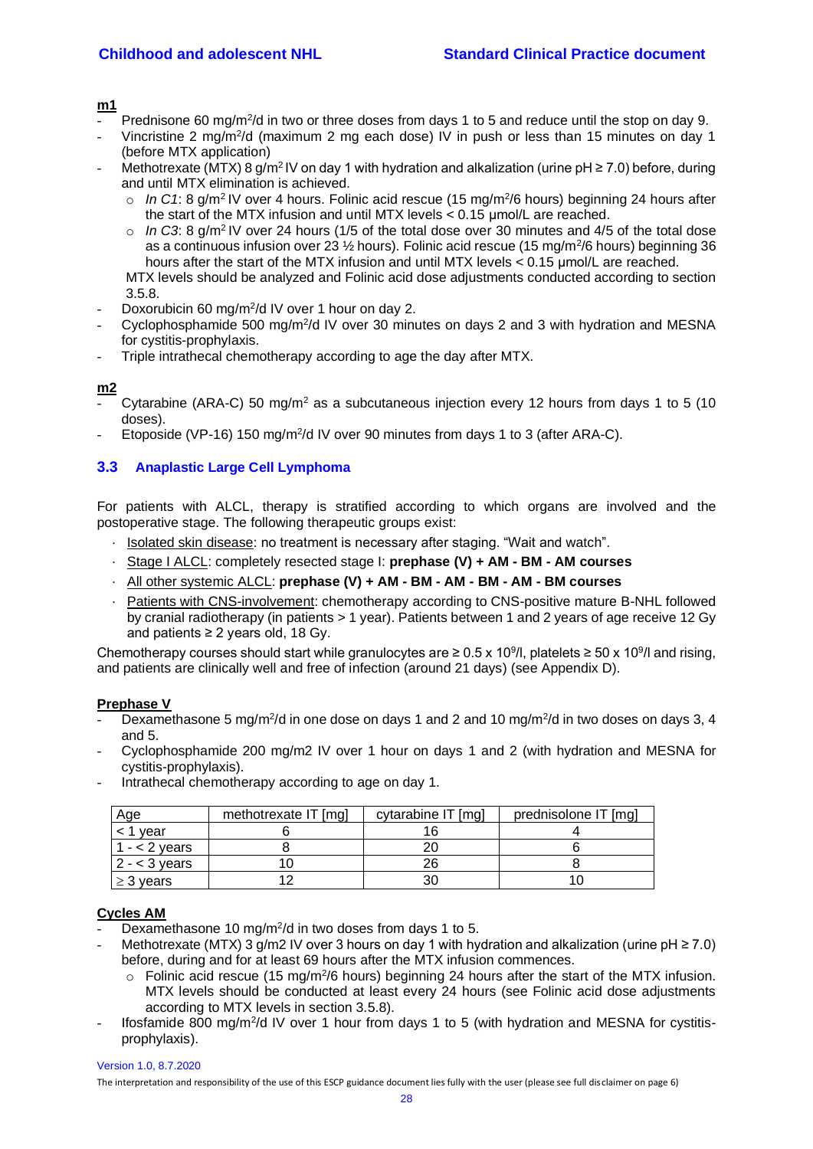**m1**

- Prednisone 60 mg/m<sup>2</sup>/d in two or three doses from days 1 to 5 and reduce until the stop on day 9.
- Vincristine 2 mg/m<sup>2</sup>/d (maximum 2 mg each dose) IV in push or less than 15 minutes on day 1 (before MTX application)
- Methotrexate (MTX) 8 g/m<sup>2</sup> IV on day 1 with hydration and alkalization (urine  $pH \ge 7.0$ ) before, during and until MTX elimination is achieved.
	- $\circ$  In C1: 8 g/m<sup>2</sup> IV over 4 hours. Folinic acid rescue (15 mg/m<sup>2</sup>/6 hours) beginning 24 hours after the start of the MTX infusion and until MTX levels < 0.15 μmol/L are reached.
	- o *In C3*: 8 g/m<sup>2</sup>IV over 24 hours (1/5 of the total dose over 30 minutes and 4/5 of the total dose as a continuous infusion over 23  $\frac{1}{2}$  hours). Folinic acid rescue (15 mg/m<sup>2</sup>/6 hours) beginning 36 hours after the start of the MTX infusion and until MTX levels < 0.15 μmol/L are reached.

MTX levels should be analyzed and Folinic acid dose adjustments conducted according to section 3.5.8.

- Doxorubicin 60 mg/m<sup>2</sup>/d IV over 1 hour on day 2.
- Cyclophosphamide 500 mg/m<sup>2</sup>/d IV over 30 minutes on days 2 and 3 with hydration and MESNA for cystitis-prophylaxis.
- Triple intrathecal chemotherapy according to age the day after MTX.

#### **m2**

- Cytarabine (ARA-C) 50 mg/m<sup>2</sup> as a subcutaneous injection every 12 hours from days 1 to 5 (10) doses).
- Etoposide (VP-16) 150 mg/m<sup>2</sup>/d IV over 90 minutes from days 1 to 3 (after ARA-C).

# <span id="page-27-0"></span>**3.3 Anaplastic Large Cell Lymphoma**

For patients with ALCL, therapy is stratified according to which organs are involved and the postoperative stage. The following therapeutic groups exist:

- · Isolated skin disease: no treatment is necessary after staging. "Wait and watch".
- · Stage I ALCL: completely resected stage I: **prephase (V) + AM - BM - AM courses**
- · All other systemic ALCL: **prephase (V) + AM - BM - AM - BM - AM - BM courses**
- Patients with CNS-involvement: chemotherapy according to CNS-positive mature B-NHL followed by cranial radiotherapy (in patients > 1 year). Patients between 1 and 2 years of age receive 12 Gy and patients ≥ 2 years old, 18 Gy.

Chemotherapy courses should start while granulocytes are ≥ 0.5 x 10<sup>9</sup>/l, platelets ≥ 50 x 10<sup>9</sup>/l and rising, and patients are clinically well and free of infection (around 21 days) (see Appendix D).

#### **Prephase V**

- Dexamethasone 5 mg/m<sup>2</sup>/d in one dose on days 1 and 2 and 10 mg/m<sup>2</sup>/d in two doses on days 3, 4 and 5.
- Cyclophosphamide 200 mg/m2 IV over 1 hour on days 1 and 2 (with hydration and MESNA for cystitis-prophylaxis).
	- Age https://web/methotrexate IT [mg] cytarabine IT [mg] prednisolone IT [mg] prednisolone IT [mg] < 1 year 6 16 4 1 - < 2 years 8 20 5 2 - < 3 years | 10 10 26 | 3

 $\geq$  3 years 12 12 30 10

- Intrathecal chemotherapy according to age on day 1.

#### **Cycles AM**

- Dexamethasone 10 mg/m<sup>2</sup>/d in two doses from days 1 to 5.

- Methotrexate (MTX) 3 g/m2 IV over 3 hours on day 1 with hydration and alkalization (urine pH  $\geq$  7.0) before, during and for at least 69 hours after the MTX infusion commences.
	- $\circ$  Folinic acid rescue (15 mg/m<sup>2</sup>/6 hours) beginning 24 hours after the start of the MTX infusion. MTX levels should be conducted at least every 24 hours (see Folinic acid dose adjustments according to MTX levels in section 3.5.8).
- Ifosfamide 800 mg/m<sup>2</sup>/d IV over 1 hour from days 1 to 5 (with hydration and MESNA for cystitisprophylaxis).

Version 1.0, 8.7.2020 The interpretation and responsibility of the use of this ESCP guidance document lies fully with the user (please see full disclaimer on page 6)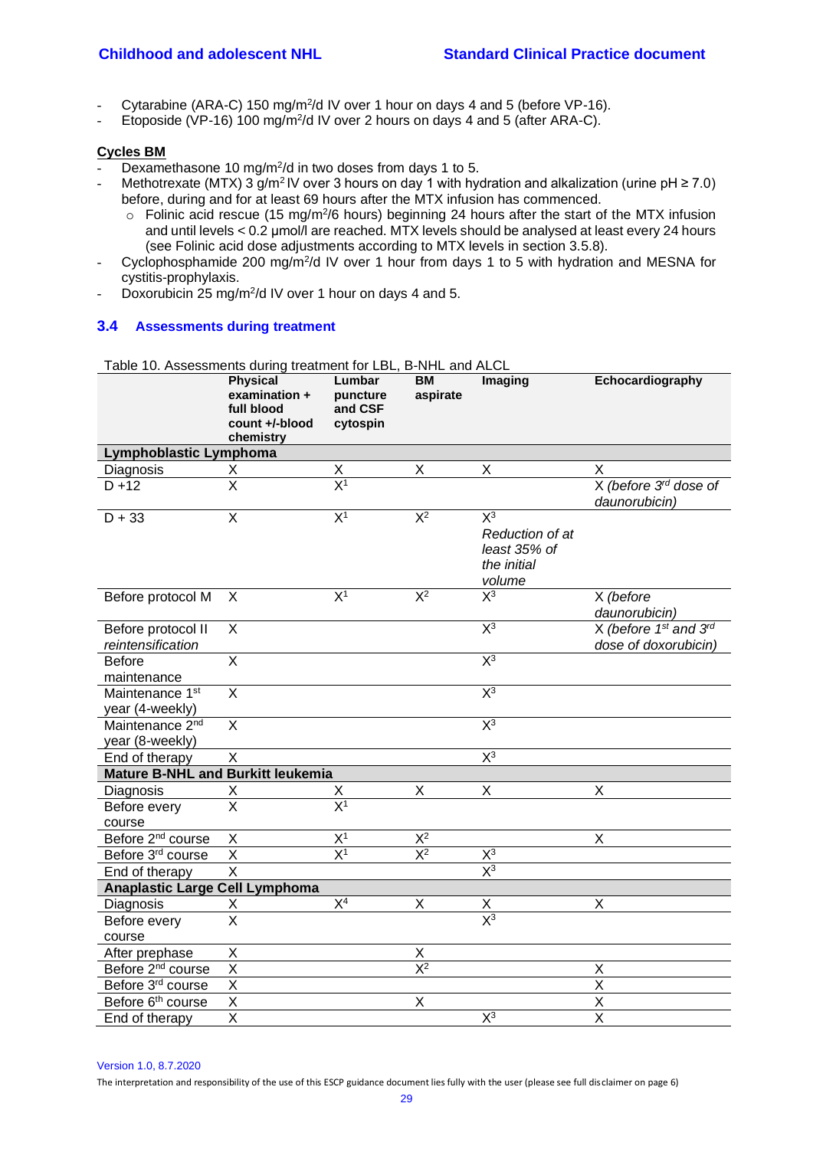- Cytarabine (ARA-C) 150 mg/m<sup>2</sup>/d IV over 1 hour on days 4 and 5 (before VP-16).
- Etoposide (VP-16) 100 mg/m<sup>2</sup>/d IV over 2 hours on days 4 and 5 (after ARA-C).

#### **Cycles BM**

- Dexamethasone 10 mg/m<sup>2</sup>/d in two doses from days 1 to 5.
- Methotrexate (MTX) 3 g/m<sup>2</sup> IV over 3 hours on day 1 with hydration and alkalization (urine pH  $\geq$  7.0) before, during and for at least 69 hours after the MTX infusion has commenced.
	- $\circ$  Folinic acid rescue (15 mg/m<sup>2</sup>/6 hours) beginning 24 hours after the start of the MTX infusion and until levels < 0.2 μmol/l are reached. MTX levels should be analysed at least every 24 hours (see Folinic acid dose adjustments according to MTX levels in section 3.5.8).
- Cyclophosphamide 200 mg/m<sup>2</sup>/d IV over 1 hour from days 1 to 5 with hydration and MESNA for cystitis-prophylaxis.
- Doxorubicin 25 mg/m<sup>2</sup>/d IV over 1 hour on days 4 and 5.

## <span id="page-28-0"></span>**3.4 Assessments during treatment**

Table 10. Assessments during treatment for LBL, B-NHL and ALCL

|                                                | <b>Physical</b><br>examination +<br>full blood<br>count +/-blood<br>chemistry | Lumbar<br>puncture<br>and CSF<br>cytospin | BM<br>aspirate | Imaging                                                           | Echocardiography                                   |
|------------------------------------------------|-------------------------------------------------------------------------------|-------------------------------------------|----------------|-------------------------------------------------------------------|----------------------------------------------------|
| Lymphoblastic Lymphoma                         |                                                                               |                                           |                |                                                                   |                                                    |
| Diagnosis                                      | Χ                                                                             | $\frac{X}{X^1}$                           | Χ              | $\sf X$                                                           | X                                                  |
| $D + 12$                                       | $\overline{\mathsf{x}}$                                                       |                                           |                |                                                                   | X (before 3 <sup>rd</sup> dose of<br>daunorubicin) |
| $D + 33$                                       | $\overline{\mathsf{X}}$                                                       | $X^1$                                     | $X^2$          | $X^3$<br>Reduction of at<br>least 35% of<br>the initial<br>volume |                                                    |
| Before protocol M                              | X                                                                             | X <sup>1</sup>                            | $X^2$          | $X^3$                                                             | X (before<br>daunorubicin)                         |
| Before protocol II<br>reintensification        | X                                                                             |                                           |                | $X^3$                                                             | X (before 1st and 3rd<br>dose of doxorubicin)      |
| <b>Before</b><br>maintenance                   | X                                                                             |                                           |                | $\overline{X^3}$                                                  |                                                    |
| Maintenance 1 <sup>st</sup><br>year (4-weekly) | $\overline{\mathsf{x}}$                                                       |                                           |                | $X^3$                                                             |                                                    |
| Maintenance 2 <sup>nd</sup><br>year (8-weekly) | X                                                                             |                                           |                | $X^3$                                                             |                                                    |
| End of therapy                                 | X                                                                             |                                           |                | $\overline{X^3}$                                                  |                                                    |
| <b>Mature B-NHL and Burkitt leukemia</b>       |                                                                               |                                           |                |                                                                   |                                                    |
| Diagnosis                                      | Χ                                                                             | х                                         | Χ              | Χ                                                                 | Χ                                                  |
| Before every<br>course                         | $\overline{\mathsf{x}}$                                                       | $\overline{X^1}$                          |                |                                                                   |                                                    |
| Before 2 <sup>nd</sup> course                  | X                                                                             | X <sup>1</sup>                            | $\mathsf{X}^2$ |                                                                   | Χ                                                  |
| Before 3rd course                              | X                                                                             | $\overline{X^1}$                          | $X^2$          | $X^3$                                                             |                                                    |
| End of therapy                                 | $\overline{\mathsf{x}}$                                                       |                                           |                | $X^3$                                                             |                                                    |
| <b>Anaplastic Large Cell Lymphoma</b>          |                                                                               |                                           |                |                                                                   |                                                    |
| Diagnosis                                      | Χ                                                                             | X <sup>4</sup>                            | Χ              |                                                                   | Χ                                                  |
| Before every<br>course                         | $\overline{\mathsf{x}}$                                                       |                                           |                | $\frac{X}{X^3}$                                                   |                                                    |
| After prephase                                 | Χ                                                                             |                                           | X              |                                                                   |                                                    |
| Before 2 <sup>nd</sup> course                  | $\overline{\mathsf{x}}$                                                       |                                           | $X^2$          |                                                                   | Χ                                                  |
| Before 3 <sup>rd</sup> course                  | $\overline{\mathsf{x}}$                                                       |                                           |                |                                                                   | $\overline{\mathsf{X}}$                            |
| Before 6 <sup>th</sup> course                  | $\overline{\mathsf{x}}$                                                       |                                           | X              |                                                                   | $\overline{\mathsf{x}}$                            |
| End of therapy                                 | $\overline{\mathsf{x}}$                                                       |                                           |                | $\overline{X^3}$                                                  | $\overline{\mathsf{x}}$                            |

Version 1.0, 8.7.2020

The interpretation and responsibility of the use of this ESCP guidance document lies fully with the user (please see full disclaimer on page 6)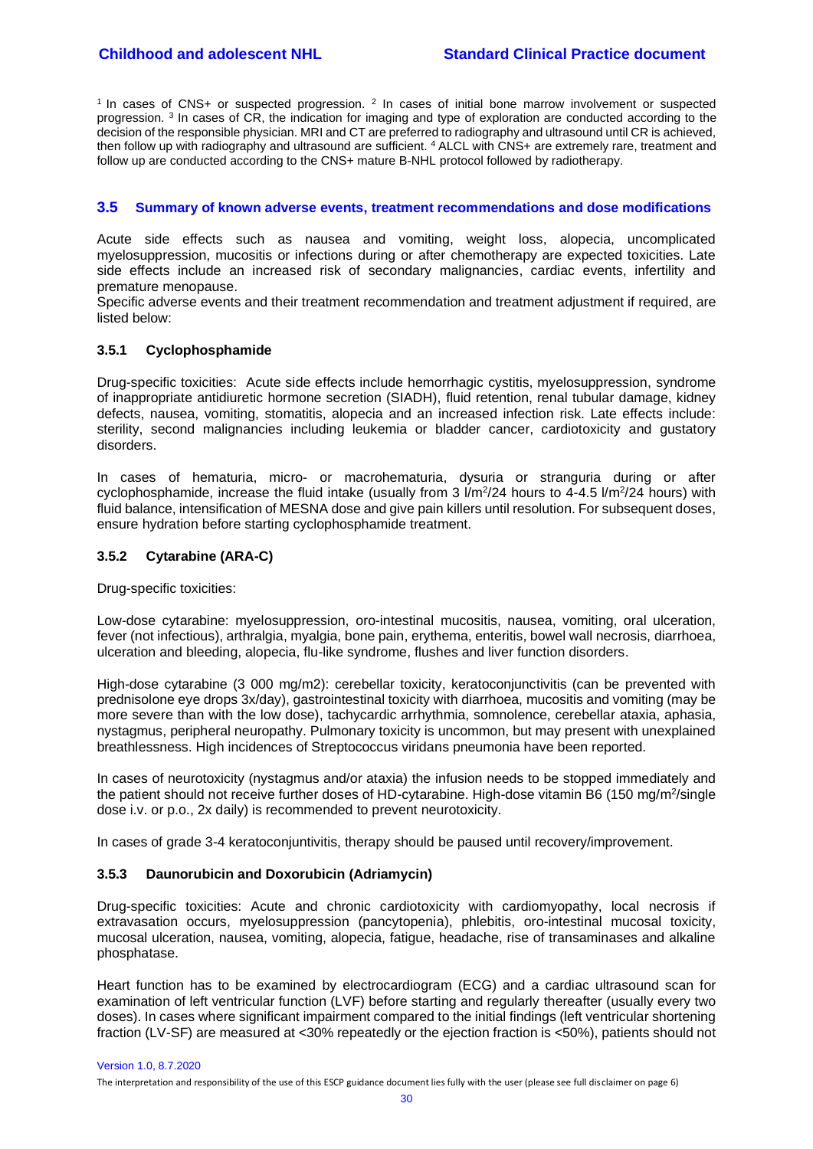<sup>1</sup> In cases of CNS+ or suspected progression.  $2$  In cases of initial bone marrow involvement or suspected progression. <sup>3</sup> In cases of CR, the indication for imaging and type of exploration are conducted according to the decision of the responsible physician. MRI and CT are preferred to radiography and ultrasound until CR is achieved, then follow up with radiography and ultrasound are sufficient. <sup>4</sup> ALCL with CNS+ are extremely rare, treatment and follow up are conducted according to the CNS+ mature B-NHL protocol followed by radiotherapy.

#### <span id="page-29-0"></span>**3.5 Summary of known adverse events, treatment recommendations and dose modifications**

Acute side effects such as nausea and vomiting, weight loss, alopecia, uncomplicated myelosuppression, mucositis or infections during or after chemotherapy are expected toxicities. Late side effects include an increased risk of secondary malignancies, cardiac events, infertility and premature menopause.

Specific adverse events and their treatment recommendation and treatment adjustment if required, are listed below:

#### <span id="page-29-1"></span>**3.5.1 Cyclophosphamide**

Drug-specific toxicities: Acute side effects include hemorrhagic cystitis, myelosuppression, syndrome of inappropriate antidiuretic hormone secretion (SIADH), fluid retention, renal tubular damage, kidney defects, nausea, vomiting, stomatitis, alopecia and an increased infection risk. Late effects include: sterility, second malignancies including leukemia or bladder cancer, cardiotoxicity and gustatory disorders.

In cases of hematuria, micro- or macrohematuria, dysuria or stranguria during or after cyclophosphamide, increase the fluid intake (usually from 3  $1/m^2/24$  hours to 4-4.5  $1/m^2/24$  hours) with fluid balance, intensification of MESNA dose and give pain killers until resolution. For subsequent doses, ensure hydration before starting cyclophosphamide treatment.

#### <span id="page-29-2"></span>**3.5.2 Cytarabine (ARA-C)**

Drug-specific toxicities:

Low-dose cytarabine: myelosuppression, oro-intestinal mucositis, nausea, vomiting, oral ulceration, fever (not infectious), arthralgia, myalgia, bone pain, erythema, enteritis, bowel wall necrosis, diarrhoea, ulceration and bleeding, alopecia, flu-like syndrome, flushes and liver function disorders.

High-dose cytarabine (3 000 mg/m2): cerebellar toxicity, keratoconjunctivitis (can be prevented with prednisolone eye drops 3x/day), gastrointestinal toxicity with diarrhoea, mucositis and vomiting (may be more severe than with the low dose), tachycardic arrhythmia, somnolence, cerebellar ataxia, aphasia, nystagmus, peripheral neuropathy. Pulmonary toxicity is uncommon, but may present with unexplained breathlessness. High incidences of Streptococcus viridans pneumonia have been reported.

In cases of neurotoxicity (nystagmus and/or ataxia) the infusion needs to be stopped immediately and the patient should not receive further doses of HD-cytarabine. High-dose vitamin B6 (150 mg/m<sup>2</sup>/single dose i.v. or p.o., 2x daily) is recommended to prevent neurotoxicity.

<span id="page-29-3"></span>In cases of grade 3-4 keratoconjuntivitis, therapy should be paused until recovery/improvement.

#### **3.5.3 Daunorubicin and Doxorubicin (Adriamycin)**

Drug-specific toxicities: Acute and chronic cardiotoxicity with cardiomyopathy, local necrosis if extravasation occurs, myelosuppression (pancytopenia), phlebitis, oro-intestinal mucosal toxicity, mucosal ulceration, nausea, vomiting, alopecia, fatigue, headache, rise of transaminases and alkaline phosphatase.

Heart function has to be examined by electrocardiogram (ECG) and a cardiac ultrasound scan for examination of left ventricular function (LVF) before starting and regularly thereafter (usually every two doses). In cases where significant impairment compared to the initial findings (left ventricular shortening fraction (LV-SF) are measured at <30% repeatedly or the ejection fraction is <50%), patients should not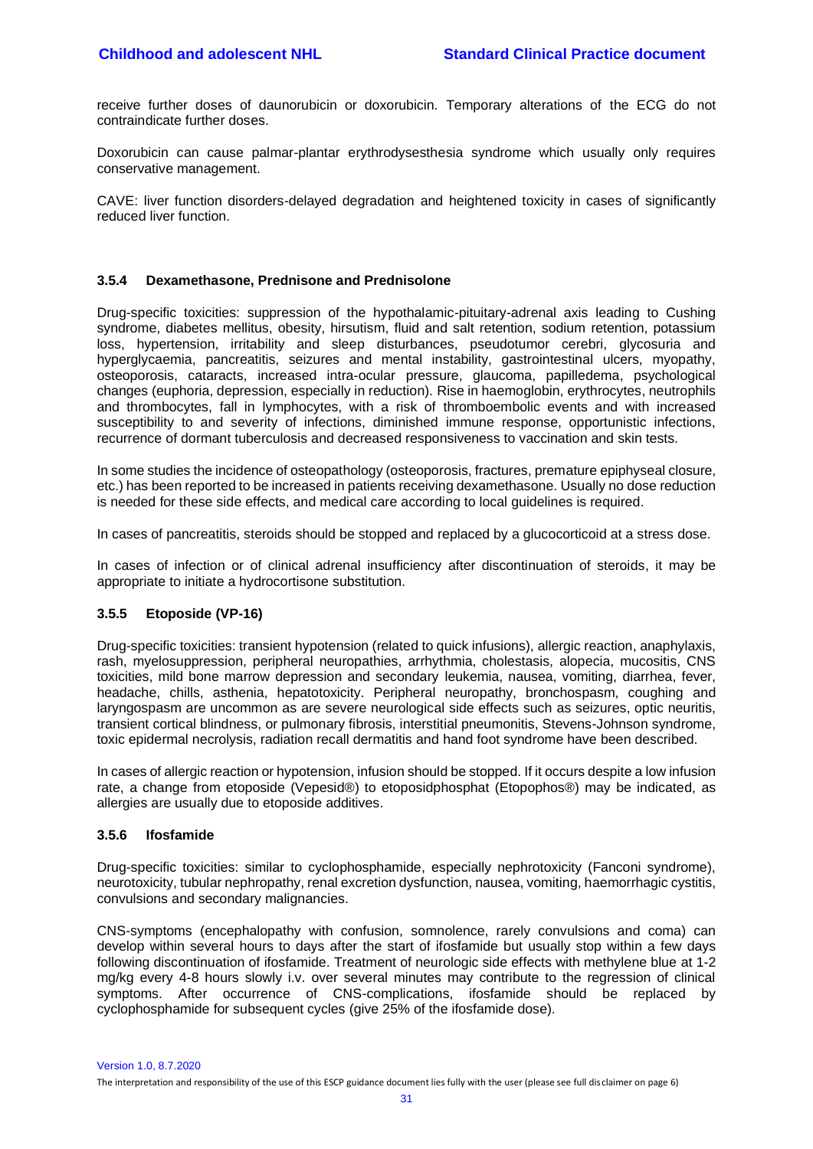receive further doses of daunorubicin or doxorubicin. Temporary alterations of the ECG do not contraindicate further doses.

Doxorubicin can cause palmar-plantar erythrodysesthesia syndrome which usually only requires conservative management.

CAVE: liver function disorders-delayed degradation and heightened toxicity in cases of significantly reduced liver function.

#### <span id="page-30-0"></span>**3.5.4 Dexamethasone, Prednisone and Prednisolone**

Drug-specific toxicities: suppression of the hypothalamic-pituitary-adrenal axis leading to Cushing syndrome, diabetes mellitus, obesity, hirsutism, fluid and salt retention, sodium retention, potassium loss, hypertension, irritability and sleep disturbances, pseudotumor cerebri, glycosuria and hyperglycaemia, pancreatitis, seizures and mental instability, gastrointestinal ulcers, myopathy, osteoporosis, cataracts, increased intra-ocular pressure, glaucoma, papilledema, psychological changes (euphoria, depression, especially in reduction). Rise in haemoglobin, erythrocytes, neutrophils and thrombocytes, fall in lymphocytes, with a risk of thromboembolic events and with increased susceptibility to and severity of infections, diminished immune response, opportunistic infections, recurrence of dormant tuberculosis and decreased responsiveness to vaccination and skin tests.

In some studies the incidence of osteopathology (osteoporosis, fractures, premature epiphyseal closure, etc.) has been reported to be increased in patients receiving dexamethasone. Usually no dose reduction is needed for these side effects, and medical care according to local guidelines is required.

In cases of pancreatitis, steroids should be stopped and replaced by a glucocorticoid at a stress dose.

In cases of infection or of clinical adrenal insufficiency after discontinuation of steroids, it may be appropriate to initiate a hydrocortisone substitution.

## <span id="page-30-1"></span>**3.5.5 Etoposide (VP-16)**

Drug-specific toxicities: transient hypotension (related to quick infusions), allergic reaction, anaphylaxis, rash, myelosuppression, peripheral neuropathies, arrhythmia, cholestasis, alopecia, mucositis, CNS toxicities, mild bone marrow depression and secondary leukemia, nausea, vomiting, diarrhea, fever, headache, chills, asthenia, hepatotoxicity. Peripheral neuropathy, bronchospasm, coughing and laryngospasm are uncommon as are severe neurological side effects such as seizures, optic neuritis, transient cortical blindness, or pulmonary fibrosis, interstitial pneumonitis, Stevens-Johnson syndrome, toxic epidermal necrolysis, radiation recall dermatitis and hand foot syndrome have been described.

In cases of allergic reaction or hypotension, infusion should be stopped. If it occurs despite a low infusion rate, a change from etoposide (Vepesid®) to etoposidphosphat (Etopophos®) may be indicated, as allergies are usually due to etoposide additives.

#### <span id="page-30-2"></span>**3.5.6 Ifosfamide**

Drug-specific toxicities: similar to cyclophosphamide, especially nephrotoxicity (Fanconi syndrome), neurotoxicity, tubular nephropathy, renal excretion dysfunction, nausea, vomiting, haemorrhagic cystitis, convulsions and secondary malignancies.

CNS-symptoms (encephalopathy with confusion, somnolence, rarely convulsions and coma) can develop within several hours to days after the start of ifosfamide but usually stop within a few days following discontinuation of ifosfamide. Treatment of neurologic side effects with methylene blue at 1-2 mg/kg every 4-8 hours slowly i.v. over several minutes may contribute to the regression of clinical symptoms. After occurrence of CNS-complications, ifosfamide should be replaced by cyclophosphamide for subsequent cycles (give 25% of the ifosfamide dose).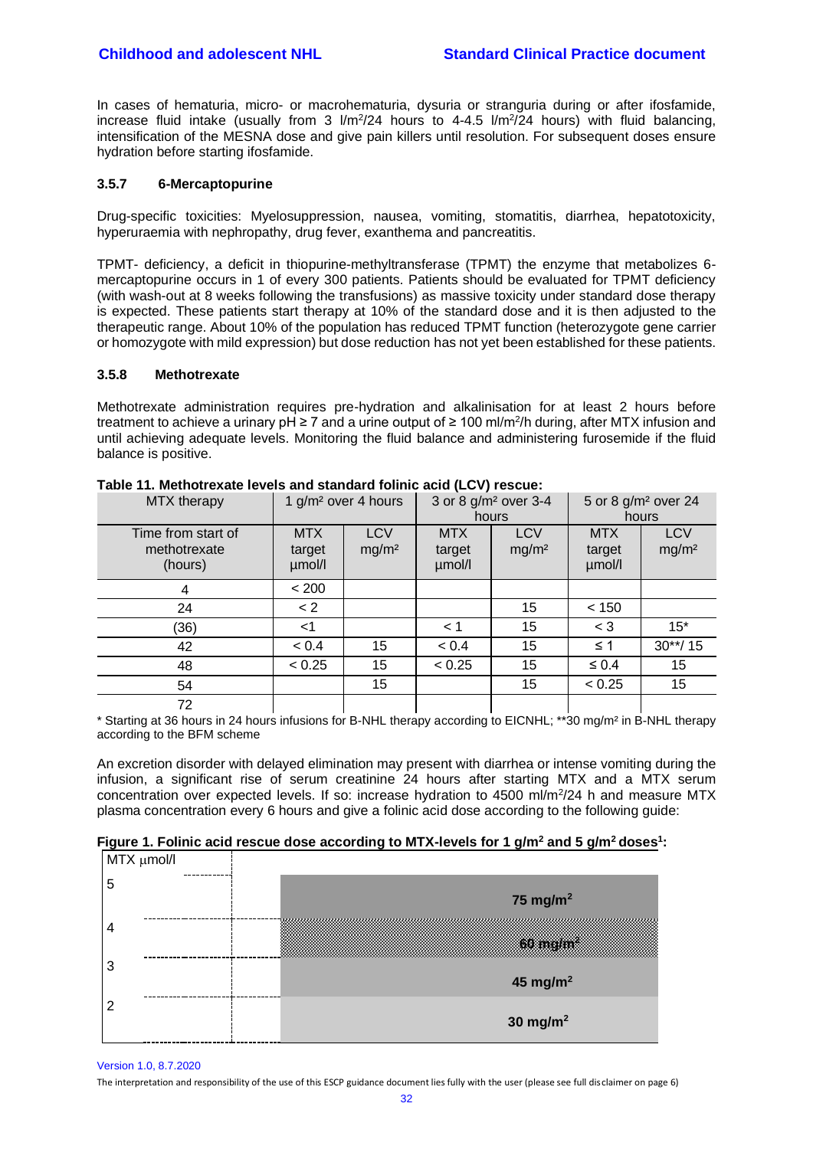In cases of hematuria, micro- or macrohematuria, dysuria or stranguria during or after ifosfamide, increase fluid intake (usually from 3  $1/m^2/24$  hours to 4-4.5  $1/m^2/24$  hours) with fluid balancing, intensification of the MESNA dose and give pain killers until resolution. For subsequent doses ensure hydration before starting ifosfamide.

#### <span id="page-31-0"></span>**3.5.7 6-Mercaptopurine**

Drug-specific toxicities: Myelosuppression, nausea, vomiting, stomatitis, diarrhea, hepatotoxicity, hyperuraemia with nephropathy, drug fever, exanthema and pancreatitis.

TPMT- deficiency, a deficit in thiopurine-methyltransferase (TPMT) the enzyme that metabolizes 6 mercaptopurine occurs in 1 of every 300 patients. Patients should be evaluated for TPMT deficiency (with wash-out at 8 weeks following the transfusions) as massive toxicity under standard dose therapy is expected. These patients start therapy at 10% of the standard dose and it is then adjusted to the therapeutic range. About 10% of the population has reduced TPMT function (heterozygote gene carrier or homozygote with mild expression) but dose reduction has not yet been established for these patients.

#### <span id="page-31-1"></span>**3.5.8 Methotrexate**

Methotrexate administration requires pre-hydration and alkalinisation for at least 2 hours before treatment to achieve a urinary pH ≥ 7 and a urine output of ≥ 100 ml/m<sup>2</sup>/h during, after MTX infusion and until achieving adequate levels. Monitoring the fluid balance and administering furosemide if the fluid balance is positive.

| MTX therapy                                   | 1 g/m <sup>2</sup> over 4 hours |                                 | 3 or 8 g/m <sup>2</sup> over 3-4<br>hours |                                 | 5 or 8 g/m <sup>2</sup> over 24<br>hours |                                 |
|-----------------------------------------------|---------------------------------|---------------------------------|-------------------------------------------|---------------------------------|------------------------------------------|---------------------------------|
| Time from start of<br>methotrexate<br>(hours) | <b>MTX</b><br>target<br>µmol/l  | <b>LCV</b><br>mg/m <sup>2</sup> | <b>MTX</b><br>target<br>µmol/l            | <b>LCV</b><br>mg/m <sup>2</sup> | <b>MTX</b><br>target<br>µmol/l           | <b>LCV</b><br>mg/m <sup>2</sup> |
| 4                                             | < 200                           |                                 |                                           |                                 |                                          |                                 |
| 24                                            | $\lt 2$                         |                                 |                                           | 15                              | < 150                                    |                                 |
| (36)                                          | ا>                              |                                 | 1 >                                       | 15                              | $<$ 3                                    | $15*$                           |
| 42                                            | < 0.4                           | 15                              | < 0.4                                     | 15                              | $\leq$ 1                                 | $30**/15$                       |
| 48                                            | < 0.25                          | 15                              | < 0.25                                    | 15                              | $\leq 0.4$                               | 15                              |
| 54                                            |                                 | 15                              |                                           | 15                              | < 0.25                                   | 15                              |
| 72                                            |                                 |                                 |                                           |                                 |                                          |                                 |

**Table 11. Methotrexate levels and standard folinic acid (LCV) rescue:**

\* Starting at 36 hours in 24 hours infusions for B-NHL therapy according to EICNHL; \*\*30 mg/m² in B-NHL therapy according to the BFM scheme

An excretion disorder with delayed elimination may present with diarrhea or intense vomiting during the infusion, a significant rise of serum creatinine 24 hours after starting MTX and a MTX serum concentration over expected levels. If so: increase hydration to 4500 ml/m<sup>2</sup>/24 h and measure MTX plasma concentration every 6 hours and give a folinic acid dose according to the following guide:

| MTX µmol/l |                      |
|------------|----------------------|
| 5          | 75 mg/m $^2$         |
|            | <b>Singhan</b>       |
| 3          | 45 mg/m <sup>2</sup> |
|            | 30 mg/m $^2$         |

Version 1.0, 8.7.2020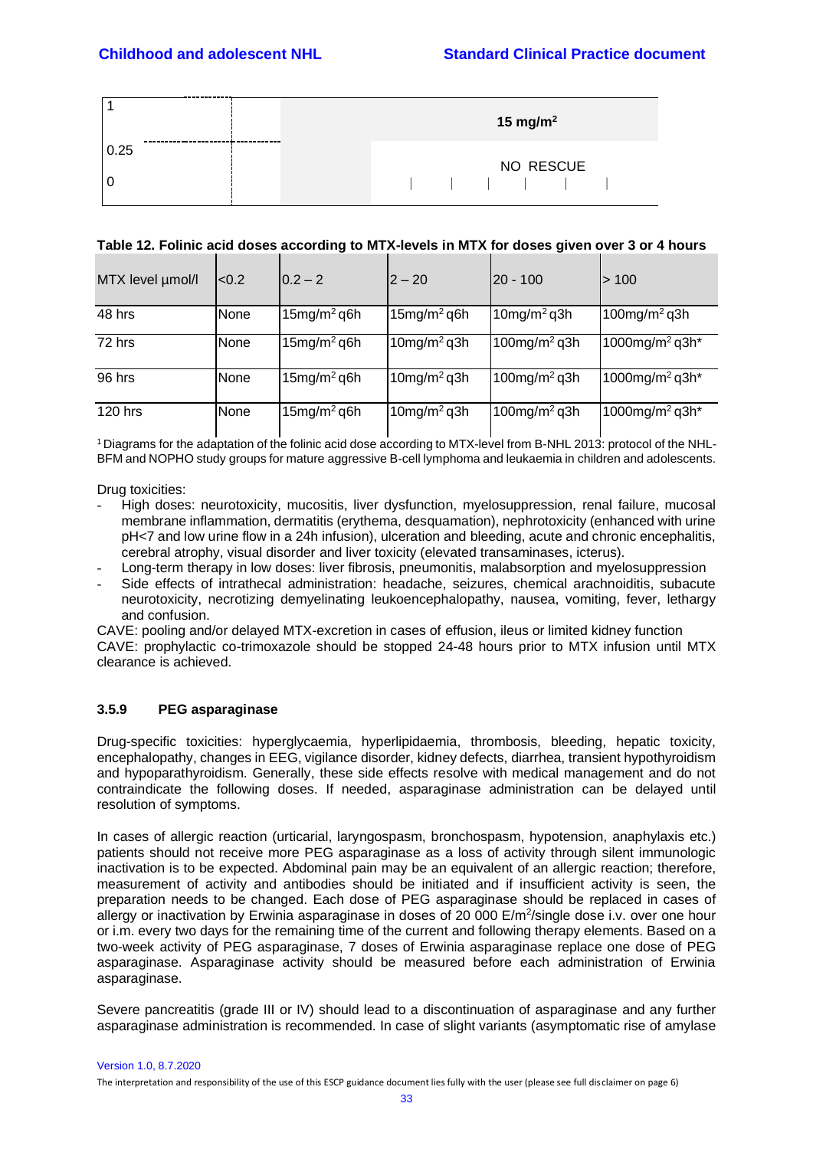|      | 15 mg/m <sup>2</sup>                                                                                                                        |
|------|---------------------------------------------------------------------------------------------------------------------------------------------|
| 0.25 | NO RESCUE                                                                                                                                   |
|      | $\frac{1}{2}$ $\frac{1}{2}$ $\frac{1}{2}$ $\frac{1}{2}$ $\frac{1}{2}$ $\frac{1}{2}$ $\frac{1}{2}$ $\frac{1}{2}$ $\frac{1}{2}$ $\frac{1}{2}$ |

#### **Table 12. Folinic acid doses according to MTX-levels in MTX for doses given over 3 or 4 hours**

| MTX level µmol/l | < 0.2       | $0.2 - 2$                  | $2 - 20$                   | $ 20 - 100$                 | >100                       |
|------------------|-------------|----------------------------|----------------------------|-----------------------------|----------------------------|
| 48 hrs           | None        | $15$ mg/m <sup>2</sup> q6h | $15$ mg/m <sup>2</sup> q6h | $10$ mg/m <sup>2</sup> q3h  | 100mg/m <sup>2</sup> q3h   |
| 72 hrs           | <b>None</b> | $15$ mg/m <sup>2</sup> q6h | $10$ mg/m <sup>2</sup> q3h | $100$ mg/m <sup>2</sup> q3h | 1000mg/m <sup>2</sup> q3h* |
| 96 hrs           | <b>None</b> | $15$ mg/m <sup>2</sup> q6h | $10$ mg/m <sup>2</sup> q3h | 100mg/m <sup>2</sup> q3h    | 1000mg/m <sup>2</sup> q3h* |
| 120 hrs          | <b>None</b> | $15mg/m2$ q6h              | $10$ mg/m <sup>2</sup> q3h | 100mg/m <sup>2</sup> q3h    | 1000mg/m <sup>2</sup> q3h* |

1 Diagrams for the adaptation of the folinic acid dose according to MTX-level from B-NHL 2013: protocol of the NHL-BFM and NOPHO study groups for mature aggressive B-cell lymphoma and leukaemia in children and adolescents.

Drug toxicities:

- High doses: neurotoxicity, mucositis, liver dysfunction, myelosuppression, renal failure, mucosal membrane inflammation, dermatitis (erythema, desquamation), nephrotoxicity (enhanced with urine pH<7 and low urine flow in a 24h infusion), ulceration and bleeding, acute and chronic encephalitis, cerebral atrophy, visual disorder and liver toxicity (elevated transaminases, icterus).
- Long-term therapy in low doses: liver fibrosis, pneumonitis, malabsorption and myelosuppression
- Side effects of intrathecal administration: headache, seizures, chemical arachnoiditis, subacute neurotoxicity, necrotizing demyelinating leukoencephalopathy, nausea, vomiting, fever, lethargy and confusion.

CAVE: pooling and/or delayed MTX-excretion in cases of effusion, ileus or limited kidney function CAVE: prophylactic co-trimoxazole should be stopped 24-48 hours prior to MTX infusion until MTX clearance is achieved.

## <span id="page-32-0"></span>**3.5.9 PEG asparaginase**

Drug-specific toxicities: hyperglycaemia, hyperlipidaemia, thrombosis, bleeding, hepatic toxicity, encephalopathy, changes in EEG, vigilance disorder, kidney defects, diarrhea, transient hypothyroidism and hypoparathyroidism. Generally, these side effects resolve with medical management and do not contraindicate the following doses. If needed, asparaginase administration can be delayed until resolution of symptoms.

In cases of allergic reaction (urticarial, laryngospasm, bronchospasm, hypotension, anaphylaxis etc.) patients should not receive more PEG asparaginase as a loss of activity through silent immunologic inactivation is to be expected. Abdominal pain may be an equivalent of an allergic reaction; therefore, measurement of activity and antibodies should be initiated and if insufficient activity is seen, the preparation needs to be changed. Each dose of PEG asparaginase should be replaced in cases of allergy or inactivation by Erwinia asparaginase in doses of 20 000 E/m<sup>2</sup>/single dose i.v. over one hour or i.m. every two days for the remaining time of the current and following therapy elements. Based on a two-week activity of PEG asparaginase, 7 doses of Erwinia asparaginase replace one dose of PEG asparaginase. Asparaginase activity should be measured before each administration of Erwinia asparaginase.

Severe pancreatitis (grade III or IV) should lead to a discontinuation of asparaginase and any further asparaginase administration is recommended. In case of slight variants (asymptomatic rise of amylase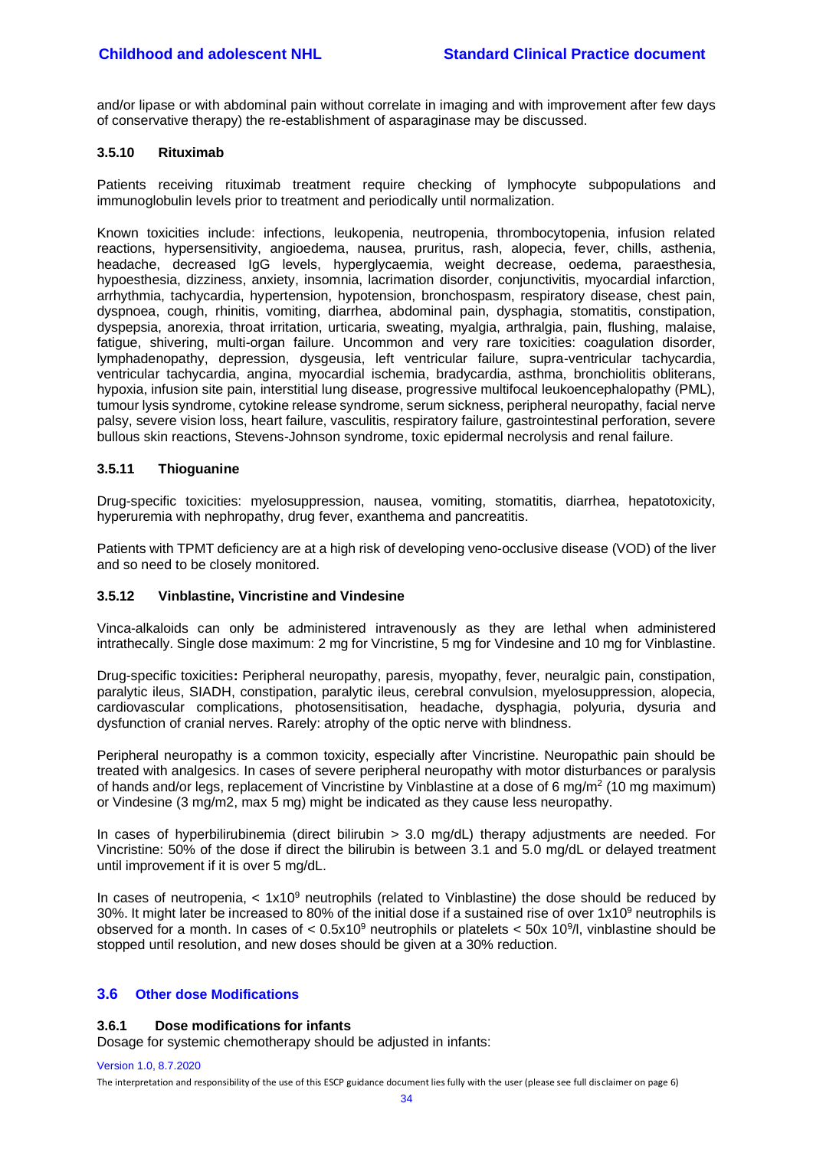and/or lipase or with abdominal pain without correlate in imaging and with improvement after few days of conservative therapy) the re-establishment of asparaginase may be discussed.

#### <span id="page-33-0"></span>**3.5.10 Rituximab**

Patients receiving rituximab treatment require checking of lymphocyte subpopulations and immunoglobulin levels prior to treatment and periodically until normalization.

Known toxicities include: infections, leukopenia, neutropenia, thrombocytopenia, infusion related reactions, hypersensitivity, angioedema, nausea, pruritus, rash, alopecia, fever, chills, asthenia, headache, decreased IgG levels, hyperglycaemia, weight decrease, oedema, paraesthesia, hypoesthesia, dizziness, anxiety, insomnia, lacrimation disorder, conjunctivitis, myocardial infarction, arrhythmia, tachycardia, hypertension, hypotension, bronchospasm, respiratory disease, chest pain, dyspnoea, cough, rhinitis, vomiting, diarrhea, abdominal pain, dysphagia, stomatitis, constipation, dyspepsia, anorexia, throat irritation, urticaria, sweating, myalgia, arthralgia, pain, flushing, malaise, fatigue, shivering, multi-organ failure. Uncommon and very rare toxicities: coagulation disorder, lymphadenopathy, depression, dysgeusia, left ventricular failure, supra-ventricular tachycardia, ventricular tachycardia, angina, myocardial ischemia, bradycardia, asthma, bronchiolitis obliterans, hypoxia, infusion site pain, interstitial lung disease, progressive multifocal leukoencephalopathy (PML), tumour lysis syndrome, cytokine release syndrome, serum sickness, peripheral neuropathy, facial nerve palsy, severe vision loss, heart failure, vasculitis, respiratory failure, gastrointestinal perforation, severe bullous skin reactions, Stevens-Johnson syndrome, toxic epidermal necrolysis and renal failure.

#### <span id="page-33-1"></span>**3.5.11 Thioguanine**

Drug-specific toxicities: myelosuppression, nausea, vomiting, stomatitis, diarrhea, hepatotoxicity, hyperuremia with nephropathy, drug fever, exanthema and pancreatitis.

Patients with TPMT deficiency are at a high risk of developing veno-occlusive disease (VOD) of the liver and so need to be closely monitored.

#### <span id="page-33-2"></span>**3.5.12 Vinblastine, Vincristine and Vindesine**

Vinca-alkaloids can only be administered intravenously as they are lethal when administered intrathecally. Single dose maximum: 2 mg for Vincristine, 5 mg for Vindesine and 10 mg for Vinblastine.

Drug-specific toxicities**:** Peripheral neuropathy, paresis, myopathy, fever, neuralgic pain, constipation, paralytic ileus, SIADH, constipation, paralytic ileus, cerebral convulsion, myelosuppression, alopecia, cardiovascular complications, photosensitisation, headache, dysphagia, polyuria, dysuria and dysfunction of cranial nerves. Rarely: atrophy of the optic nerve with blindness.

Peripheral neuropathy is a common toxicity, especially after Vincristine. Neuropathic pain should be treated with analgesics. In cases of severe peripheral neuropathy with motor disturbances or paralysis of hands and/or legs, replacement of Vincristine by Vinblastine at a dose of 6 mg/m<sup>2</sup> (10 mg maximum) or Vindesine (3 mg/m2, max 5 mg) might be indicated as they cause less neuropathy.

In cases of hyperbilirubinemia (direct bilirubin  $> 3.0$  mg/dL) therapy adjustments are needed. For Vincristine: 50% of the dose if direct the bilirubin is between 3.1 and 5.0 mg/dL or delayed treatment until improvement if it is over 5 mg/dL.

In cases of neutropenia,  $<$  1x10<sup>9</sup> neutrophils (related to Vinblastine) the dose should be reduced by 30%. It might later be increased to 80% of the initial dose if a sustained rise of over 1x10<sup>9</sup> neutrophils is observed for a month. In cases of  $< 0.5x10<sup>9</sup>$  neutrophils or platelets  $< 50x 10<sup>9</sup>/l$ , vinblastine should be stopped until resolution, and new doses should be given at a 30% reduction.

## <span id="page-33-4"></span><span id="page-33-3"></span>**3.6 Other dose Modifications**

#### **3.6.1 Dose modifications for infants**

Dosage for systemic chemotherapy should be adjusted in infants:

#### Version 1.0, 8.7.2020

The interpretation and responsibility of the use of this ESCP guidance document lies fully with the user (please see full disclaimer on page 6)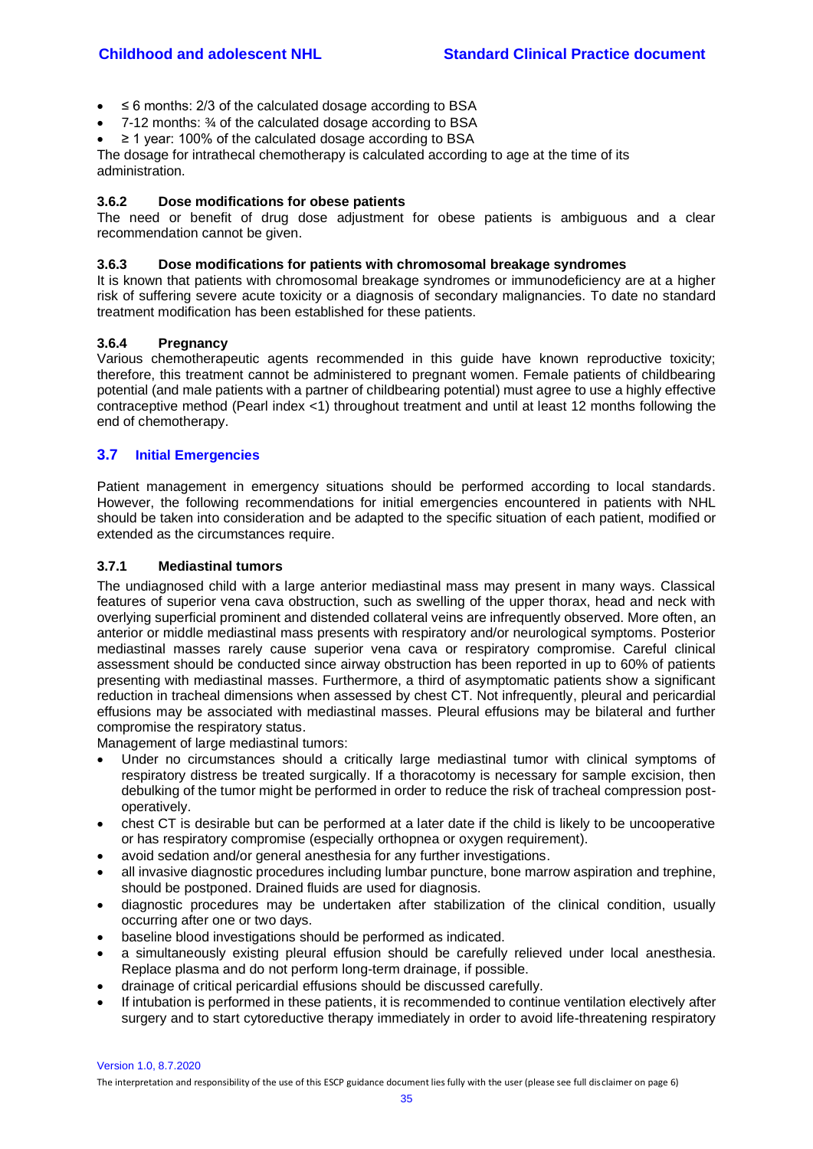- ≤ 6 months: 2/3 of the calculated dosage according to BSA
- 7-12 months: ¾ of the calculated dosage according to BSA
- ≥ 1 year: 100% of the calculated dosage according to BSA

The dosage for intrathecal chemotherapy is calculated according to age at the time of its administration.

#### <span id="page-34-0"></span>**3.6.2 Dose modifications for obese patients**

The need or benefit of drug dose adjustment for obese patients is ambiguous and a clear recommendation cannot be given.

#### <span id="page-34-1"></span>**3.6.3 Dose modifications for patients with chromosomal breakage syndromes**

It is known that patients with chromosomal breakage syndromes or immunodeficiency are at a higher risk of suffering severe acute toxicity or a diagnosis of secondary malignancies. To date no standard treatment modification has been established for these patients.

#### <span id="page-34-2"></span>**3.6.4 Pregnancy**

Various chemotherapeutic agents recommended in this guide have known reproductive toxicity; therefore, this treatment cannot be administered to pregnant women. Female patients of childbearing potential (and male patients with a partner of childbearing potential) must agree to use a highly effective contraceptive method (Pearl index <1) throughout treatment and until at least 12 months following the end of chemotherapy.

#### <span id="page-34-3"></span>**3.7 Initial Emergencies**

Patient management in emergency situations should be performed according to local standards. However, the following recommendations for initial emergencies encountered in patients with NHL should be taken into consideration and be adapted to the specific situation of each patient, modified or extended as the circumstances require.

#### <span id="page-34-4"></span>**3.7.1 Mediastinal tumors**

The undiagnosed child with a large anterior mediastinal mass may present in many ways. Classical features of superior vena cava obstruction, such as swelling of the upper thorax, head and neck with overlying superficial prominent and distended collateral veins are infrequently observed. More often, an anterior or middle mediastinal mass presents with respiratory and/or neurological symptoms. Posterior mediastinal masses rarely cause superior vena cava or respiratory compromise. Careful clinical assessment should be conducted since airway obstruction has been reported in up to 60% of patients presenting with mediastinal masses. Furthermore, a third of asymptomatic patients show a significant reduction in tracheal dimensions when assessed by chest CT. Not infrequently, pleural and pericardial effusions may be associated with mediastinal masses. Pleural effusions may be bilateral and further compromise the respiratory status.

Management of large mediastinal tumors:

- Under no circumstances should a critically large mediastinal tumor with clinical symptoms of respiratory distress be treated surgically. If a thoracotomy is necessary for sample excision, then debulking of the tumor might be performed in order to reduce the risk of tracheal compression postoperatively.
- chest CT is desirable but can be performed at a later date if the child is likely to be uncooperative or has respiratory compromise (especially orthopnea or oxygen requirement).
- avoid sedation and/or general anesthesia for any further investigations.
- all invasive diagnostic procedures including lumbar puncture, bone marrow aspiration and trephine, should be postponed. Drained fluids are used for diagnosis.
- diagnostic procedures may be undertaken after stabilization of the clinical condition, usually occurring after one or two days.
- baseline blood investigations should be performed as indicated.
- a simultaneously existing pleural effusion should be carefully relieved under local anesthesia. Replace plasma and do not perform long-term drainage, if possible.
- drainage of critical pericardial effusions should be discussed carefully.
- If intubation is performed in these patients, it is recommended to continue ventilation electively after surgery and to start cytoreductive therapy immediately in order to avoid life-threatening respiratory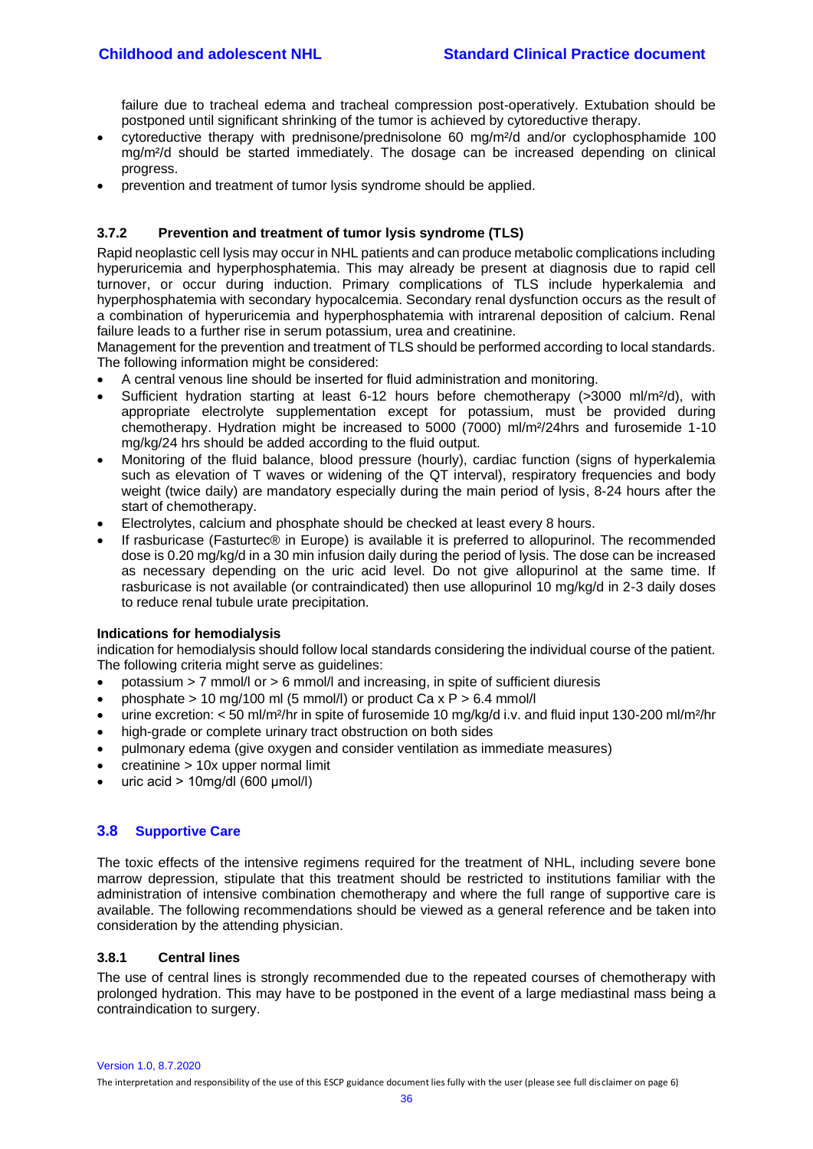failure due to tracheal edema and tracheal compression post-operatively. Extubation should be postponed until significant shrinking of the tumor is achieved by cytoreductive therapy.

- cytoreductive therapy with prednisone/prednisolone 60 mg/m²/d and/or cyclophosphamide 100 mg/m²/d should be started immediately. The dosage can be increased depending on clinical progress.
- prevention and treatment of tumor lysis syndrome should be applied.

## <span id="page-35-0"></span>**3.7.2 Prevention and treatment of tumor lysis syndrome (TLS)**

Rapid neoplastic cell lysis may occur in NHL patients and can produce metabolic complications including hyperuricemia and hyperphosphatemia. This may already be present at diagnosis due to rapid cell turnover, or occur during induction. Primary complications of TLS include hyperkalemia and hyperphosphatemia with secondary hypocalcemia. Secondary renal dysfunction occurs as the result of a combination of hyperuricemia and hyperphosphatemia with intrarenal deposition of calcium. Renal failure leads to a further rise in serum potassium, urea and creatinine.

Management for the prevention and treatment of TLS should be performed according to local standards. The following information might be considered:

- A central venous line should be inserted for fluid administration and monitoring.
- Sufficient hydration starting at least 6-12 hours before chemotherapy (>3000 ml/m²/d), with appropriate electrolyte supplementation except for potassium, must be provided during chemotherapy. Hydration might be increased to 5000 (7000) ml/m²/24hrs and furosemide 1-10 mg/kg/24 hrs should be added according to the fluid output.
- Monitoring of the fluid balance, blood pressure (hourly), cardiac function (signs of hyperkalemia such as elevation of T waves or widening of the QT interval), respiratory frequencies and body weight (twice daily) are mandatory especially during the main period of lysis, 8-24 hours after the start of chemotherapy.
- Electrolytes, calcium and phosphate should be checked at least every 8 hours.
- If rasburicase (Fasturtec® in Europe) is available it is preferred to allopurinol. The recommended dose is 0.20 mg/kg/d in a 30 min infusion daily during the period of lysis. The dose can be increased as necessary depending on the uric acid level. Do not give allopurinol at the same time. If rasburicase is not available (or contraindicated) then use allopurinol 10 mg/kg/d in 2-3 daily doses to reduce renal tubule urate precipitation.

#### **Indications for hemodialysis**

indication for hemodialysis should follow local standards considering the individual course of the patient. The following criteria might serve as guidelines:

- potassium  $> 7$  mmol/l or  $> 6$  mmol/l and increasing, in spite of sufficient diuresis
- phosphate  $> 10$  mg/100 ml (5 mmol/l) or product Ca x P  $> 6.4$  mmol/l
- urine excretion: < 50 ml/m²/hr in spite of furosemide 10 mg/kg/d i.v. and fluid input 130-200 ml/m²/hr
- high-grade or complete urinary tract obstruction on both sides
- pulmonary edema (give oxygen and consider ventilation as immediate measures)
- creatinine > 10x upper normal limit
- uric acid > 10mg/dl (600 μmol/l)

## <span id="page-35-1"></span>**3.8 Supportive Care**

The toxic effects of the intensive regimens required for the treatment of NHL, including severe bone marrow depression, stipulate that this treatment should be restricted to institutions familiar with the administration of intensive combination chemotherapy and where the full range of supportive care is available. The following recommendations should be viewed as a general reference and be taken into consideration by the attending physician.

#### <span id="page-35-2"></span>**3.8.1 Central lines**

The use of central lines is strongly recommended due to the repeated courses of chemotherapy with prolonged hydration. This may have to be postponed in the event of a large mediastinal mass being a contraindication to surgery.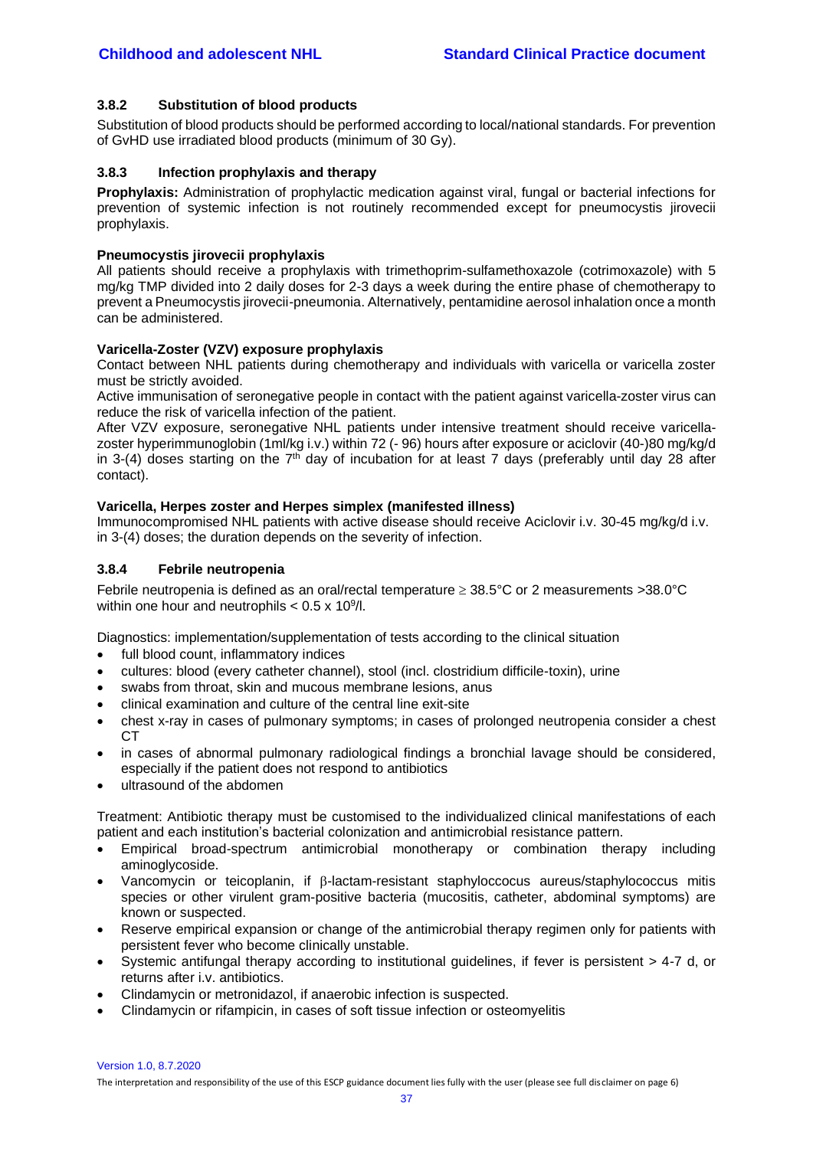#### <span id="page-36-0"></span>**3.8.2 Substitution of blood products**

Substitution of blood products should be performed according to local/national standards. For prevention of GvHD use irradiated blood products (minimum of 30 Gy).

#### <span id="page-36-1"></span>**3.8.3 Infection prophylaxis and therapy**

**Prophylaxis:** Administration of prophylactic medication against viral, fungal or bacterial infections for prevention of systemic infection is not routinely recommended except for pneumocystis jirovecii prophylaxis.

#### **Pneumocystis jirovecii prophylaxis**

All patients should receive a prophylaxis with trimethoprim-sulfamethoxazole (cotrimoxazole) with 5 mg/kg TMP divided into 2 daily doses for 2-3 days a week during the entire phase of chemotherapy to prevent a Pneumocystis jirovecii-pneumonia. Alternatively, pentamidine aerosol inhalation once a month can be administered.

#### **Varicella-Zoster (VZV) exposure prophylaxis**

Contact between NHL patients during chemotherapy and individuals with varicella or varicella zoster must be strictly avoided.

Active immunisation of seronegative people in contact with the patient against varicella-zoster virus can reduce the risk of varicella infection of the patient.

After VZV exposure, seronegative NHL patients under intensive treatment should receive varicellazoster hyperimmunoglobin (1ml/kg i.v.) within 72 (- 96) hours after exposure or aciclovir (40-)80 mg/kg/d in 3-(4) doses starting on the  $7<sup>th</sup>$  day of incubation for at least 7 days (preferably until day 28 after contact).

#### **Varicella, Herpes zoster and Herpes simplex (manifested illness)**

Immunocompromised NHL patients with active disease should receive Aciclovir i.v. 30-45 mg/kg/d i.v. in 3-(4) doses; the duration depends on the severity of infection.

#### <span id="page-36-2"></span>**3.8.4 Febrile neutropenia**

Febrile neutropenia is defined as an oral/rectal temperature  $\geq 38.5^{\circ}$ C or 2 measurements  $>38.0^{\circ}$ C within one hour and neutrophils  $< 0.5 \times 10^9$ /l.

Diagnostics: implementation/supplementation of tests according to the clinical situation

- full blood count, inflammatory indices
- cultures: blood (every catheter channel), stool (incl. clostridium difficile-toxin), urine
- swabs from throat, skin and mucous membrane lesions, anus
- clinical examination and culture of the central line exit-site
- chest x-ray in cases of pulmonary symptoms; in cases of prolonged neutropenia consider a chest CT
- in cases of abnormal pulmonary radiological findings a bronchial lavage should be considered, especially if the patient does not respond to antibiotics
- ultrasound of the abdomen

Treatment: Antibiotic therapy must be customised to the individualized clinical manifestations of each patient and each institution's bacterial colonization and antimicrobial resistance pattern.

- Empirical broad-spectrum antimicrobial monotherapy or combination therapy including aminoglycoside.
- Vancomycin or teicoplanin, if  $\beta$ -lactam-resistant staphyloccocus aureus/staphylococcus mitis species or other virulent gram-positive bacteria (mucositis, catheter, abdominal symptoms) are known or suspected.
- Reserve empirical expansion or change of the antimicrobial therapy regimen only for patients with persistent fever who become clinically unstable.
- Systemic antifungal therapy according to institutional guidelines, if fever is persistent > 4-7 d, or returns after i.v. antibiotics.
- Clindamycin or metronidazol, if anaerobic infection is suspected.
- Clindamycin or rifampicin, in cases of soft tissue infection or osteomyelitis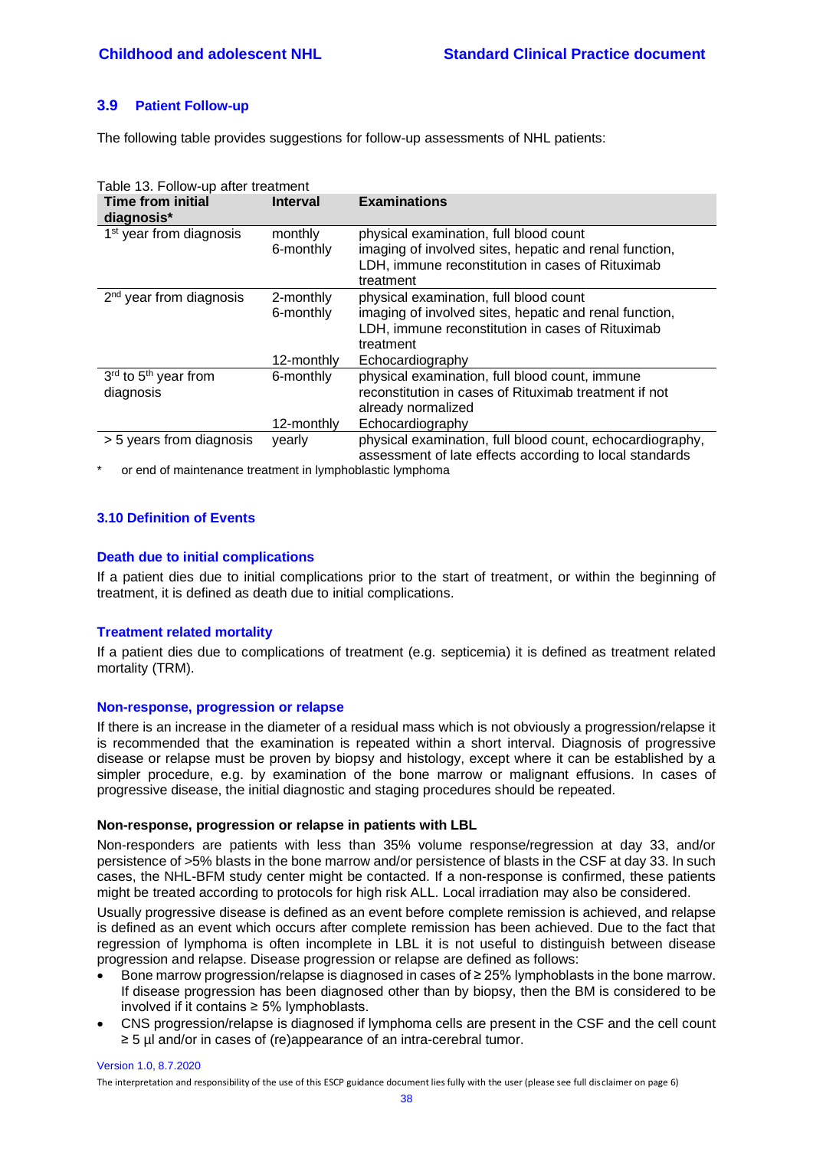## <span id="page-37-0"></span>**3.9 Patient Follow-up**

The following table provides suggestions for follow-up assessments of NHL patients:

| Table 13. Follow-up after treatment           |                      |                                                                                                                                                                   |  |  |
|-----------------------------------------------|----------------------|-------------------------------------------------------------------------------------------------------------------------------------------------------------------|--|--|
| <b>Time from initial</b><br>diagnosis*        | <b>Interval</b>      | <b>Examinations</b>                                                                                                                                               |  |  |
| 1 <sup>st</sup> year from diagnosis           | monthly<br>6-monthly | physical examination, full blood count<br>imaging of involved sites, hepatic and renal function,<br>LDH, immune reconstitution in cases of Rituximab<br>treatment |  |  |
| $2nd$ year from diagnosis                     | 2-monthly            | physical examination, full blood count                                                                                                                            |  |  |
|                                               | 6-monthly            | imaging of involved sites, hepatic and renal function,<br>LDH, immune reconstitution in cases of Rituximab<br>treatment                                           |  |  |
|                                               | 12-monthly           | Echocardiography                                                                                                                                                  |  |  |
| 3rd to 5 <sup>th</sup> year from<br>diagnosis | 6-monthly            | physical examination, full blood count, immune<br>reconstitution in cases of Rituximab treatment if not<br>already normalized                                     |  |  |
|                                               | 12-monthly           | Echocardiography                                                                                                                                                  |  |  |
| > 5 years from diagnosis                      | vearly               | physical examination, full blood count, echocardiography,<br>assessment of late effects according to local standards                                              |  |  |

or end of maintenance treatment in lymphoblastic lymphoma

## <span id="page-37-1"></span>**3.10 Definition of Events**

#### **Death due to initial complications**

If a patient dies due to initial complications prior to the start of treatment, or within the beginning of treatment, it is defined as death due to initial complications.

#### **Treatment related mortality**

If a patient dies due to complications of treatment (e.g. septicemia) it is defined as treatment related mortality (TRM).

#### **Non-response, progression or relapse**

If there is an increase in the diameter of a residual mass which is not obviously a progression/relapse it is recommended that the examination is repeated within a short interval. Diagnosis of progressive disease or relapse must be proven by biopsy and histology, except where it can be established by a simpler procedure, e.g. by examination of the bone marrow or malignant effusions. In cases of progressive disease, the initial diagnostic and staging procedures should be repeated.

#### **Non-response, progression or relapse in patients with LBL**

Non-responders are patients with less than 35% volume response/regression at day 33, and/or persistence of >5% blasts in the bone marrow and/or persistence of blasts in the CSF at day 33. In such cases, the NHL-BFM study center might be contacted. If a non-response is confirmed, these patients might be treated according to protocols for high risk ALL. Local irradiation may also be considered.

Usually progressive disease is defined as an event before complete remission is achieved, and relapse is defined as an event which occurs after complete remission has been achieved. Due to the fact that regression of lymphoma is often incomplete in LBL it is not useful to distinguish between disease progression and relapse. Disease progression or relapse are defined as follows:

- Bone marrow progression/relapse is diagnosed in cases of ≥ 25% lymphoblasts in the bone marrow. If disease progression has been diagnosed other than by biopsy, then the BM is considered to be involved if it contains ≥ 5% lymphoblasts.
- CNS progression/relapse is diagnosed if lymphoma cells are present in the CSF and the cell count ≥ 5 µl and/or in cases of (re)appearance of an intra-cerebral tumor.

#### Version 1.0, 8.7.2020

The interpretation and responsibility of the use of this ESCP guidance document lies fully with the user (please see full disclaimer on page 6)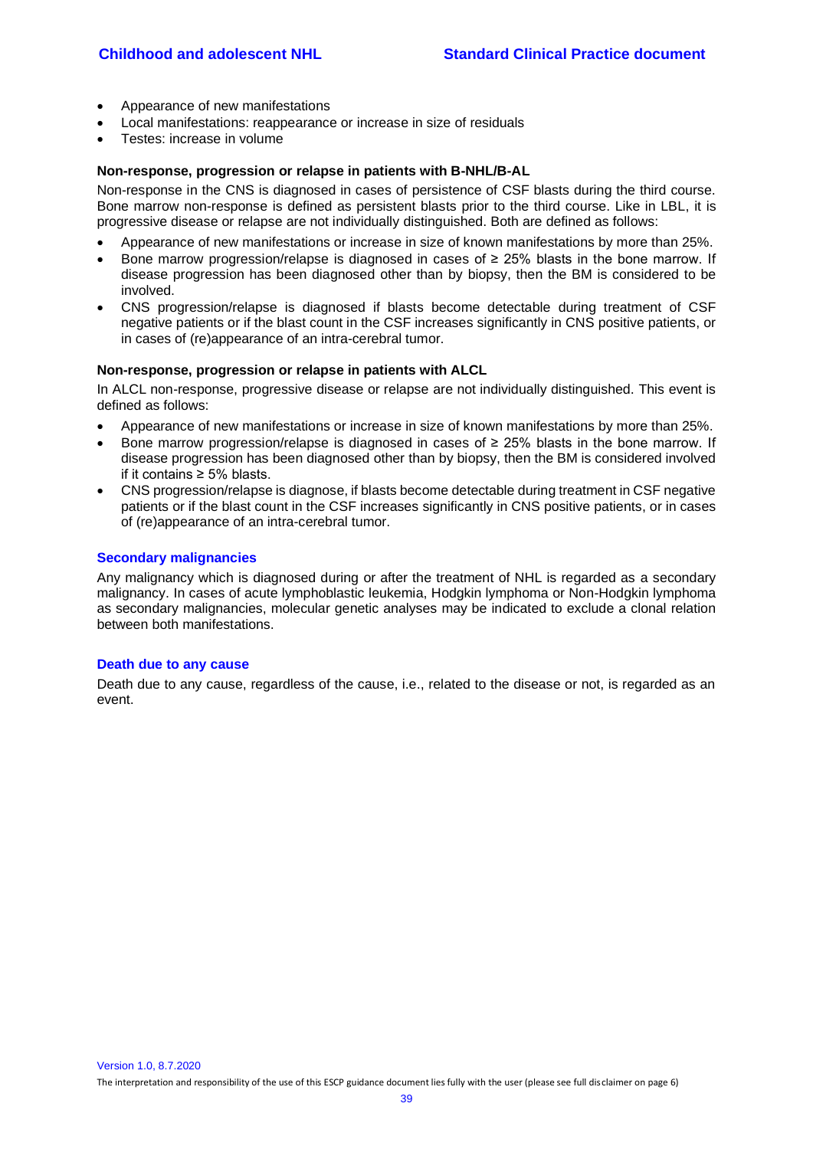- Appearance of new manifestations
- Local manifestations: reappearance or increase in size of residuals
- Testes: increase in volume

#### **Non-response, progression or relapse in patients with B-NHL/B-AL**

Non-response in the CNS is diagnosed in cases of persistence of CSF blasts during the third course. Bone marrow non-response is defined as persistent blasts prior to the third course. Like in LBL, it is progressive disease or relapse are not individually distinguished. Both are defined as follows:

- Appearance of new manifestations or increase in size of known manifestations by more than 25%.
- Bone marrow progression/relapse is diagnosed in cases of ≥ 25% blasts in the bone marrow. If disease progression has been diagnosed other than by biopsy, then the BM is considered to be involved.
- CNS progression/relapse is diagnosed if blasts become detectable during treatment of CSF negative patients or if the blast count in the CSF increases significantly in CNS positive patients, or in cases of (re)appearance of an intra-cerebral tumor.

#### **Non-response, progression or relapse in patients with ALCL**

In ALCL non-response, progressive disease or relapse are not individually distinguished. This event is defined as follows:

- Appearance of new manifestations or increase in size of known manifestations by more than 25%.
- Bone marrow progression/relapse is diagnosed in cases of ≥ 25% blasts in the bone marrow. If disease progression has been diagnosed other than by biopsy, then the BM is considered involved if it contains ≥ 5% blasts.
- CNS progression/relapse is diagnose, if blasts become detectable during treatment in CSF negative patients or if the blast count in the CSF increases significantly in CNS positive patients, or in cases of (re)appearance of an intra-cerebral tumor.

## **Secondary malignancies**

Any malignancy which is diagnosed during or after the treatment of NHL is regarded as a secondary malignancy. In cases of acute lymphoblastic leukemia, Hodgkin lymphoma or Non-Hodgkin lymphoma as secondary malignancies, molecular genetic analyses may be indicated to exclude a clonal relation between both manifestations.

#### **Death due to any cause**

Death due to any cause, regardless of the cause, i.e., related to the disease or not, is regarded as an event.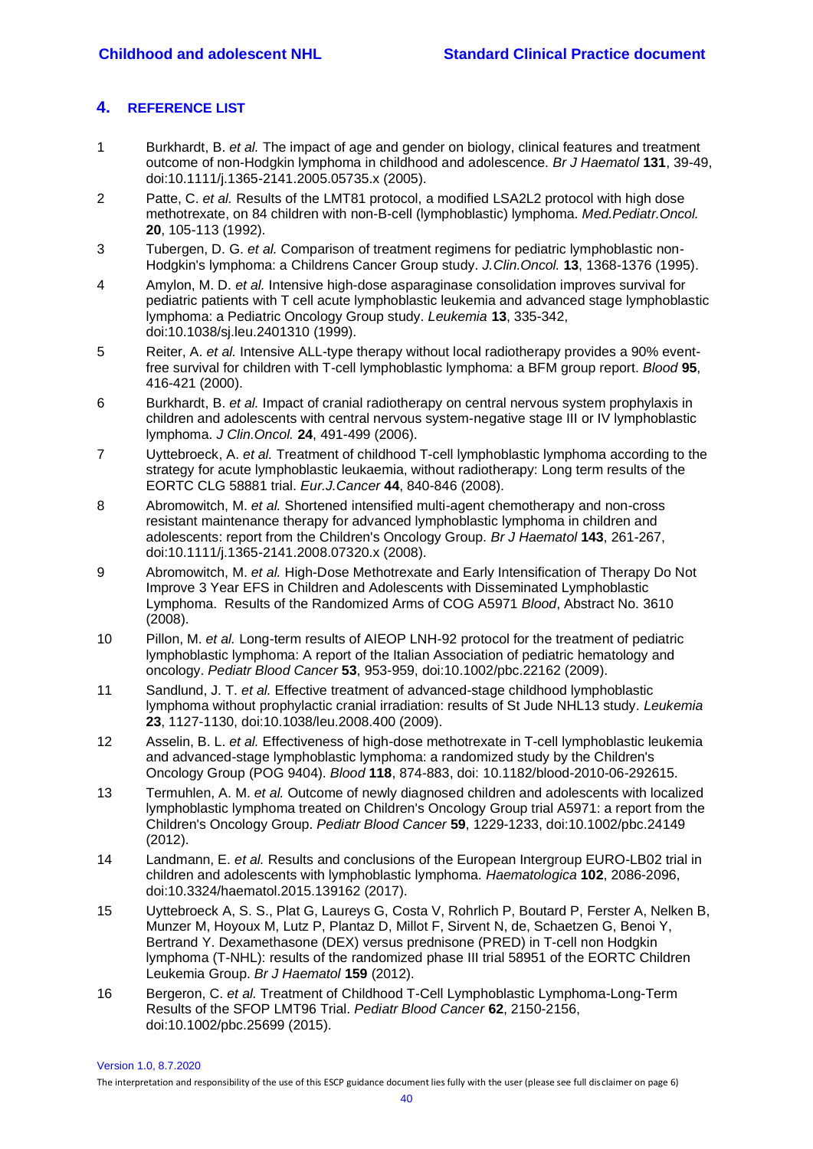# <span id="page-39-0"></span>**4. REFERENCE LIST**

- <span id="page-39-1"></span>1 Burkhardt, B. *et al.* The impact of age and gender on biology, clinical features and treatment outcome of non-Hodgkin lymphoma in childhood and adolescence. *Br J Haematol* **131**, 39-49, doi:10.1111/j.1365-2141.2005.05735.x (2005).
- <span id="page-39-2"></span>2 Patte, C. *et al.* Results of the LMT81 protocol, a modified LSA2L2 protocol with high dose methotrexate, on 84 children with non-B-cell (lymphoblastic) lymphoma. *Med.Pediatr.Oncol.* **20**, 105-113 (1992).
- <span id="page-39-3"></span>3 Tubergen, D. G. *et al.* Comparison of treatment regimens for pediatric lymphoblastic non-Hodgkin's lymphoma: a Childrens Cancer Group study. *J.Clin.Oncol.* **13**, 1368-1376 (1995).
- <span id="page-39-4"></span>4 Amylon, M. D. *et al.* Intensive high-dose asparaginase consolidation improves survival for pediatric patients with T cell acute lymphoblastic leukemia and advanced stage lymphoblastic lymphoma: a Pediatric Oncology Group study. *Leukemia* **13**, 335-342, doi:10.1038/sj.leu.2401310 (1999).
- <span id="page-39-5"></span>5 Reiter, A. *et al.* Intensive ALL-type therapy without local radiotherapy provides a 90% eventfree survival for children with T-cell lymphoblastic lymphoma: a BFM group report. *Blood* **95**, 416-421 (2000).
- <span id="page-39-6"></span>6 Burkhardt, B. *et al.* Impact of cranial radiotherapy on central nervous system prophylaxis in children and adolescents with central nervous system-negative stage III or IV lymphoblastic lymphoma. *J Clin.Oncol.* **24**, 491-499 (2006).
- <span id="page-39-7"></span>7 Uyttebroeck, A. *et al.* Treatment of childhood T-cell lymphoblastic lymphoma according to the strategy for acute lymphoblastic leukaemia, without radiotherapy: Long term results of the EORTC CLG 58881 trial. *Eur.J.Cancer* **44**, 840-846 (2008).
- <span id="page-39-8"></span>8 Abromowitch, M. *et al.* Shortened intensified multi-agent chemotherapy and non-cross resistant maintenance therapy for advanced lymphoblastic lymphoma in children and adolescents: report from the Children's Oncology Group. *Br J Haematol* **143**, 261-267, doi:10.1111/j.1365-2141.2008.07320.x (2008).
- <span id="page-39-9"></span>9 Abromowitch, M. *et al.* High-Dose Methotrexate and Early Intensification of Therapy Do Not Improve 3 Year EFS in Children and Adolescents with Disseminated Lymphoblastic Lymphoma. Results of the Randomized Arms of COG A5971 *Blood*, Abstract No. 3610 (2008).
- <span id="page-39-10"></span>10 Pillon, M. *et al.* Long-term results of AIEOP LNH-92 protocol for the treatment of pediatric lymphoblastic lymphoma: A report of the Italian Association of pediatric hematology and oncology. *Pediatr Blood Cancer* **53**, 953-959, doi:10.1002/pbc.22162 (2009).
- <span id="page-39-11"></span>11 Sandlund, J. T. *et al.* Effective treatment of advanced-stage childhood lymphoblastic lymphoma without prophylactic cranial irradiation: results of St Jude NHL13 study. *Leukemia* **23**, 1127-1130, doi:10.1038/leu.2008.400 (2009).
- <span id="page-39-12"></span>12 Asselin, B. L. *et al.* Effectiveness of high-dose methotrexate in T-cell lymphoblastic leukemia and advanced-stage lymphoblastic lymphoma: a randomized study by the Children's Oncology Group (POG 9404). *Blood* **118**, 874-883, doi: 10.1182/blood-2010-06-292615.
- <span id="page-39-13"></span>13 Termuhlen, A. M. *et al.* Outcome of newly diagnosed children and adolescents with localized lymphoblastic lymphoma treated on Children's Oncology Group trial A5971: a report from the Children's Oncology Group. *Pediatr Blood Cancer* **59**, 1229-1233, doi:10.1002/pbc.24149 (2012).
- <span id="page-39-14"></span>14 Landmann, E. *et al.* Results and conclusions of the European Intergroup EURO-LB02 trial in children and adolescents with lymphoblastic lymphoma. *Haematologica* **102**, 2086-2096, doi:10.3324/haematol.2015.139162 (2017).
- <span id="page-39-15"></span>15 Uyttebroeck A, S. S., Plat G, Laureys G, Costa V, Rohrlich P, Boutard P, Ferster A, Nelken B, Munzer M, Hoyoux M, Lutz P, Plantaz D, Millot F, Sirvent N, de, Schaetzen G, Benoi Y, Bertrand Y. Dexamethasone (DEX) versus prednisone (PRED) in T-cell non Hodgkin lymphoma (T-NHL): results of the randomized phase III trial 58951 of the EORTC Children Leukemia Group. *Br J Haematol* **159** (2012).
- <span id="page-39-16"></span>16 Bergeron, C. *et al.* Treatment of Childhood T-Cell Lymphoblastic Lymphoma-Long-Term Results of the SFOP LMT96 Trial. *Pediatr Blood Cancer* **62**, 2150-2156, doi:10.1002/pbc.25699 (2015).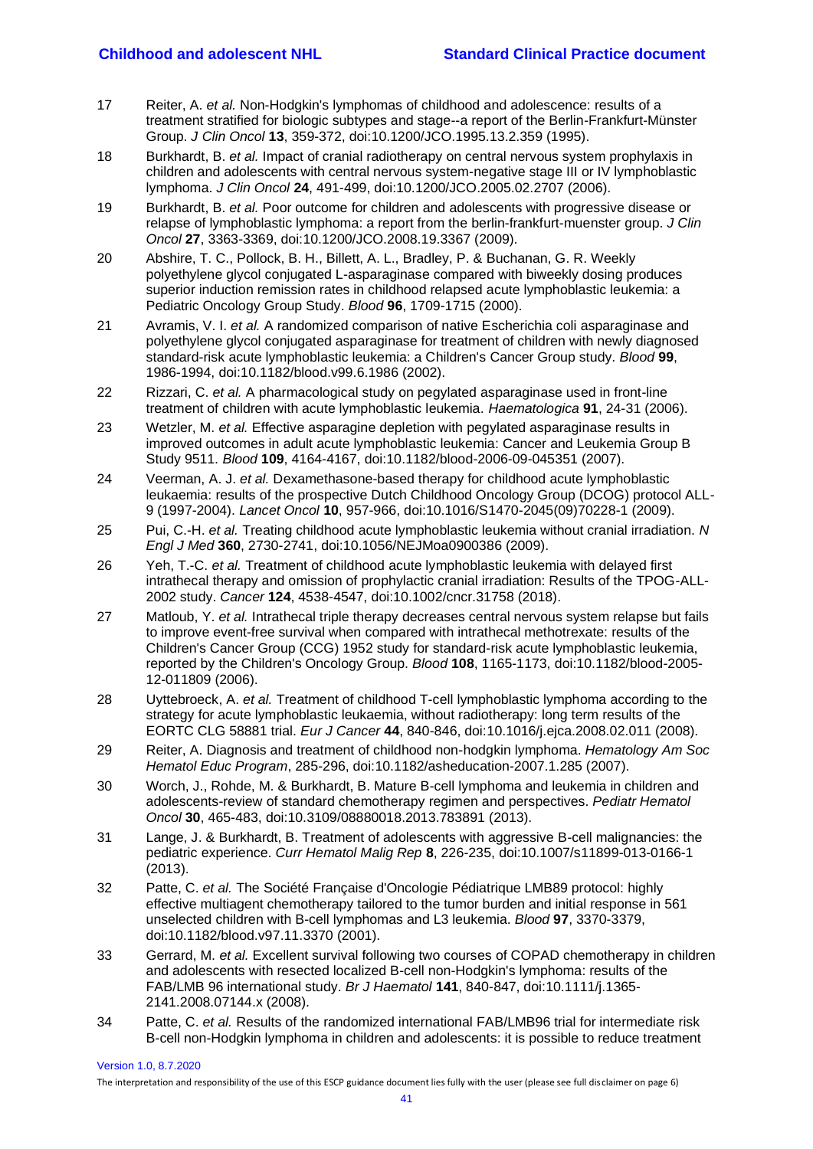- <span id="page-40-0"></span>17 Reiter, A. *et al.* Non-Hodgkin's lymphomas of childhood and adolescence: results of a treatment stratified for biologic subtypes and stage--a report of the Berlin-Frankfurt-Münster Group. *J Clin Oncol* **13**, 359-372, doi:10.1200/JCO.1995.13.2.359 (1995).
- <span id="page-40-1"></span>18 Burkhardt, B. *et al.* Impact of cranial radiotherapy on central nervous system prophylaxis in children and adolescents with central nervous system-negative stage III or IV lymphoblastic lymphoma. *J Clin Oncol* **24**, 491-499, doi:10.1200/JCO.2005.02.2707 (2006).
- <span id="page-40-2"></span>19 Burkhardt, B. *et al.* Poor outcome for children and adolescents with progressive disease or relapse of lymphoblastic lymphoma: a report from the berlin-frankfurt-muenster group. *J Clin Oncol* **27**, 3363-3369, doi:10.1200/JCO.2008.19.3367 (2009).
- <span id="page-40-3"></span>20 Abshire, T. C., Pollock, B. H., Billett, A. L., Bradley, P. & Buchanan, G. R. Weekly polyethylene glycol conjugated L-asparaginase compared with biweekly dosing produces superior induction remission rates in childhood relapsed acute lymphoblastic leukemia: a Pediatric Oncology Group Study. *Blood* **96**, 1709-1715 (2000).
- 21 Avramis, V. I. *et al.* A randomized comparison of native Escherichia coli asparaginase and polyethylene glycol conjugated asparaginase for treatment of children with newly diagnosed standard-risk acute lymphoblastic leukemia: a Children's Cancer Group study. *Blood* **99**, 1986-1994, doi:10.1182/blood.v99.6.1986 (2002).
- 22 Rizzari, C. *et al.* A pharmacological study on pegylated asparaginase used in front-line treatment of children with acute lymphoblastic leukemia. *Haematologica* **91**, 24-31 (2006).
- 23 Wetzler, M. *et al.* Effective asparagine depletion with pegylated asparaginase results in improved outcomes in adult acute lymphoblastic leukemia: Cancer and Leukemia Group B Study 9511. *Blood* **109**, 4164-4167, doi:10.1182/blood-2006-09-045351 (2007).
- <span id="page-40-4"></span>24 Veerman, A. J. *et al.* Dexamethasone-based therapy for childhood acute lymphoblastic leukaemia: results of the prospective Dutch Childhood Oncology Group (DCOG) protocol ALL-9 (1997-2004). *Lancet Oncol* **10**, 957-966, doi:10.1016/S1470-2045(09)70228-1 (2009).
- 25 Pui, C.-H. *et al.* Treating childhood acute lymphoblastic leukemia without cranial irradiation. *N Engl J Med* **360**, 2730-2741, doi:10.1056/NEJMoa0900386 (2009).
- 26 Yeh, T.-C. *et al.* Treatment of childhood acute lymphoblastic leukemia with delayed first intrathecal therapy and omission of prophylactic cranial irradiation: Results of the TPOG-ALL-2002 study. *Cancer* **124**, 4538-4547, doi:10.1002/cncr.31758 (2018).
- 27 Matloub, Y. *et al.* Intrathecal triple therapy decreases central nervous system relapse but fails to improve event-free survival when compared with intrathecal methotrexate: results of the Children's Cancer Group (CCG) 1952 study for standard-risk acute lymphoblastic leukemia, reported by the Children's Oncology Group. *Blood* **108**, 1165-1173, doi:10.1182/blood-2005- 12-011809 (2006).
- <span id="page-40-5"></span>28 Uyttebroeck, A. *et al.* Treatment of childhood T-cell lymphoblastic lymphoma according to the strategy for acute lymphoblastic leukaemia, without radiotherapy: long term results of the EORTC CLG 58881 trial. *Eur J Cancer* **44**, 840-846, doi:10.1016/j.ejca.2008.02.011 (2008).
- <span id="page-40-6"></span>29 Reiter, A. Diagnosis and treatment of childhood non-hodgkin lymphoma. *Hematology Am Soc Hematol Educ Program*, 285-296, doi:10.1182/asheducation-2007.1.285 (2007).
- <span id="page-40-7"></span>30 Worch, J., Rohde, M. & Burkhardt, B. Mature B-cell lymphoma and leukemia in children and adolescents-review of standard chemotherapy regimen and perspectives. *Pediatr Hematol Oncol* **30**, 465-483, doi:10.3109/08880018.2013.783891 (2013).
- <span id="page-40-8"></span>31 Lange, J. & Burkhardt, B. Treatment of adolescents with aggressive B-cell malignancies: the pediatric experience. *Curr Hematol Malig Rep* **8**, 226-235, doi:10.1007/s11899-013-0166-1 (2013).
- <span id="page-40-9"></span>32 Patte, C. *et al.* The Société Française d'Oncologie Pédiatrique LMB89 protocol: highly effective multiagent chemotherapy tailored to the tumor burden and initial response in 561 unselected children with B-cell lymphomas and L3 leukemia. *Blood* **97**, 3370-3379, doi:10.1182/blood.v97.11.3370 (2001).
- <span id="page-40-10"></span>33 Gerrard, M. *et al.* Excellent survival following two courses of COPAD chemotherapy in children and adolescents with resected localized B-cell non-Hodgkin's lymphoma: results of the FAB/LMB 96 international study. *Br J Haematol* **141**, 840-847, doi:10.1111/j.1365- 2141.2008.07144.x (2008).
- <span id="page-40-11"></span>34 Patte, C. *et al.* Results of the randomized international FAB/LMB96 trial for intermediate risk B-cell non-Hodgkin lymphoma in children and adolescents: it is possible to reduce treatment

Version 1.0, 8.7.2020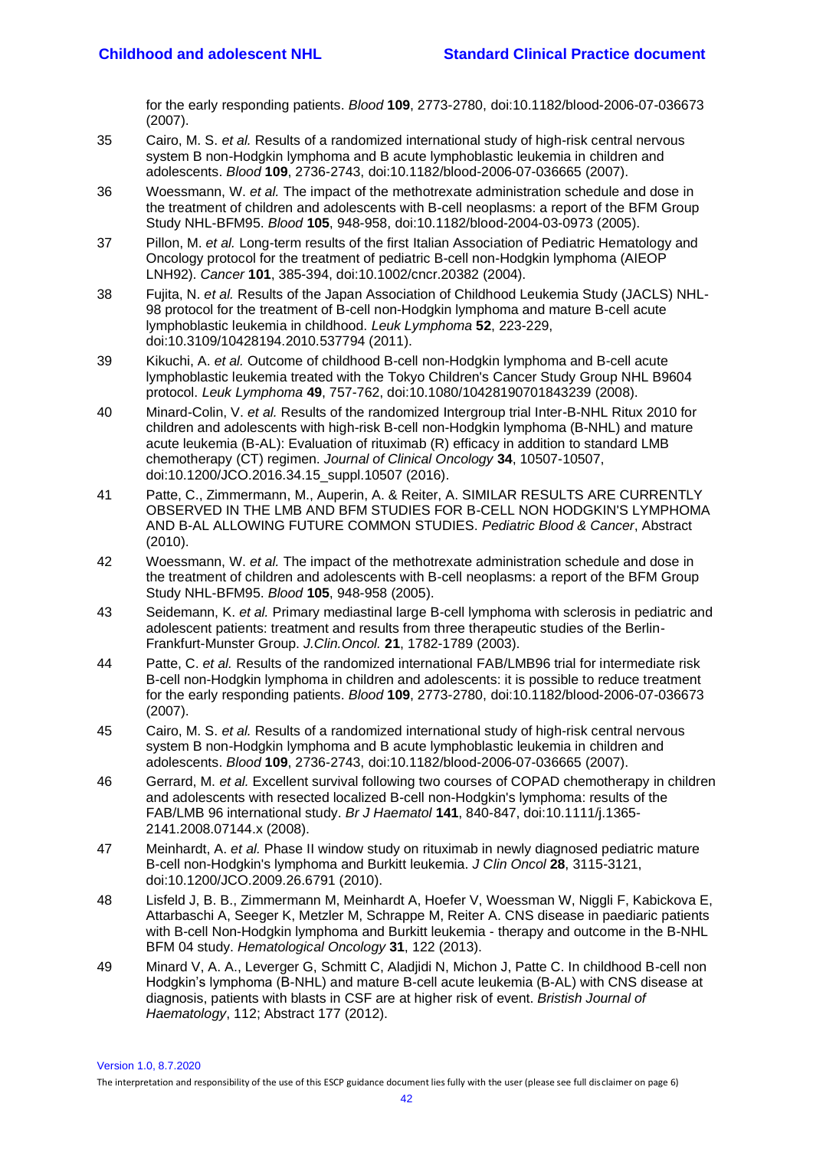for the early responding patients. *Blood* **109**, 2773-2780, doi:10.1182/blood-2006-07-036673 (2007).

- <span id="page-41-0"></span>35 Cairo, M. S. *et al.* Results of a randomized international study of high-risk central nervous system B non-Hodgkin lymphoma and B acute lymphoblastic leukemia in children and adolescents. *Blood* **109**, 2736-2743, doi:10.1182/blood-2006-07-036665 (2007).
- <span id="page-41-1"></span>36 Woessmann, W. *et al.* The impact of the methotrexate administration schedule and dose in the treatment of children and adolescents with B-cell neoplasms: a report of the BFM Group Study NHL-BFM95. *Blood* **105**, 948-958, doi:10.1182/blood-2004-03-0973 (2005).
- <span id="page-41-2"></span>37 Pillon, M. *et al.* Long-term results of the first Italian Association of Pediatric Hematology and Oncology protocol for the treatment of pediatric B-cell non-Hodgkin lymphoma (AIEOP LNH92). *Cancer* **101**, 385-394, doi:10.1002/cncr.20382 (2004).
- <span id="page-41-3"></span>38 Fujita, N. *et al.* Results of the Japan Association of Childhood Leukemia Study (JACLS) NHL-98 protocol for the treatment of B-cell non-Hodgkin lymphoma and mature B-cell acute lymphoblastic leukemia in childhood. *Leuk Lymphoma* **52**, 223-229, doi:10.3109/10428194.2010.537794 (2011).
- <span id="page-41-4"></span>39 Kikuchi, A. *et al.* Outcome of childhood B-cell non-Hodgkin lymphoma and B-cell acute lymphoblastic leukemia treated with the Tokyo Children's Cancer Study Group NHL B9604 protocol. *Leuk Lymphoma* **49**, 757-762, doi:10.1080/10428190701843239 (2008).
- <span id="page-41-5"></span>40 Minard-Colin, V. *et al.* Results of the randomized Intergroup trial Inter-B-NHL Ritux 2010 for children and adolescents with high-risk B-cell non-Hodgkin lymphoma (B-NHL) and mature acute leukemia (B-AL): Evaluation of rituximab (R) efficacy in addition to standard LMB chemotherapy (CT) regimen. *Journal of Clinical Oncology* **34**, 10507-10507, doi:10.1200/JCO.2016.34.15\_suppl.10507 (2016).
- <span id="page-41-6"></span>41 Patte, C., Zimmermann, M., Auperin, A. & Reiter, A. SIMILAR RESULTS ARE CURRENTLY OBSERVED IN THE LMB AND BFM STUDIES FOR B-CELL NON HODGKIN'S LYMPHOMA AND B-AL ALLOWING FUTURE COMMON STUDIES. *Pediatric Blood & Cancer*, Abstract (2010).
- <span id="page-41-7"></span>42 Woessmann, W. *et al.* The impact of the methotrexate administration schedule and dose in the treatment of children and adolescents with B-cell neoplasms: a report of the BFM Group Study NHL-BFM95. *Blood* **105**, 948-958 (2005).
- <span id="page-41-8"></span>43 Seidemann, K. *et al.* Primary mediastinal large B-cell lymphoma with sclerosis in pediatric and adolescent patients: treatment and results from three therapeutic studies of the Berlin-Frankfurt-Munster Group. *J.Clin.Oncol.* **21**, 1782-1789 (2003).
- <span id="page-41-9"></span>44 Patte, C. *et al.* Results of the randomized international FAB/LMB96 trial for intermediate risk B-cell non-Hodgkin lymphoma in children and adolescents: it is possible to reduce treatment for the early responding patients. *Blood* **109**, 2773-2780, doi:10.1182/blood-2006-07-036673 (2007).
- <span id="page-41-14"></span>45 Cairo, M. S. *et al.* Results of a randomized international study of high-risk central nervous system B non-Hodgkin lymphoma and B acute lymphoblastic leukemia in children and adolescents. *Blood* **109**, 2736-2743, doi:10.1182/blood-2006-07-036665 (2007).
- <span id="page-41-13"></span>46 Gerrard, M. *et al.* Excellent survival following two courses of COPAD chemotherapy in children and adolescents with resected localized B-cell non-Hodgkin's lymphoma: results of the FAB/LMB 96 international study. *Br J Haematol* **141**, 840-847, doi:10.1111/j.1365- 2141.2008.07144.x (2008).
- <span id="page-41-10"></span>47 Meinhardt, A. *et al.* Phase II window study on rituximab in newly diagnosed pediatric mature B-cell non-Hodgkin's lymphoma and Burkitt leukemia. *J Clin Oncol* **28**, 3115-3121, doi:10.1200/JCO.2009.26.6791 (2010).
- <span id="page-41-11"></span>48 Lisfeld J, B. B., Zimmermann M, Meinhardt A, Hoefer V, Woessman W, Niggli F, Kabickova E, Attarbaschi A, Seeger K, Metzler M, Schrappe M, Reiter A. CNS disease in paediaric patients with B-cell Non-Hodgkin lymphoma and Burkitt leukemia - therapy and outcome in the B-NHL BFM 04 study. *Hematological Oncology* **31**, 122 (2013).
- <span id="page-41-12"></span>49 Minard V, A. A., Leverger G, Schmitt C, Aladjidi N, Michon J, Patte C. In childhood B-cell non Hodgkin's lymphoma (B-NHL) and mature B-cell acute leukemia (B-AL) with CNS disease at diagnosis, patients with blasts in CSF are at higher risk of event. *Bristish Journal of Haematology*, 112; Abstract 177 (2012).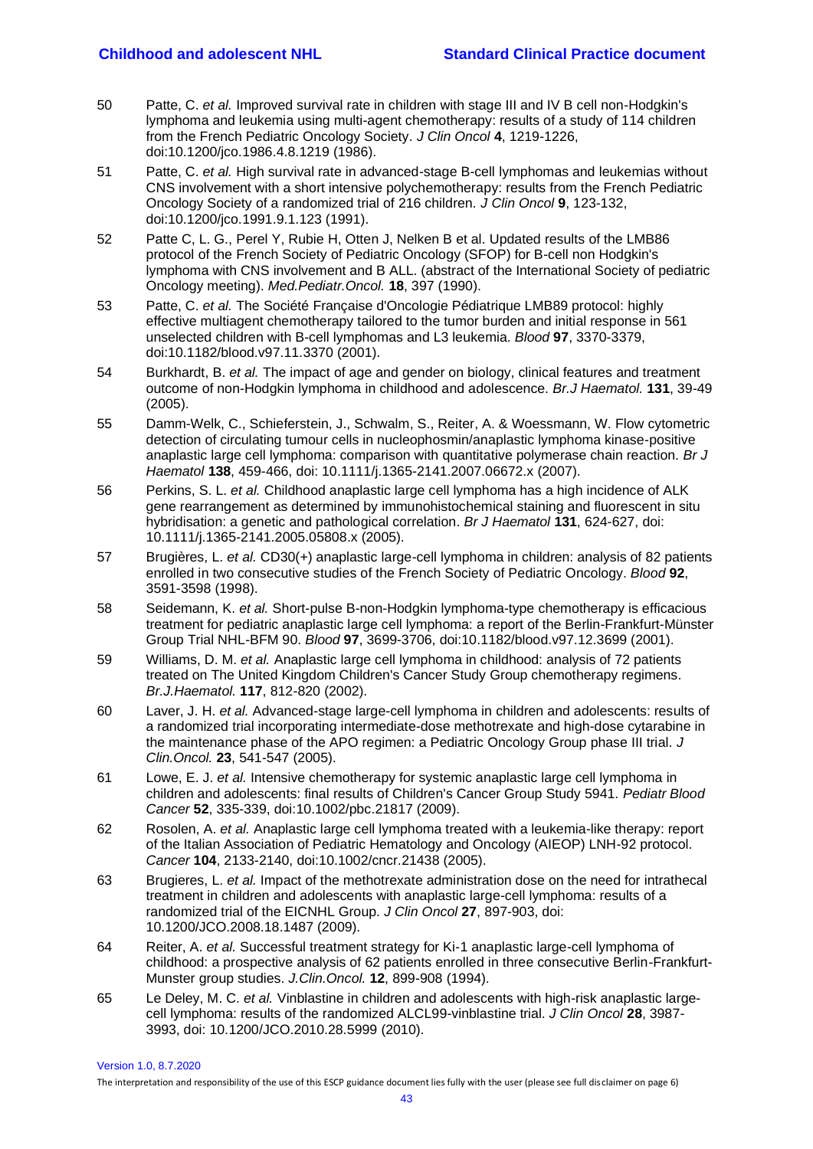- <span id="page-42-0"></span>50 Patte, C. *et al.* Improved survival rate in children with stage III and IV B cell non-Hodgkin's lymphoma and leukemia using multi-agent chemotherapy: results of a study of 114 children from the French Pediatric Oncology Society. *J Clin Oncol* **4**, 1219-1226, doi:10.1200/jco.1986.4.8.1219 (1986).
- <span id="page-42-1"></span>51 Patte, C. *et al.* High survival rate in advanced-stage B-cell lymphomas and leukemias without CNS involvement with a short intensive polychemotherapy: results from the French Pediatric Oncology Society of a randomized trial of 216 children. *J Clin Oncol* **9**, 123-132, doi:10.1200/jco.1991.9.1.123 (1991).
- <span id="page-42-2"></span>52 Patte C, L. G., Perel Y, Rubie H, Otten J, Nelken B et al. Updated results of the LMB86 protocol of the French Society of Pediatric Oncology (SFOP) for B-cell non Hodgkin's lymphoma with CNS involvement and B ALL. (abstract of the International Society of pediatric Oncology meeting). *Med.Pediatr.Oncol.* **18**, 397 (1990).
- <span id="page-42-3"></span>53 Patte, C. *et al.* The Société Française d'Oncologie Pédiatrique LMB89 protocol: highly effective multiagent chemotherapy tailored to the tumor burden and initial response in 561 unselected children with B-cell lymphomas and L3 leukemia. *Blood* **97**, 3370-3379, doi:10.1182/blood.v97.11.3370 (2001).
- <span id="page-42-4"></span>54 Burkhardt, B. *et al.* The impact of age and gender on biology, clinical features and treatment outcome of non-Hodgkin lymphoma in childhood and adolescence. *Br.J Haematol.* **131**, 39-49 (2005).
- <span id="page-42-5"></span>55 Damm-Welk, C., Schieferstein, J., Schwalm, S., Reiter, A. & Woessmann, W. Flow cytometric detection of circulating tumour cells in nucleophosmin/anaplastic lymphoma kinase-positive anaplastic large cell lymphoma: comparison with quantitative polymerase chain reaction. *Br J Haematol* **138**, 459-466, doi: 10.1111/j.1365-2141.2007.06672.x (2007).
- <span id="page-42-6"></span>56 Perkins, S. L. *et al.* Childhood anaplastic large cell lymphoma has a high incidence of ALK gene rearrangement as determined by immunohistochemical staining and fluorescent in situ hybridisation: a genetic and pathological correlation. *Br J Haematol* **131**, 624-627, doi: 10.1111/j.1365-2141.2005.05808.x (2005).
- <span id="page-42-7"></span>57 Brugières, L. *et al.* CD30(+) anaplastic large-cell lymphoma in children: analysis of 82 patients enrolled in two consecutive studies of the French Society of Pediatric Oncology. *Blood* **92**, 3591-3598 (1998).
- <span id="page-42-8"></span>58 Seidemann, K. *et al.* Short-pulse B-non-Hodgkin lymphoma-type chemotherapy is efficacious treatment for pediatric anaplastic large cell lymphoma: a report of the Berlin-Frankfurt-Münster Group Trial NHL-BFM 90. *Blood* **97**, 3699-3706, doi:10.1182/blood.v97.12.3699 (2001).
- <span id="page-42-9"></span>59 Williams, D. M. *et al.* Anaplastic large cell lymphoma in childhood: analysis of 72 patients treated on The United Kingdom Children's Cancer Study Group chemotherapy regimens. *Br.J.Haematol.* **117**, 812-820 (2002).
- <span id="page-42-10"></span>60 Laver, J. H. *et al.* Advanced-stage large-cell lymphoma in children and adolescents: results of a randomized trial incorporating intermediate-dose methotrexate and high-dose cytarabine in the maintenance phase of the APO regimen: a Pediatric Oncology Group phase III trial. *J Clin.Oncol.* **23**, 541-547 (2005).
- <span id="page-42-11"></span>61 Lowe, E. J. *et al.* Intensive chemotherapy for systemic anaplastic large cell lymphoma in children and adolescents: final results of Children's Cancer Group Study 5941. *Pediatr Blood Cancer* **52**, 335-339, doi:10.1002/pbc.21817 (2009).
- <span id="page-42-12"></span>62 Rosolen, A. *et al.* Anaplastic large cell lymphoma treated with a leukemia-like therapy: report of the Italian Association of Pediatric Hematology and Oncology (AIEOP) LNH-92 protocol. *Cancer* **104**, 2133-2140, doi:10.1002/cncr.21438 (2005).
- <span id="page-42-13"></span>63 Brugieres, L. *et al.* Impact of the methotrexate administration dose on the need for intrathecal treatment in children and adolescents with anaplastic large-cell lymphoma: results of a randomized trial of the EICNHL Group. *J Clin Oncol* **27**, 897-903, doi: 10.1200/JCO.2008.18.1487 (2009).
- 64 Reiter, A. *et al.* Successful treatment strategy for Ki-1 anaplastic large-cell lymphoma of childhood: a prospective analysis of 62 patients enrolled in three consecutive Berlin-Frankfurt-Munster group studies. *J.Clin.Oncol.* **12**, 899-908 (1994).
- <span id="page-42-14"></span>65 Le Deley, M. C. *et al.* Vinblastine in children and adolescents with high-risk anaplastic largecell lymphoma: results of the randomized ALCL99-vinblastine trial. *J Clin Oncol* **28**, 3987- 3993, doi: 10.1200/JCO.2010.28.5999 (2010).

Version 1.0, 8.7.2020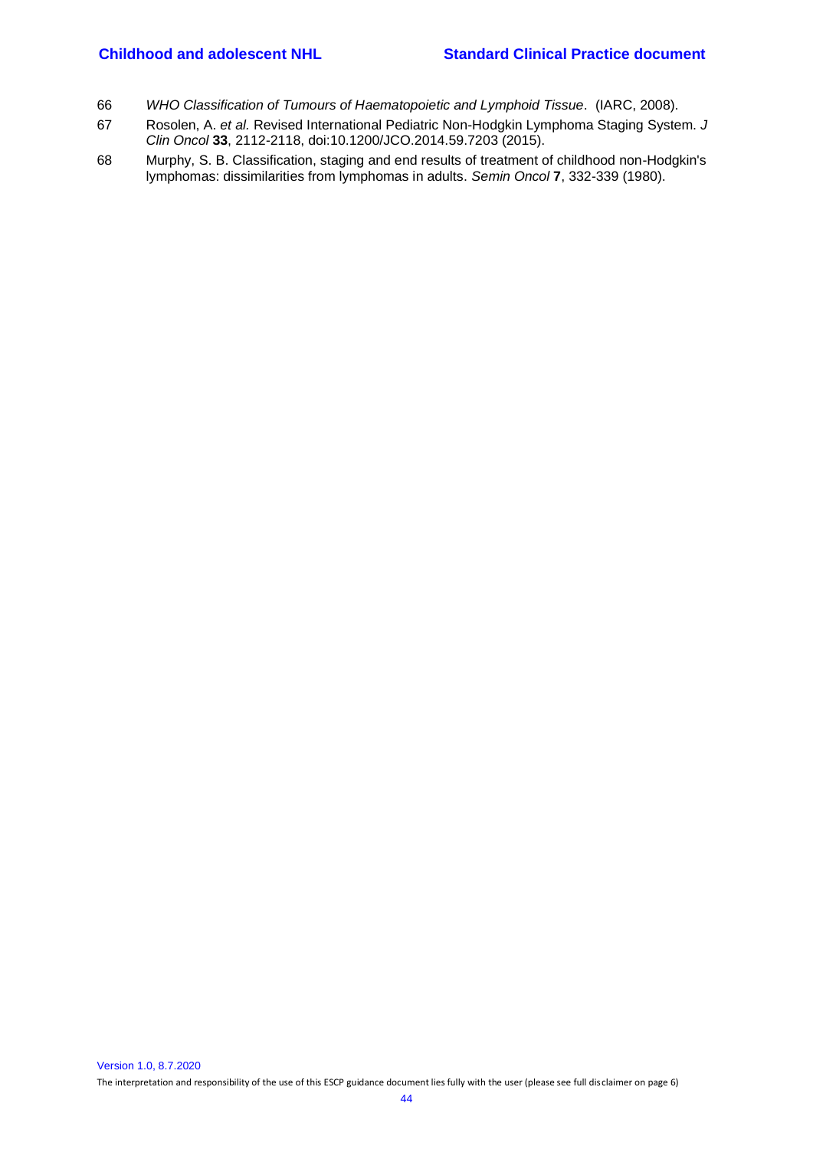- <span id="page-43-0"></span>66 *WHO Classification of Tumours of Haematopoietic and Lymphoid Tissue*. (IARC, 2008).
- <span id="page-43-1"></span>67 Rosolen, A. *et al.* Revised International Pediatric Non-Hodgkin Lymphoma Staging System. *J Clin Oncol* **33**, 2112-2118, doi:10.1200/JCO.2014.59.7203 (2015).
- <span id="page-43-2"></span>68 Murphy, S. B. Classification, staging and end results of treatment of childhood non-Hodgkin's lymphomas: dissimilarities from lymphomas in adults. *Semin Oncol* **7**, 332-339 (1980).